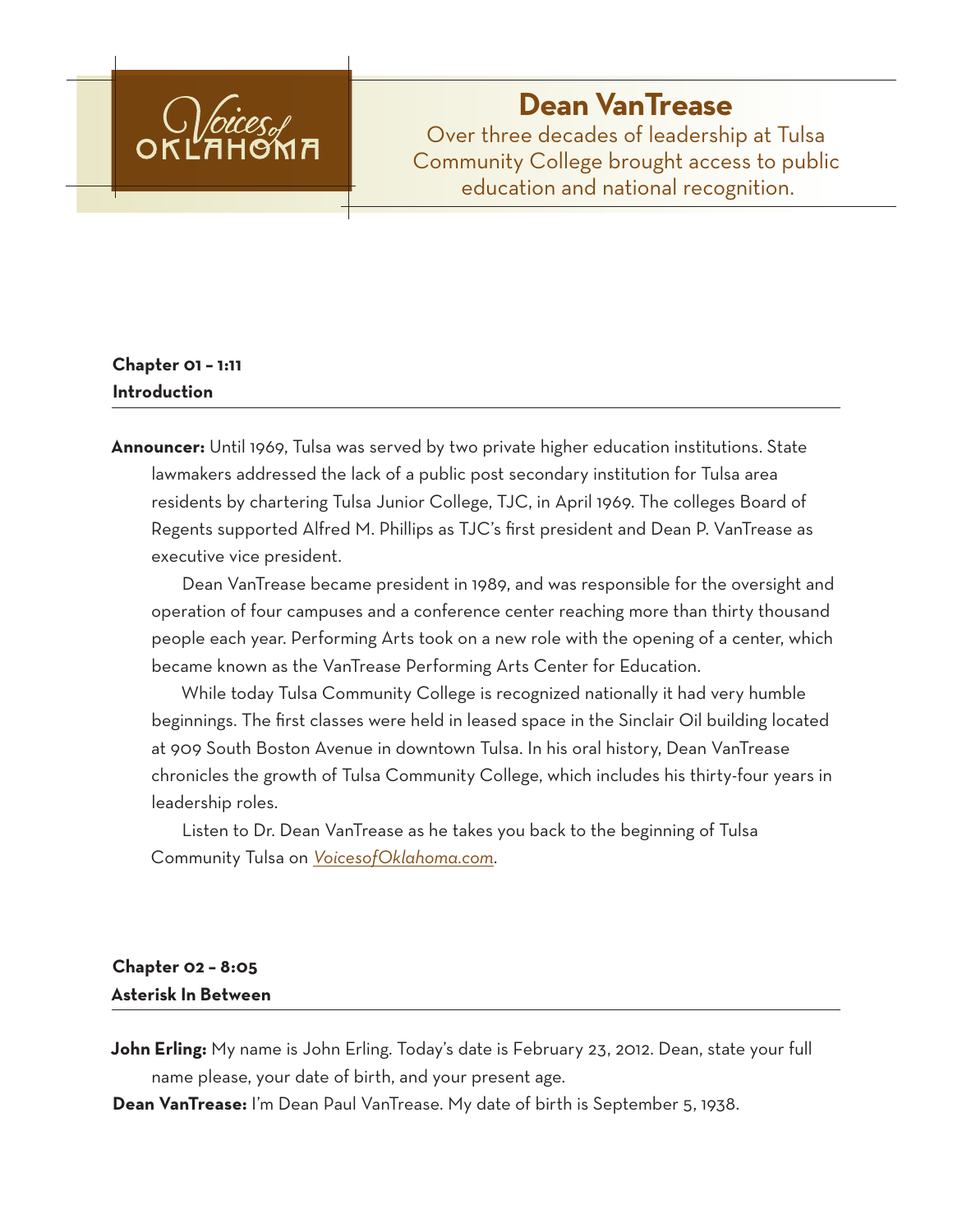

# **Dean VanTrease**

Over three decades of leadership at Tulsa Community College brought access to public education and national recognition.

# **Chapter 01 – 1:11 Introduction**

**Announcer:** Until 1969, Tulsa was served by two private higher education institutions. State lawmakers addressed the lack of a public post secondary institution for Tulsa area residents by chartering Tulsa Junior College, TJC, in April 1969. The colleges Board of Regents supported Alfred M. Phillips as TJC's first president and Dean P. VanTrease as executive vice president.

Dean VanTrease became president in 1989, and was responsible for the oversight and operation of four campuses and a conference center reaching more than thirty thousand people each year. Performing Arts took on a new role with the opening of a center, which became known as the VanTrease Performing Arts Center for Education.

While today Tulsa Community College is recognized nationally it had very humble beginnings. The first classes were held in leased space in the Sinclair Oil building located at 909 South Boston Avenue in downtown Tulsa. In his oral history, Dean VanTrease chronicles the growth of Tulsa Community College, which includes his thirty-four years in leadership roles.

Listen to Dr. Dean VanTrease as he takes you back to the beginning of Tulsa Community Tulsa on *VoicesofOklahoma.com*.

# **Chapter 02 – 8:05 Asterisk In Between**

**John Erling:** My name is John Erling. Today's date is February 23, 2012. Dean, state your full name please, your date of birth, and your present age.

**Dean VanTrease:** I'm Dean Paul VanTrease. My date of birth is September 5, 1938.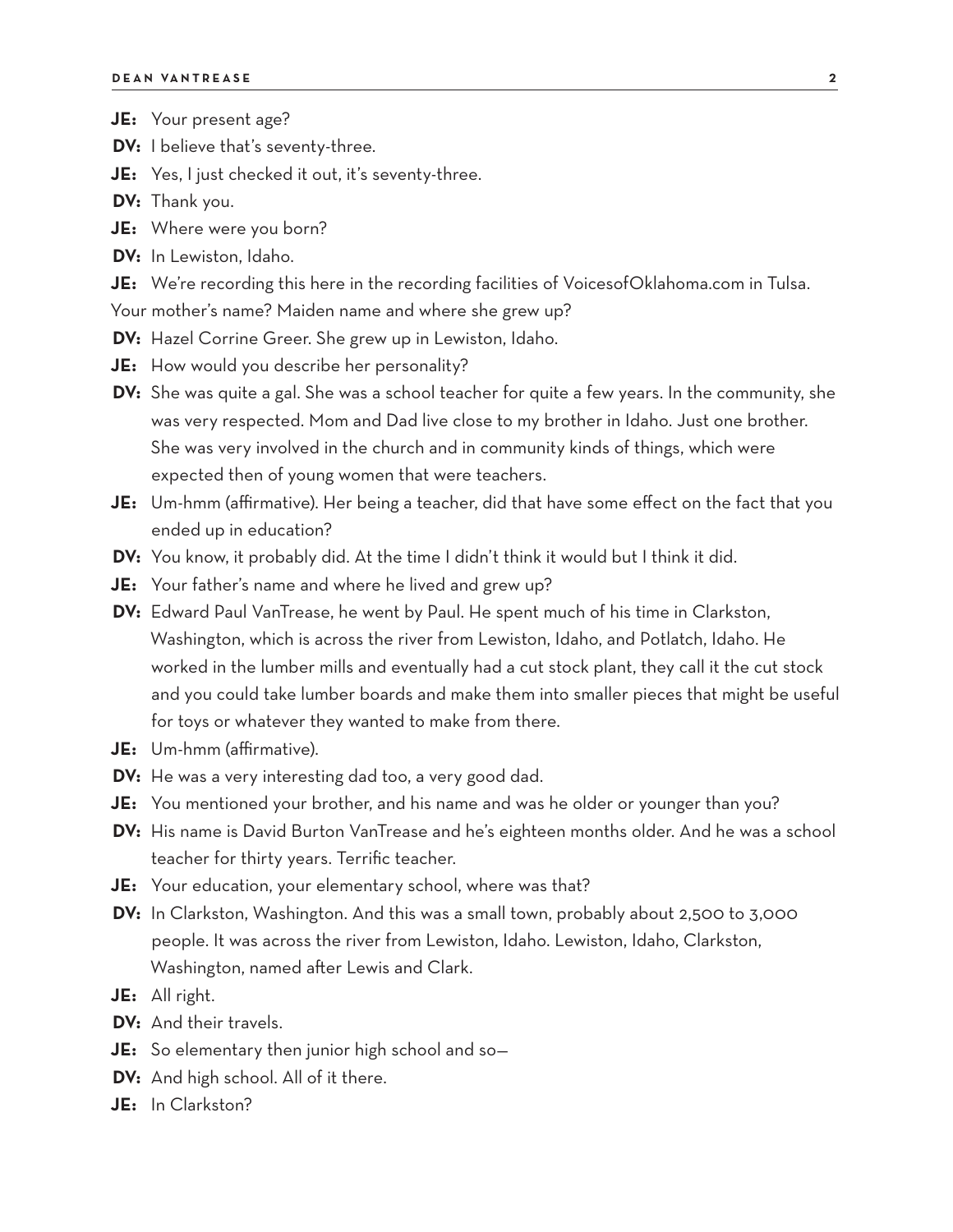- **JE:** Your present age?
- **DV:** I believe that's seventy-three.
- **JE:** Yes, I just checked it out, it's seventy-three.
- **DV:** Thank you.
- **JE:** Where were you born?
- **DV:** In Lewiston, Idaho.
- **JE:** We're recording this here in the recording facilities of VoicesofOklahoma.com in Tulsa.

Your mother's name? Maiden name and where she grew up?

- **DV:** Hazel Corrine Greer. She grew up in Lewiston, Idaho.
- **JE:** How would you describe her personality?
- **DV:** She was quite a gal. She was a school teacher for quite a few years. In the community, she was very respected. Mom and Dad live close to my brother in Idaho. Just one brother. She was very involved in the church and in community kinds of things, which were expected then of young women that were teachers.
- **JE:** Um-hmm (affirmative). Her being a teacher, did that have some effect on the fact that you ended up in education?
- **DV:** You know, it probably did. At the time I didn't think it would but I think it did.
- **JE:** Your father's name and where he lived and grew up?
- **DV:** Edward Paul VanTrease, he went by Paul. He spent much of his time in Clarkston, Washington, which is across the river from Lewiston, Idaho, and Potlatch, Idaho. He worked in the lumber mills and eventually had a cut stock plant, they call it the cut stock and you could take lumber boards and make them into smaller pieces that might be useful for toys or whatever they wanted to make from there.
- **JE:** Um-hmm (affirmative).
- **DV:** He was a very interesting dad too, a very good dad.
- **JE:** You mentioned your brother, and his name and was he older or younger than you?
- **DV:** His name is David Burton VanTrease and he's eighteen months older. And he was a school teacher for thirty years. Terrific teacher.
- **JE:** Your education, your elementary school, where was that?
- **DV:** In Clarkston, Washington. And this was a small town, probably about 2,500 to 3,000 people. It was across the river from Lewiston, Idaho. Lewiston, Idaho, Clarkston, Washington, named after Lewis and Clark.
- **JE:** All right.
- **DV:** And their travels.
- **JE:** So elementary then junior high school and so—
- **DV:** And high school. All of it there.
- **JE:** In Clarkston?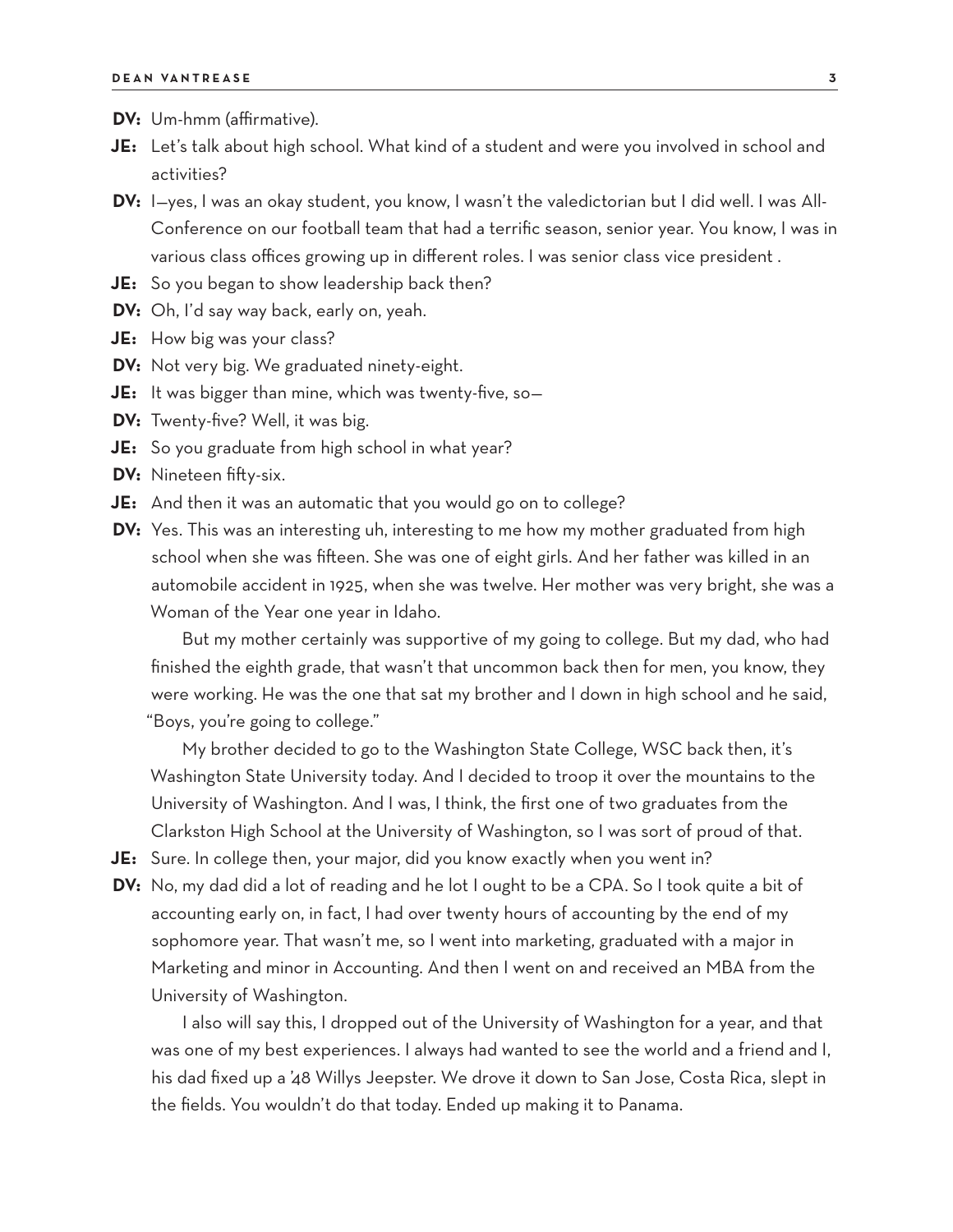- **DV:** Um-hmm (affirmative).
- **JE:** Let's talk about high school. What kind of a student and were you involved in school and activities?
- **DV:** I—yes, I was an okay student, you know, I wasn't the valedictorian but I did well. I was All-Conference on our football team that had a terrific season, senior year. You know, I was in various class offices growing up in different roles. I was senior class vice president .
- **JE:** So you began to show leadership back then?
- **DV:** Oh, I'd say way back, early on, yeah.
- **JE:** How big was your class?
- **DV:** Not very big. We graduated ninety-eight.
- **JE:** It was bigger than mine, which was twenty-five, so—
- **DV:** Twenty-five? Well, it was big.
- **JE:** So you graduate from high school in what year?
- **DV:** Nineteen fifty-six.
- **JE:** And then it was an automatic that you would go on to college?
- **DV:** Yes. This was an interesting uh, interesting to me how my mother graduated from high school when she was fifteen. She was one of eight girls. And her father was killed in an automobile accident in 1925, when she was twelve. Her mother was very bright, she was a Woman of the Year one year in Idaho.

But my mother certainly was supportive of my going to college. But my dad, who had finished the eighth grade, that wasn't that uncommon back then for men, you know, they were working. He was the one that sat my brother and I down in high school and he said, "Boys, you're going to college."

My brother decided to go to the Washington State College, WSC back then, it's Washington State University today. And I decided to troop it over the mountains to the University of Washington. And I was, I think, the first one of two graduates from the Clarkston High School at the University of Washington, so I was sort of proud of that.

- **JE:** Sure. In college then, your major, did you know exactly when you went in?
- **DV:** No, my dad did a lot of reading and he lot I ought to be a CPA. So I took quite a bit of accounting early on, in fact, I had over twenty hours of accounting by the end of my sophomore year. That wasn't me, so I went into marketing, graduated with a major in Marketing and minor in Accounting. And then I went on and received an MBA from the University of Washington.

I also will say this, I dropped out of the University of Washington for a year, and that was one of my best experiences. I always had wanted to see the world and a friend and I, his dad fixed up a '48 Willys Jeepster. We drove it down to San Jose, Costa Rica, slept in the fields. You wouldn't do that today. Ended up making it to Panama.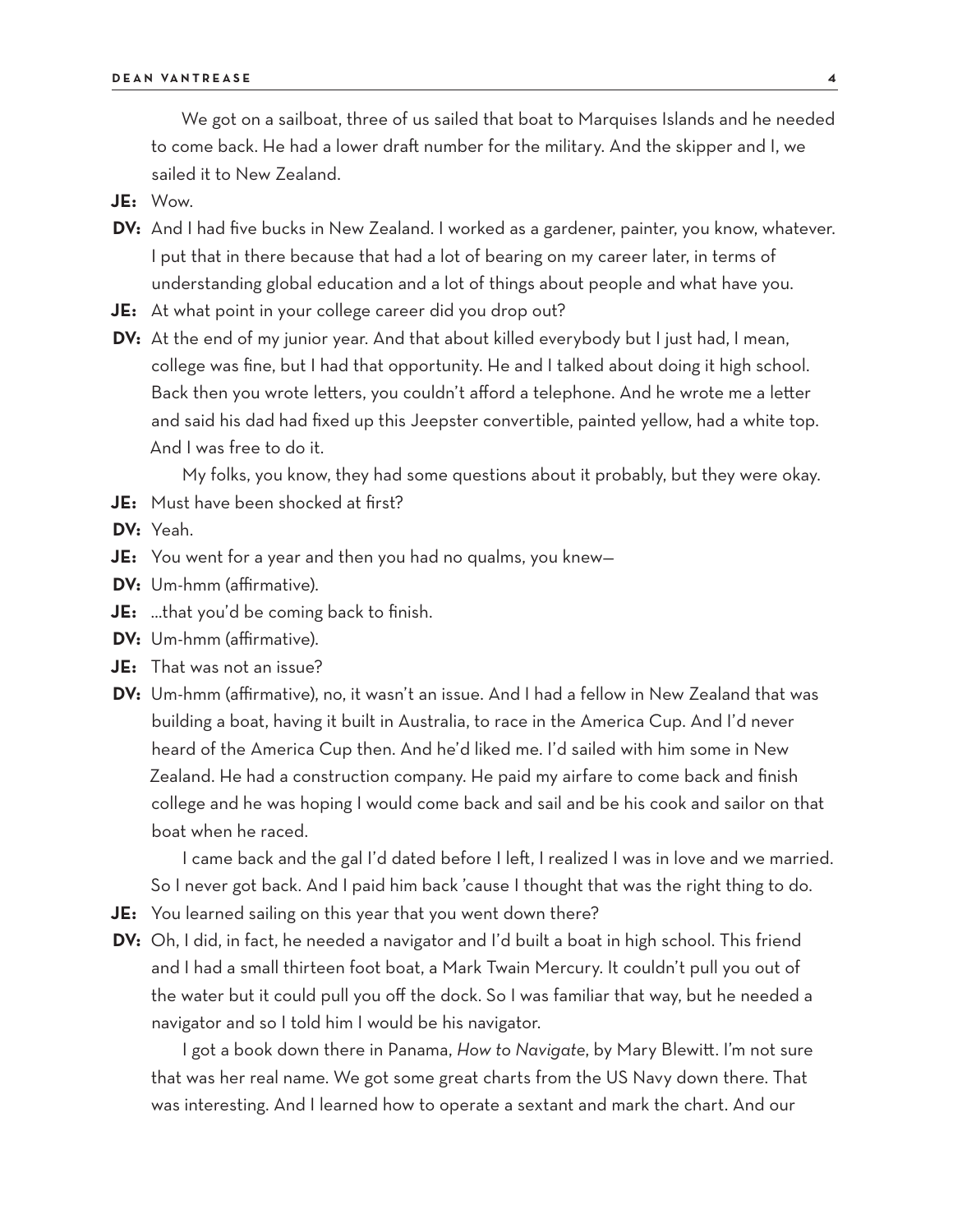We got on a sailboat, three of us sailed that boat to Marquises Islands and he needed to come back. He had a lower draft number for the military. And the skipper and I, we sailed it to New Zealand.

**JE:** Wow.

- **DV:** And I had five bucks in New Zealand. I worked as a gardener, painter, you know, whatever. I put that in there because that had a lot of bearing on my career later, in terms of understanding global education and a lot of things about people and what have you.
- **JE:** At what point in your college career did you drop out?
- **DV:** At the end of my junior year. And that about killed everybody but I just had, I mean, college was fine, but I had that opportunity. He and I talked about doing it high school. Back then you wrote letters, you couldn't afford a telephone. And he wrote me a letter and said his dad had fixed up this Jeepster convertible, painted yellow, had a white top. And I was free to do it.

My folks, you know, they had some questions about it probably, but they were okay.

- **JE:** Must have been shocked at first?
- **DV:** Yeah.
- **JE:** You went for a year and then you had no qualms, you knew—
- **DV:** Um-hmm (affirmative).
- **JE:** …that you'd be coming back to finish.
- **DV:** Um-hmm (affirmative).
- **JE:** That was not an issue?
- **DV:** Um-hmm (affirmative), no, it wasn't an issue. And I had a fellow in New Zealand that was building a boat, having it built in Australia, to race in the America Cup. And I'd never heard of the America Cup then. And he'd liked me. I'd sailed with him some in New Zealand. He had a construction company. He paid my airfare to come back and finish college and he was hoping I would come back and sail and be his cook and sailor on that boat when he raced.

I came back and the gal I'd dated before I left, I realized I was in love and we married. So I never got back. And I paid him back 'cause I thought that was the right thing to do.

- **JE:** You learned sailing on this year that you went down there?
- **DV:** Oh, I did, in fact, he needed a navigator and I'd built a boat in high school. This friend and I had a small thirteen foot boat, a Mark Twain Mercury. It couldn't pull you out of the water but it could pull you off the dock. So I was familiar that way, but he needed a navigator and so I told him I would be his navigator.

I got a book down there in Panama, *How to Navigate*, by Mary Blewitt. I'm not sure that was her real name. We got some great charts from the US Navy down there. That was interesting. And I learned how to operate a sextant and mark the chart. And our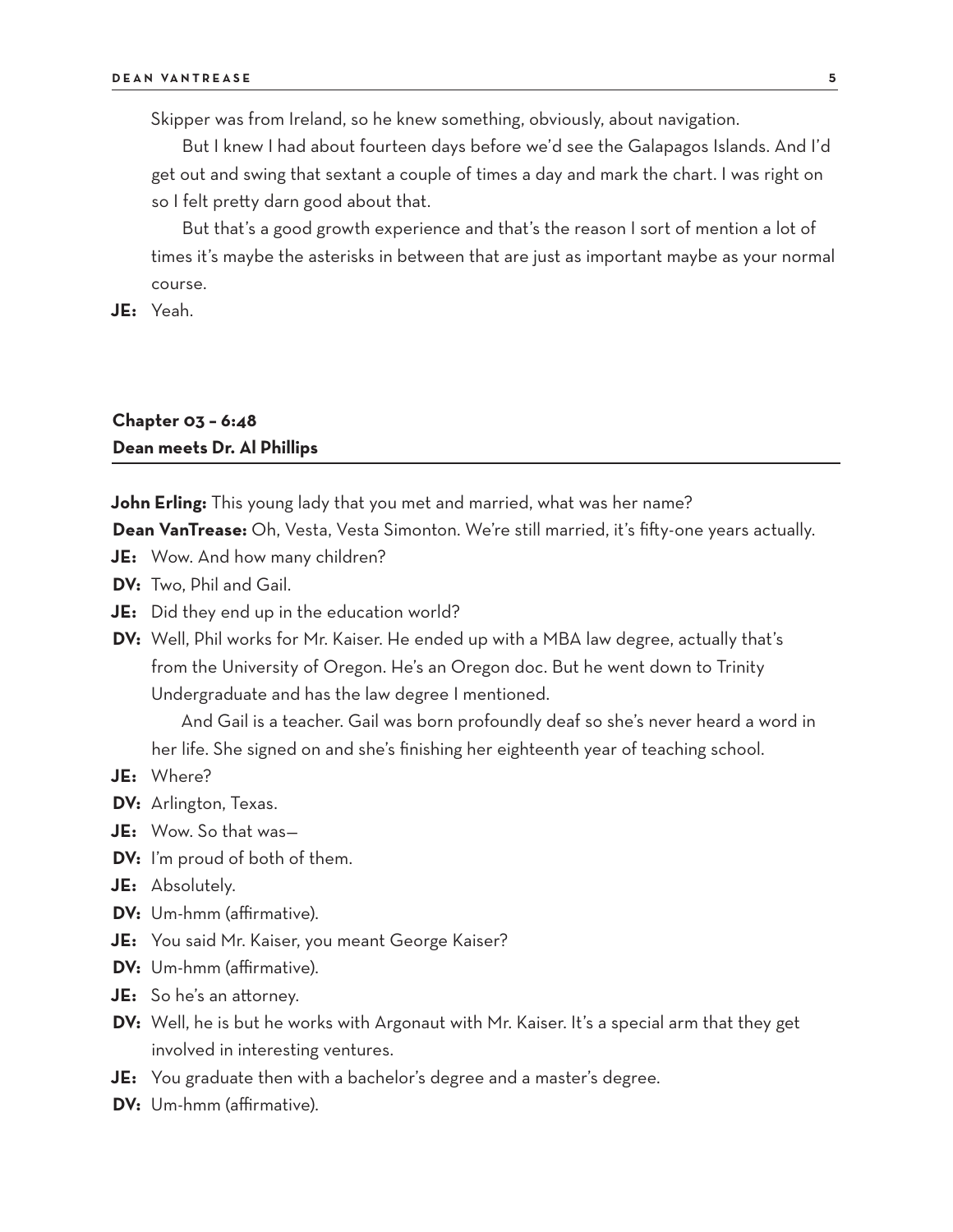Skipper was from Ireland, so he knew something, obviously, about navigation.

But I knew I had about fourteen days before we'd see the Galapagos Islands. And I'd get out and swing that sextant a couple of times a day and mark the chart. I was right on so I felt pretty darn good about that.

But that's a good growth experience and that's the reason I sort of mention a lot of times it's maybe the asterisks in between that are just as important maybe as your normal course.

**JE:** Yeah.

### **Chapter 03 – 6:48 Dean meets Dr. Al Phillips**

**John Erling:** This young lady that you met and married, what was her name?

**Dean VanTrease:** Oh, Vesta, Vesta Simonton. We're still married, it's fifty-one years actually.

- **JE:** Wow. And how many children?
- **DV:** Two, Phil and Gail.
- **JE:** Did they end up in the education world?
- **DV:** Well, Phil works for Mr. Kaiser. He ended up with a MBA law degree, actually that's from the University of Oregon. He's an Oregon doc. But he went down to Trinity Undergraduate and has the law degree I mentioned.

And Gail is a teacher. Gail was born profoundly deaf so she's never heard a word in her life. She signed on and she's finishing her eighteenth year of teaching school.

- **JE:** Where?
- **DV:** Arlington, Texas.
- **JE:** Wow. So that was—
- **DV:** I'm proud of both of them.
- **JE:** Absolutely.
- **DV:** Um-hmm (affirmative).
- **JE:** You said Mr. Kaiser, you meant George Kaiser?
- **DV:** Um-hmm (affirmative).
- **JE:** So he's an attorney.
- **DV:** Well, he is but he works with Argonaut with Mr. Kaiser. It's a special arm that they get involved in interesting ventures.
- **JE:** You graduate then with a bachelor's degree and a master's degree.
- **DV:** Um-hmm (affirmative).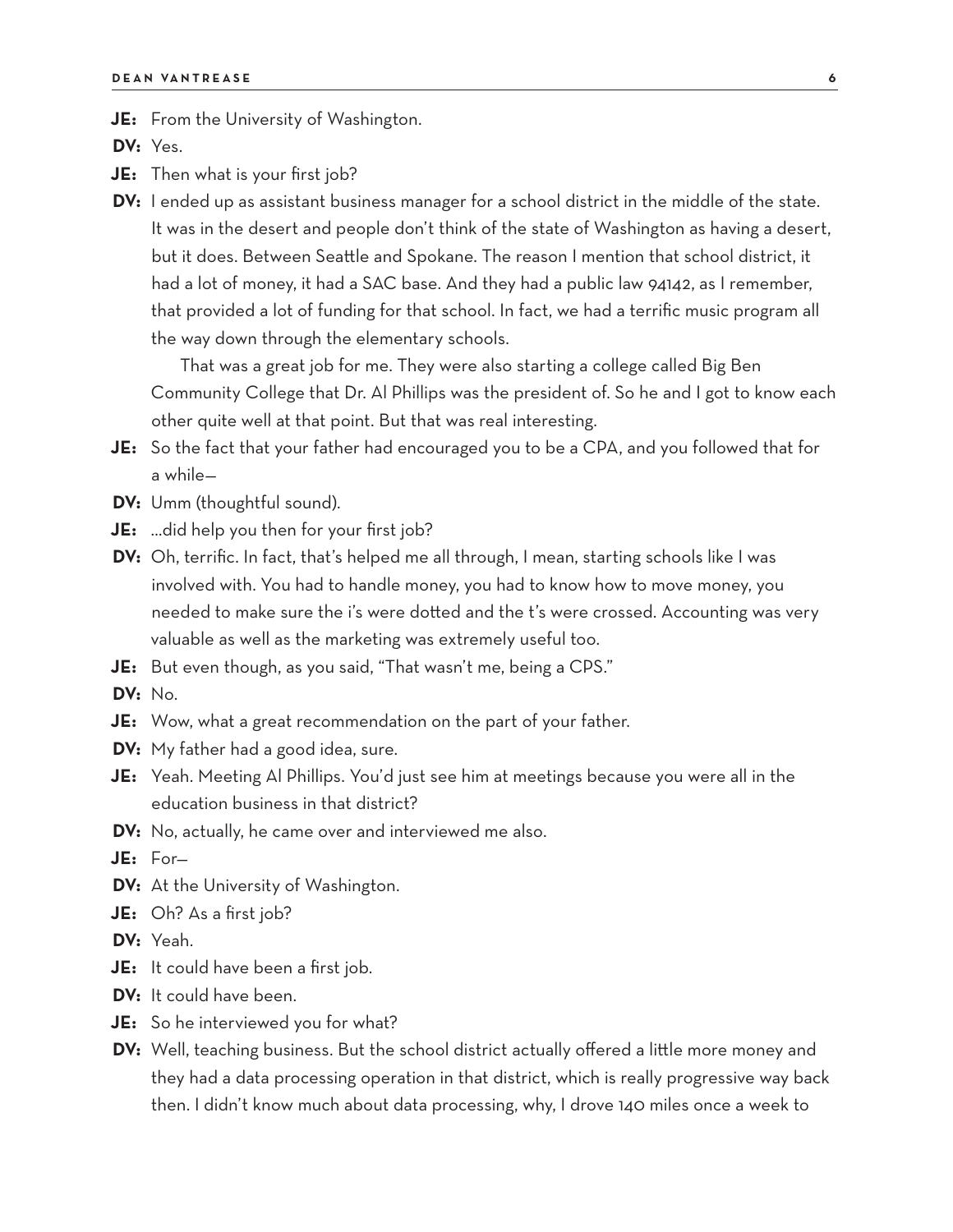**JE:** From the University of Washington.

**DV:** Yes.

**JE:** Then what is your first job?

**DV:** I ended up as assistant business manager for a school district in the middle of the state. It was in the desert and people don't think of the state of Washington as having a desert, but it does. Between Seattle and Spokane. The reason I mention that school district, it had a lot of money, it had a SAC base. And they had a public law 94142, as I remember, that provided a lot of funding for that school. In fact, we had a terrific music program all the way down through the elementary schools.

That was a great job for me. They were also starting a college called Big Ben Community College that Dr. Al Phillips was the president of. So he and I got to know each other quite well at that point. But that was real interesting.

- **JE:** So the fact that your father had encouraged you to be a CPA, and you followed that for a while—
- **DV:** Umm (thoughtful sound).
- **JE:** …did help you then for your first job?
- **DV:** Oh, terrific. In fact, that's helped me all through, I mean, starting schools like I was involved with. You had to handle money, you had to know how to move money, you needed to make sure the i's were dotted and the t's were crossed. Accounting was very valuable as well as the marketing was extremely useful too.
- **JE:** But even though, as you said, "That wasn't me, being a CPS."
- **DV:** No.
- **JE:** Wow, what a great recommendation on the part of your father.
- **DV:** My father had a good idea, sure.
- **JE:** Yeah. Meeting Al Phillips. You'd just see him at meetings because you were all in the education business in that district?
- **DV:** No, actually, he came over and interviewed me also.
- **JE:** For—
- **DV:** At the University of Washington.
- **JE:** Oh? As a first job?
- **DV:** Yeah.
- **JE:** It could have been a first job.
- **DV:** It could have been.
- **JE:** So he interviewed you for what?
- **DV:** Well, teaching business. But the school district actually offered a little more money and they had a data processing operation in that district, which is really progressive way back then. I didn't know much about data processing, why, I drove 140 miles once a week to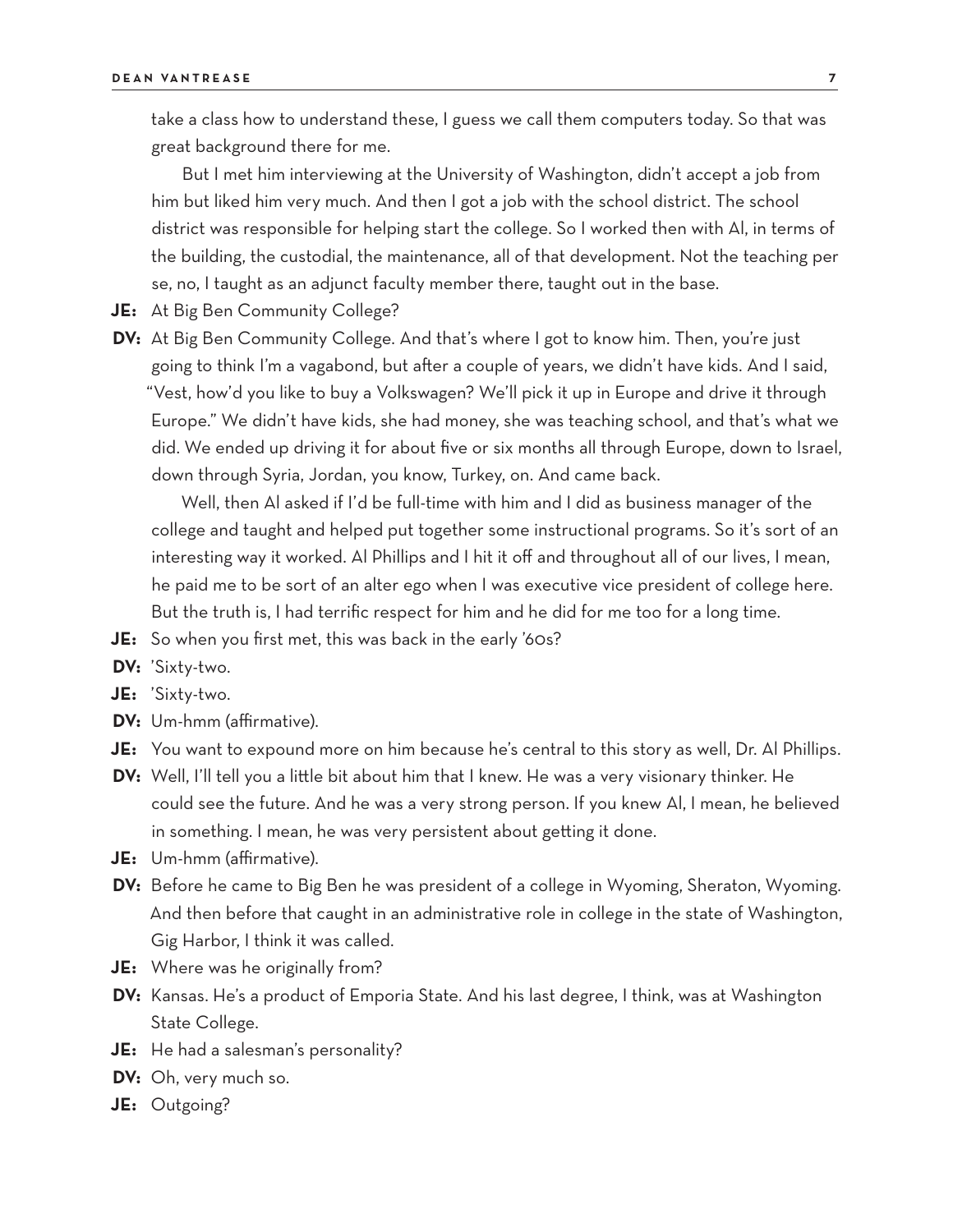take a class how to understand these, I guess we call them computers today. So that was great background there for me.

But I met him interviewing at the University of Washington, didn't accept a job from him but liked him very much. And then I got a job with the school district. The school district was responsible for helping start the college. So I worked then with Al, in terms of the building, the custodial, the maintenance, all of that development. Not the teaching per se, no, I taught as an adjunct faculty member there, taught out in the base.

- **JE:** At Big Ben Community College?
- **DV:** At Big Ben Community College. And that's where I got to know him. Then, you're just going to think I'm a vagabond, but after a couple of years, we didn't have kids. And I said, "Vest, how'd you like to buy a Volkswagen? We'll pick it up in Europe and drive it through Europe." We didn't have kids, she had money, she was teaching school, and that's what we did. We ended up driving it for about five or six months all through Europe, down to Israel, down through Syria, Jordan, you know, Turkey, on. And came back.

Well, then Al asked if I'd be full-time with him and I did as business manager of the college and taught and helped put together some instructional programs. So it's sort of an interesting way it worked. Al Phillips and I hit it off and throughout all of our lives, I mean, he paid me to be sort of an alter ego when I was executive vice president of college here. But the truth is, I had terrific respect for him and he did for me too for a long time.

- **JE:** So when you first met, this was back in the early '60s?
- **DV:** 'Sixty-two.
- **JE:** 'Sixty-two.
- **DV:** Um-hmm (affirmative).
- **JE:** You want to expound more on him because he's central to this story as well, Dr. Al Phillips.
- **DV:** Well, I'll tell you a little bit about him that I knew. He was a very visionary thinker. He could see the future. And he was a very strong person. If you knew Al, I mean, he believed in something. I mean, he was very persistent about getting it done.
- **JE:** Um-hmm (affirmative).
- **DV:** Before he came to Big Ben he was president of a college in Wyoming, Sheraton, Wyoming. And then before that caught in an administrative role in college in the state of Washington, Gig Harbor, I think it was called.
- **JE:** Where was he originally from?
- **DV:** Kansas. He's a product of Emporia State. And his last degree, I think, was at Washington State College.
- **JE:** He had a salesman's personality?
- **DV:** Oh, very much so.
- **JE:** Outgoing?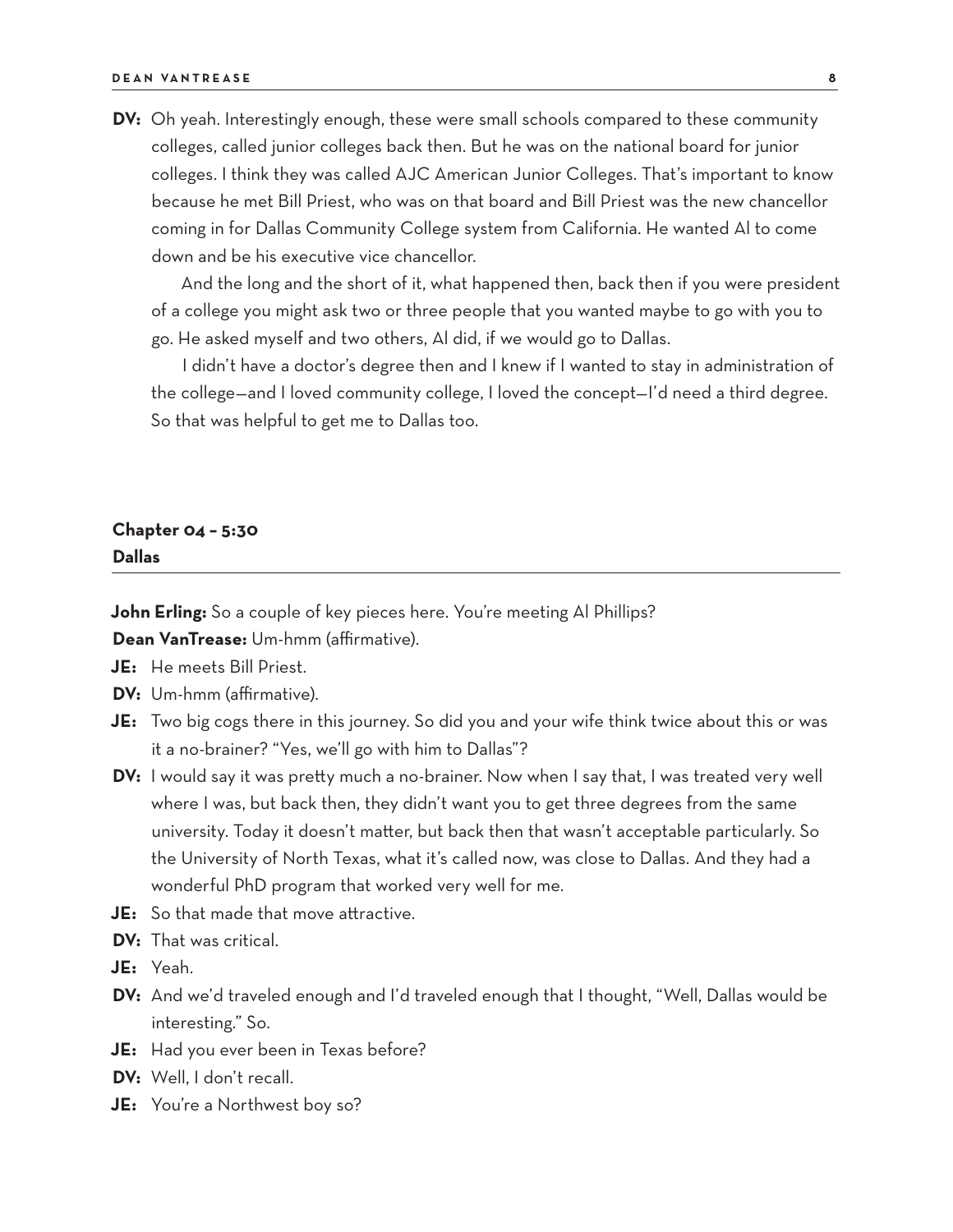**DV:** Oh yeah. Interestingly enough, these were small schools compared to these community colleges, called junior colleges back then. But he was on the national board for junior colleges. I think they was called AJC American Junior Colleges. That's important to know because he met Bill Priest, who was on that board and Bill Priest was the new chancellor coming in for Dallas Community College system from California. He wanted Al to come down and be his executive vice chancellor.

And the long and the short of it, what happened then, back then if you were president of a college you might ask two or three people that you wanted maybe to go with you to go. He asked myself and two others, Al did, if we would go to Dallas.

I didn't have a doctor's degree then and I knew if I wanted to stay in administration of the college—and I loved community college, I loved the concept—I'd need a third degree. So that was helpful to get me to Dallas too.

### **Chapter 04 – 5:30 Dallas**

**John Erling:** So a couple of key pieces here. You're meeting Al Phillips?

**Dean VanTrease:** Um-hmm (affirmative).

- **JE:** He meets Bill Priest.
- **DV:** Um-hmm (affirmative).
- **JE:** Two big cogs there in this journey. So did you and your wife think twice about this or was it a no-brainer? "Yes, we'll go with him to Dallas"?
- **DV:** I would say it was pretty much a no-brainer. Now when I say that, I was treated very well where I was, but back then, they didn't want you to get three degrees from the same university. Today it doesn't matter, but back then that wasn't acceptable particularly. So the University of North Texas, what it's called now, was close to Dallas. And they had a wonderful PhD program that worked very well for me.
- **JE:** So that made that move attractive.
- **DV:** That was critical.
- **JE:** Yeah.
- **DV:** And we'd traveled enough and I'd traveled enough that I thought, "Well, Dallas would be interesting." So.
- **JE:** Had you ever been in Texas before?
- **DV:** Well, I don't recall.
- **JE:** You're a Northwest boy so?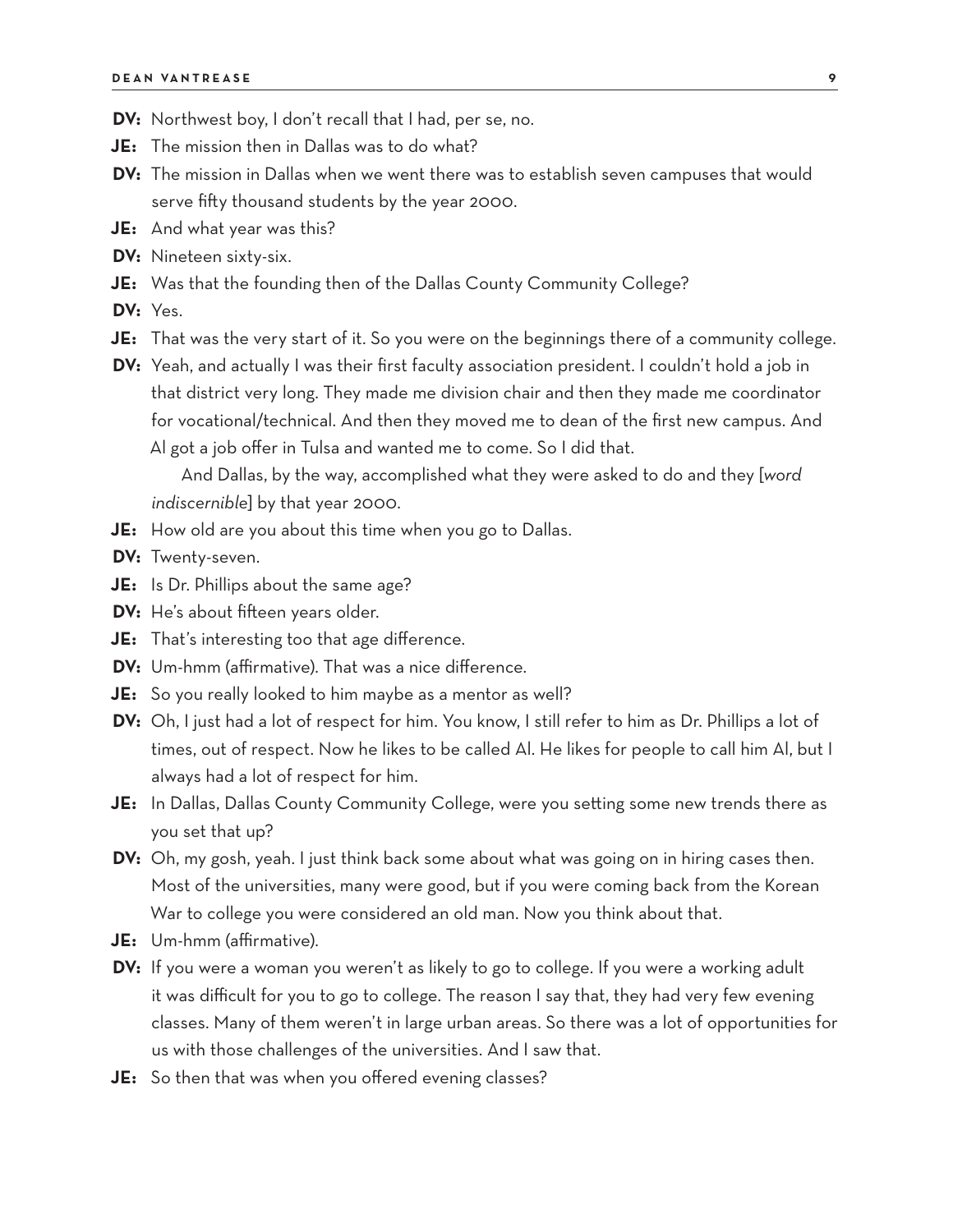- **DV:** Northwest boy, I don't recall that I had, per se, no.
- **JE:** The mission then in Dallas was to do what?
- **DV:** The mission in Dallas when we went there was to establish seven campuses that would serve fifty thousand students by the year 2000.
- **JE:** And what year was this?
- **DV:** Nineteen sixty-six.
- **JE:** Was that the founding then of the Dallas County Community College?
- **DV:** Yes.
- **JE:** That was the very start of it. So you were on the beginnings there of a community college.
- **DV:** Yeah, and actually I was their first faculty association president. I couldn't hold a job in that district very long. They made me division chair and then they made me coordinator for vocational/technical. And then they moved me to dean of the first new campus. And Al got a job offer in Tulsa and wanted me to come. So I did that.

And Dallas, by the way, accomplished what they were asked to do and they [*word indiscernible*] by that year 2000.

- **JE:** How old are you about this time when you go to Dallas.
- **DV:** Twenty-seven.
- **JE:** Is Dr. Phillips about the same age?
- **DV:** He's about fifteen years older.
- **JE:** That's interesting too that age difference.
- **DV:** Um-hmm (affirmative). That was a nice difference.
- **JE:** So you really looked to him maybe as a mentor as well?
- **DV:** Oh, I just had a lot of respect for him. You know, I still refer to him as Dr. Phillips a lot of times, out of respect. Now he likes to be called Al. He likes for people to call him Al, but I always had a lot of respect for him.
- **JE:** In Dallas, Dallas County Community College, were you setting some new trends there as you set that up?
- **DV:** Oh, my gosh, yeah. I just think back some about what was going on in hiring cases then. Most of the universities, many were good, but if you were coming back from the Korean War to college you were considered an old man. Now you think about that.
- **JE:** Um-hmm (affirmative).
- **DV:** If you were a woman you weren't as likely to go to college. If you were a working adult it was difficult for you to go to college. The reason I say that, they had very few evening classes. Many of them weren't in large urban areas. So there was a lot of opportunities for us with those challenges of the universities. And I saw that.
- **JE:** So then that was when you offered evening classes?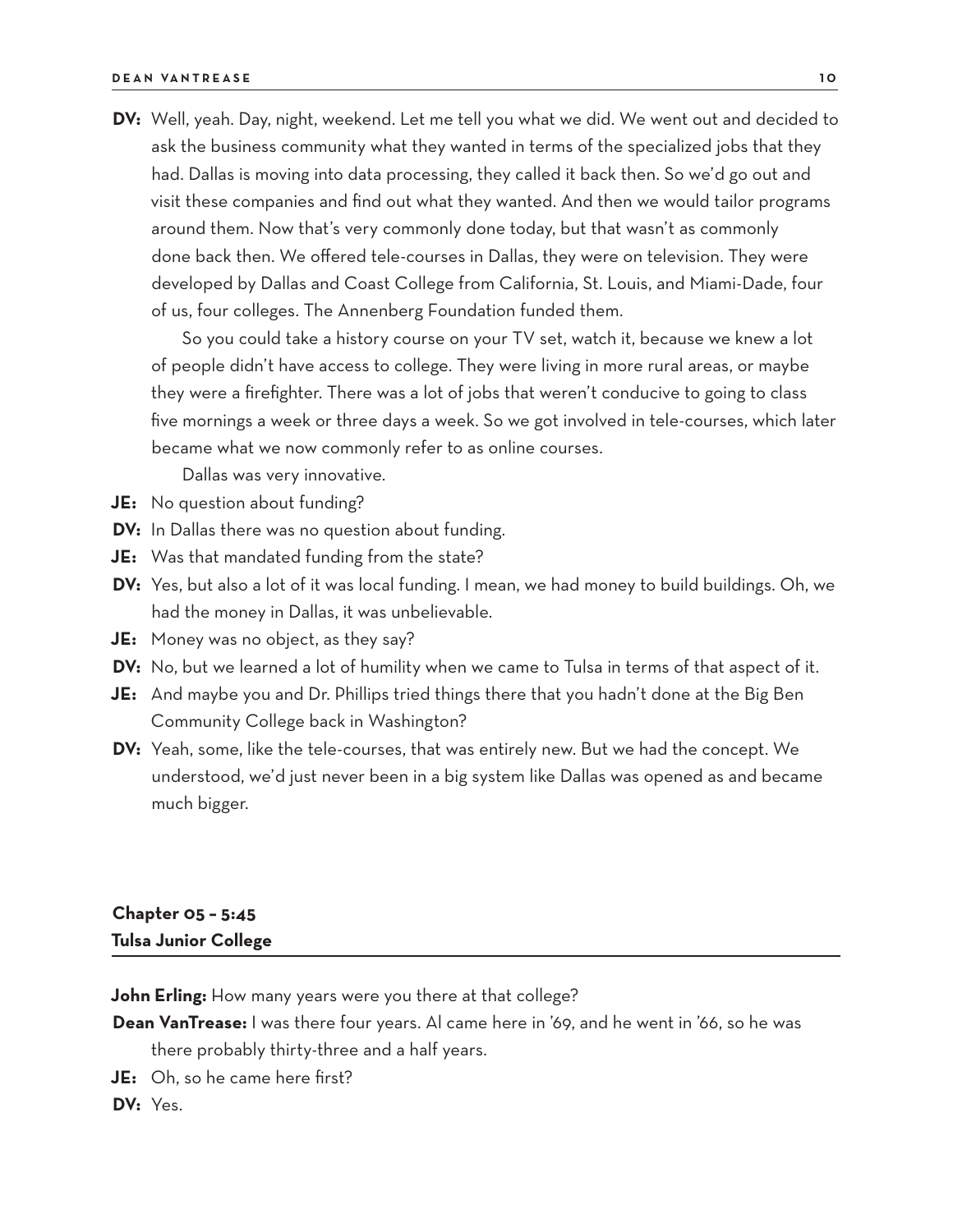**DV:** Well, yeah. Day, night, weekend. Let me tell you what we did. We went out and decided to ask the business community what they wanted in terms of the specialized jobs that they had. Dallas is moving into data processing, they called it back then. So we'd go out and visit these companies and find out what they wanted. And then we would tailor programs around them. Now that's very commonly done today, but that wasn't as commonly done back then. We offered tele-courses in Dallas, they were on television. They were developed by Dallas and Coast College from California, St. Louis, and Miami-Dade, four of us, four colleges. The Annenberg Foundation funded them.

So you could take a history course on your TV set, watch it, because we knew a lot of people didn't have access to college. They were living in more rural areas, or maybe they were a firefighter. There was a lot of jobs that weren't conducive to going to class five mornings a week or three days a week. So we got involved in tele-courses, which later became what we now commonly refer to as online courses.

Dallas was very innovative.

- **JE:** No question about funding?
- **DV:** In Dallas there was no question about funding.
- **JE:** Was that mandated funding from the state?
- **DV:** Yes, but also a lot of it was local funding. I mean, we had money to build buildings. Oh, we had the money in Dallas, it was unbelievable.
- **JE:** Money was no object, as they say?
- **DV:** No, but we learned a lot of humility when we came to Tulsa in terms of that aspect of it.
- **JE:** And maybe you and Dr. Phillips tried things there that you hadn't done at the Big Ben Community College back in Washington?
- **DV:** Yeah, some, like the tele-courses, that was entirely new. But we had the concept. We understood, we'd just never been in a big system like Dallas was opened as and became much bigger.

# **Chapter 05 – 5:45 Tulsa Junior College**

**John Erling:** How many years were you there at that college?

- **Dean VanTrease:** I was there four years. Al came here in '69, and he went in '66, so he was there probably thirty-three and a half years.
- **JE:** Oh, so he came here first?

**DV:** Yes.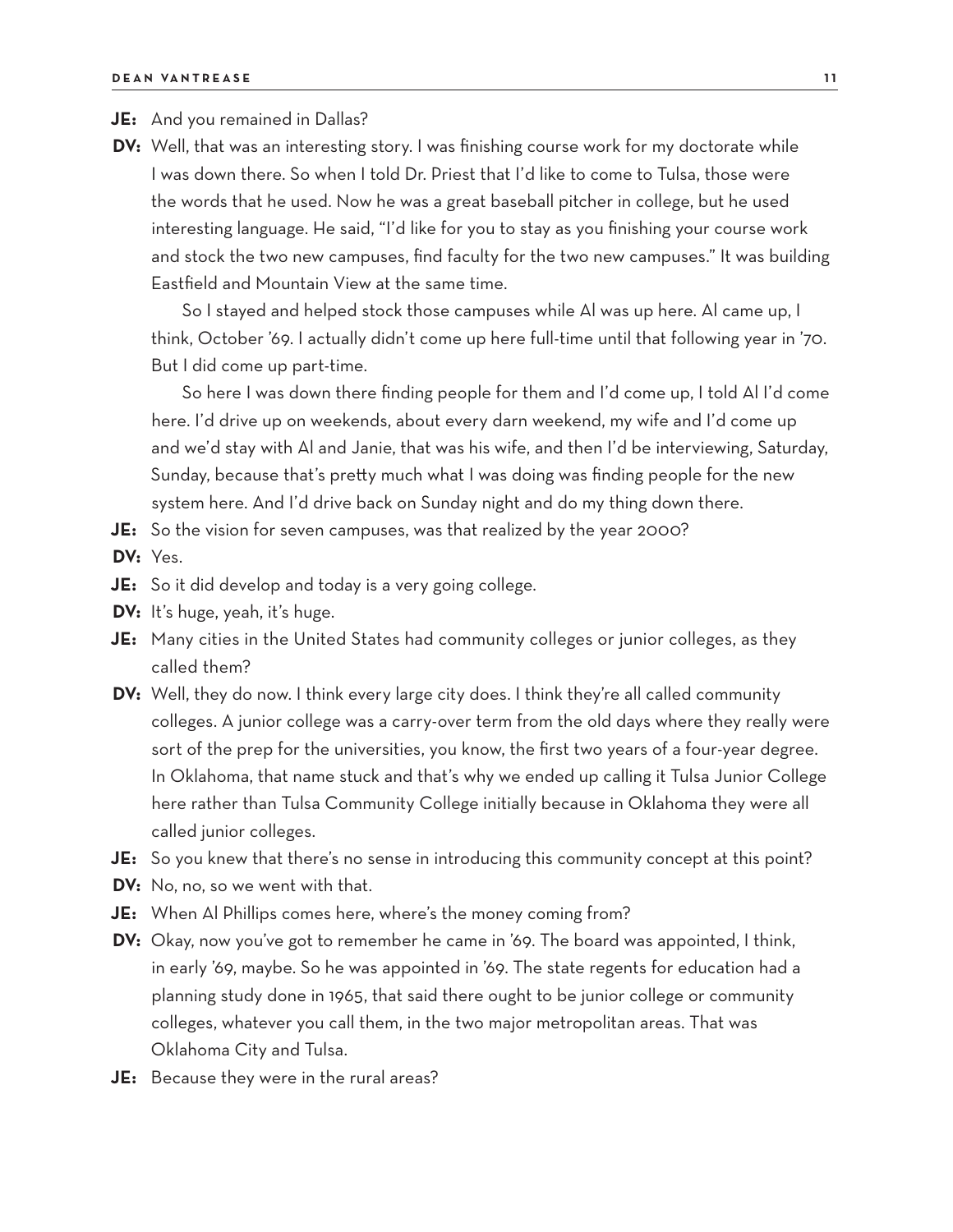**JE:** And you remained in Dallas?

**DV:** Well, that was an interesting story. I was finishing course work for my doctorate while I was down there. So when I told Dr. Priest that I'd like to come to Tulsa, those were the words that he used. Now he was a great baseball pitcher in college, but he used interesting language. He said, "I'd like for you to stay as you finishing your course work and stock the two new campuses, find faculty for the two new campuses." It was building Eastfield and Mountain View at the same time.

So I stayed and helped stock those campuses while Al was up here. Al came up, I think, October '69. I actually didn't come up here full-time until that following year in '70. But I did come up part-time.

So here I was down there finding people for them and I'd come up, I told Al I'd come here. I'd drive up on weekends, about every darn weekend, my wife and I'd come up and we'd stay with Al and Janie, that was his wife, and then I'd be interviewing, Saturday, Sunday, because that's pretty much what I was doing was finding people for the new system here. And I'd drive back on Sunday night and do my thing down there.

**JE:** So the vision for seven campuses, was that realized by the year 2000?

**DV:** Yes.

- **JE:** So it did develop and today is a very going college.
- **DV:** It's huge, yeah, it's huge.
- **JE:** Many cities in the United States had community colleges or junior colleges, as they called them?
- **DV:** Well, they do now. I think every large city does. I think they're all called community colleges. A junior college was a carry-over term from the old days where they really were sort of the prep for the universities, you know, the first two years of a four-year degree. In Oklahoma, that name stuck and that's why we ended up calling it Tulsa Junior College here rather than Tulsa Community College initially because in Oklahoma they were all called junior colleges.
- **JE:** So you knew that there's no sense in introducing this community concept at this point?
- **DV:** No, no, so we went with that.
- **JE:** When Al Phillips comes here, where's the money coming from?
- **DV:** Okay, now you've got to remember he came in '69. The board was appointed, I think, in early '69, maybe. So he was appointed in '69. The state regents for education had a planning study done in 1965, that said there ought to be junior college or community colleges, whatever you call them, in the two major metropolitan areas. That was Oklahoma City and Tulsa.
- **JE:** Because they were in the rural areas?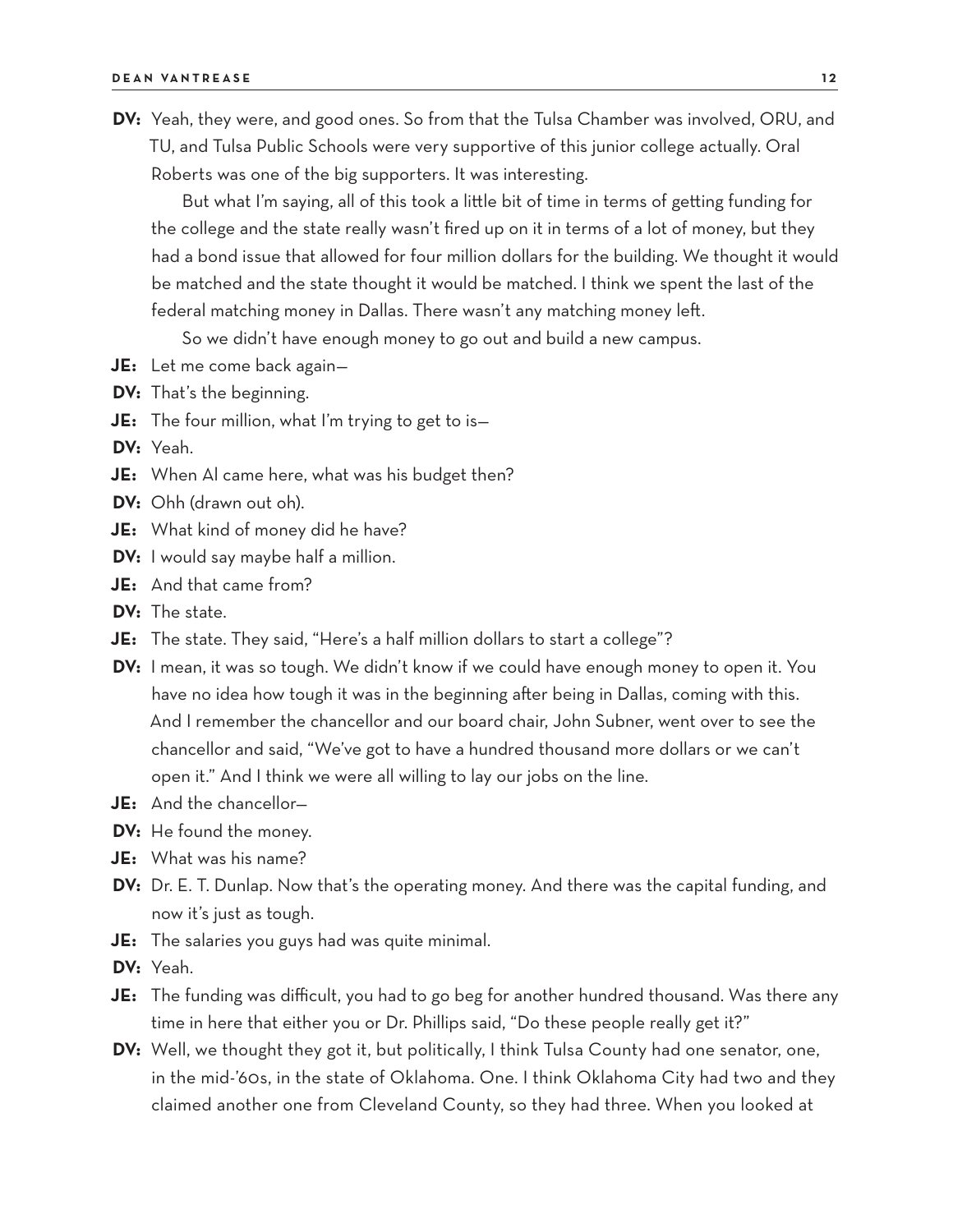**DV:** Yeah, they were, and good ones. So from that the Tulsa Chamber was involved, ORU, and TU, and Tulsa Public Schools were very supportive of this junior college actually. Oral Roberts was one of the big supporters. It was interesting.

But what I'm saying, all of this took a little bit of time in terms of getting funding for the college and the state really wasn't fired up on it in terms of a lot of money, but they had a bond issue that allowed for four million dollars for the building. We thought it would be matched and the state thought it would be matched. I think we spent the last of the federal matching money in Dallas. There wasn't any matching money left.

So we didn't have enough money to go out and build a new campus.

- **JE:** Let me come back again—
- **DV:** That's the beginning.
- **JE:** The four million, what I'm trying to get to is—
- **DV:** Yeah.
- **JE:** When Al came here, what was his budget then?
- **DV:** Ohh (drawn out oh).
- **JE:** What kind of money did he have?
- **DV:** I would say maybe half a million.
- **JE:** And that came from?
- **DV:** The state.
- **JE:** The state. They said, "Here's a half million dollars to start a college"?
- **DV:** I mean, it was so tough. We didn't know if we could have enough money to open it. You have no idea how tough it was in the beginning after being in Dallas, coming with this. And I remember the chancellor and our board chair, John Subner, went over to see the chancellor and said, "We've got to have a hundred thousand more dollars or we can't open it." And I think we were all willing to lay our jobs on the line.
- **JE:** And the chancellor—
- **DV:** He found the money.
- **JE:** What was his name?
- **DV:** Dr. E. T. Dunlap. Now that's the operating money. And there was the capital funding, and now it's just as tough.
- **JE:** The salaries you guys had was quite minimal.
- **DV:** Yeah.
- **JE:** The funding was difficult, you had to go beg for another hundred thousand. Was there any time in here that either you or Dr. Phillips said, "Do these people really get it?"
- **DV:** Well, we thought they got it, but politically, I think Tulsa County had one senator, one, in the mid-'60s, in the state of Oklahoma. One. I think Oklahoma City had two and they claimed another one from Cleveland County, so they had three. When you looked at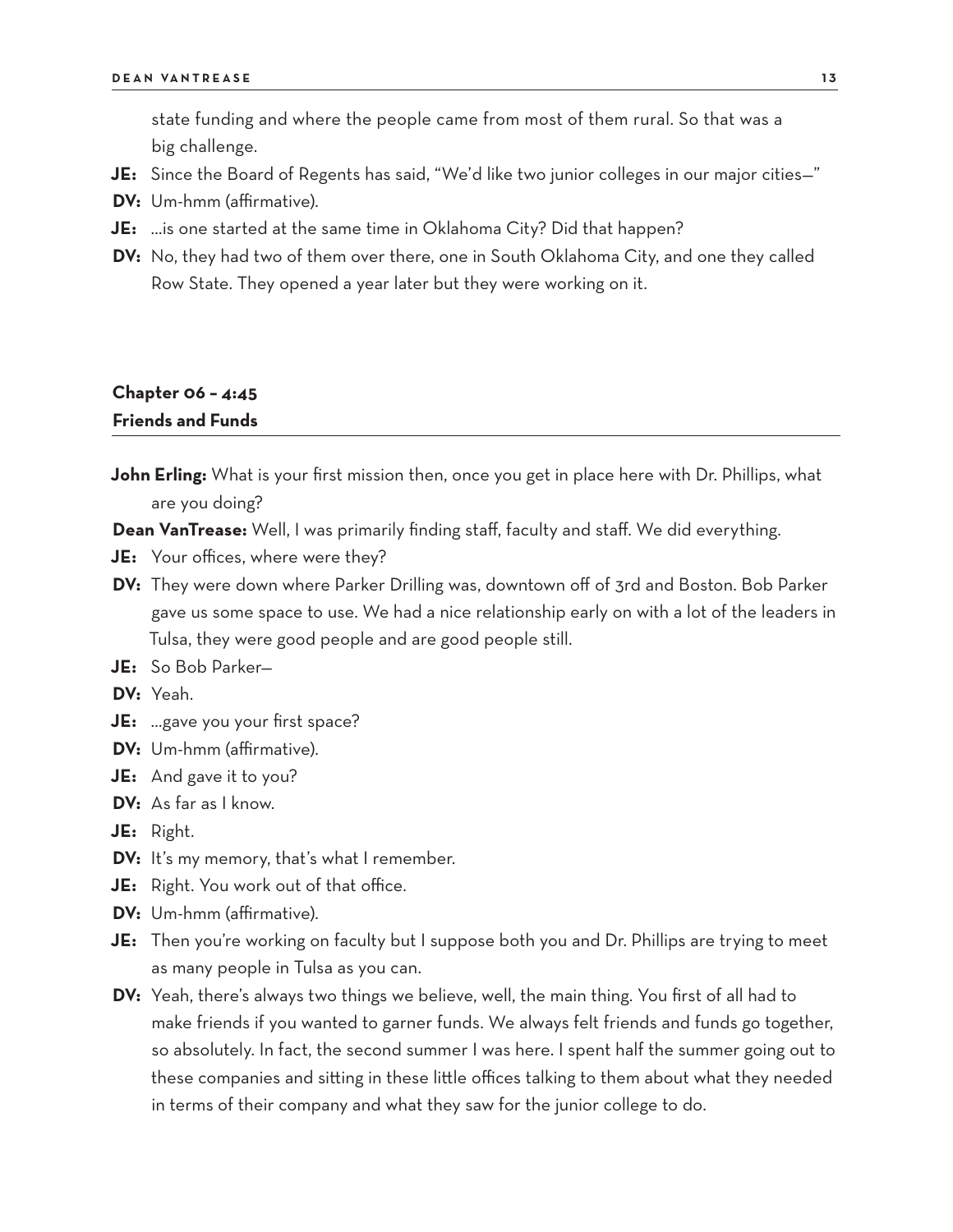state funding and where the people came from most of them rural. So that was a big challenge.

- **JE:** Since the Board of Regents has said, "We'd like two junior colleges in our major cities—"
- **DV:** Um-hmm (affirmative).
- **JE:** …is one started at the same time in Oklahoma City? Did that happen?
- **DV:** No, they had two of them over there, one in South Oklahoma City, and one they called Row State. They opened a year later but they were working on it.

### **Chapter 06 – 4:45 Friends and Funds**

- **John Erling:** What is your first mission then, once you get in place here with Dr. Phillips, what are you doing?
- **Dean VanTrease:** Well, I was primarily finding staff, faculty and staff. We did everything.
- **JE:** Your offices, where were they?
- **DV:** They were down where Parker Drilling was, downtown off of 3rd and Boston. Bob Parker gave us some space to use. We had a nice relationship early on with a lot of the leaders in Tulsa, they were good people and are good people still.
- **JE:** So Bob Parker—
- **DV:** Yeah.
- **JE:** …gave you your first space?
- **DV:** Um-hmm (affirmative).
- **JE:** And gave it to you?
- **DV:** As far as I know.
- **JE:** Right.
- **DV:** It's my memory, that's what I remember.
- **JE:** Right. You work out of that office.
- **DV:** Um-hmm (affirmative).
- **JE:** Then you're working on faculty but I suppose both you and Dr. Phillips are trying to meet as many people in Tulsa as you can.
- **DV:** Yeah, there's always two things we believe, well, the main thing. You first of all had to make friends if you wanted to garner funds. We always felt friends and funds go together, so absolutely. In fact, the second summer I was here. I spent half the summer going out to these companies and sitting in these little offices talking to them about what they needed in terms of their company and what they saw for the junior college to do.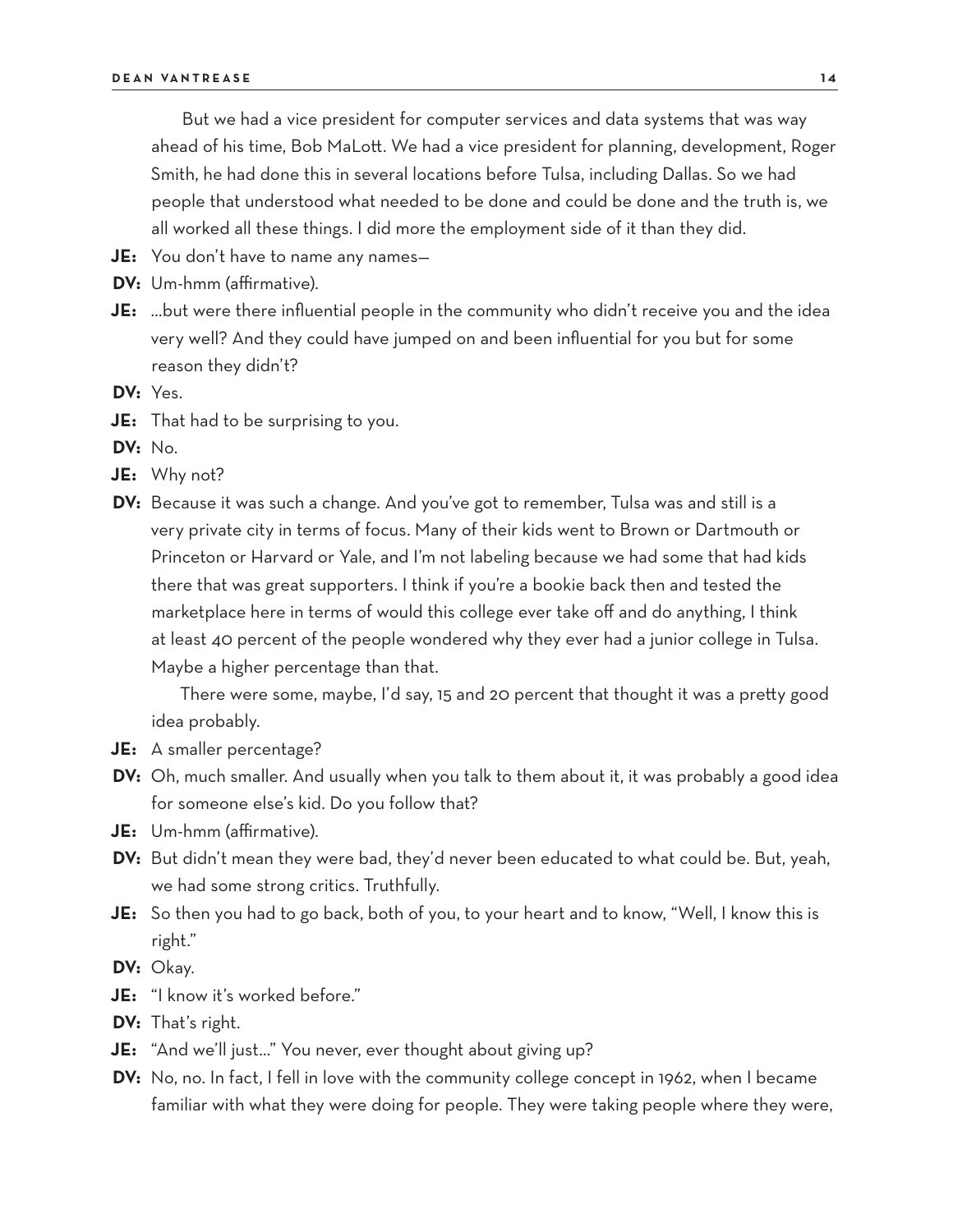But we had a vice president for computer services and data systems that was way ahead of his time, Bob MaLott. We had a vice president for planning, development, Roger Smith, he had done this in several locations before Tulsa, including Dallas. So we had people that understood what needed to be done and could be done and the truth is, we all worked all these things. I did more the employment side of it than they did.

- **JE:** You don't have to name any names—
- **DV:** Um-hmm (affirmative).
- **JE:** …but were there influential people in the community who didn't receive you and the idea very well? And they could have jumped on and been influential for you but for some reason they didn't?
- **DV:** Yes.
- **JE:** That had to be surprising to you.
- **DV:** No.
- **JE:** Why not?
- **DV:** Because it was such a change. And you've got to remember, Tulsa was and still is a very private city in terms of focus. Many of their kids went to Brown or Dartmouth or Princeton or Harvard or Yale, and I'm not labeling because we had some that had kids there that was great supporters. I think if you're a bookie back then and tested the marketplace here in terms of would this college ever take off and do anything, I think at least 40 percent of the people wondered why they ever had a junior college in Tulsa. Maybe a higher percentage than that.

There were some, maybe, I'd say, 15 and 20 percent that thought it was a pretty good idea probably.

- **JE:** A smaller percentage?
- **DV:** Oh, much smaller. And usually when you talk to them about it, it was probably a good idea for someone else's kid. Do you follow that?
- **JE:** Um-hmm (affirmative).
- **DV:** But didn't mean they were bad, they'd never been educated to what could be. But, yeah, we had some strong critics. Truthfully.
- **JE:** So then you had to go back, both of you, to your heart and to know, "Well, I know this is right."
- **DV:** Okay.
- **JE:** "I know it's worked before."
- **DV:** That's right.
- **JE:** "And we'll just…" You never, ever thought about giving up?
- **DV:** No, no. In fact, I fell in love with the community college concept in 1962, when I became familiar with what they were doing for people. They were taking people where they were,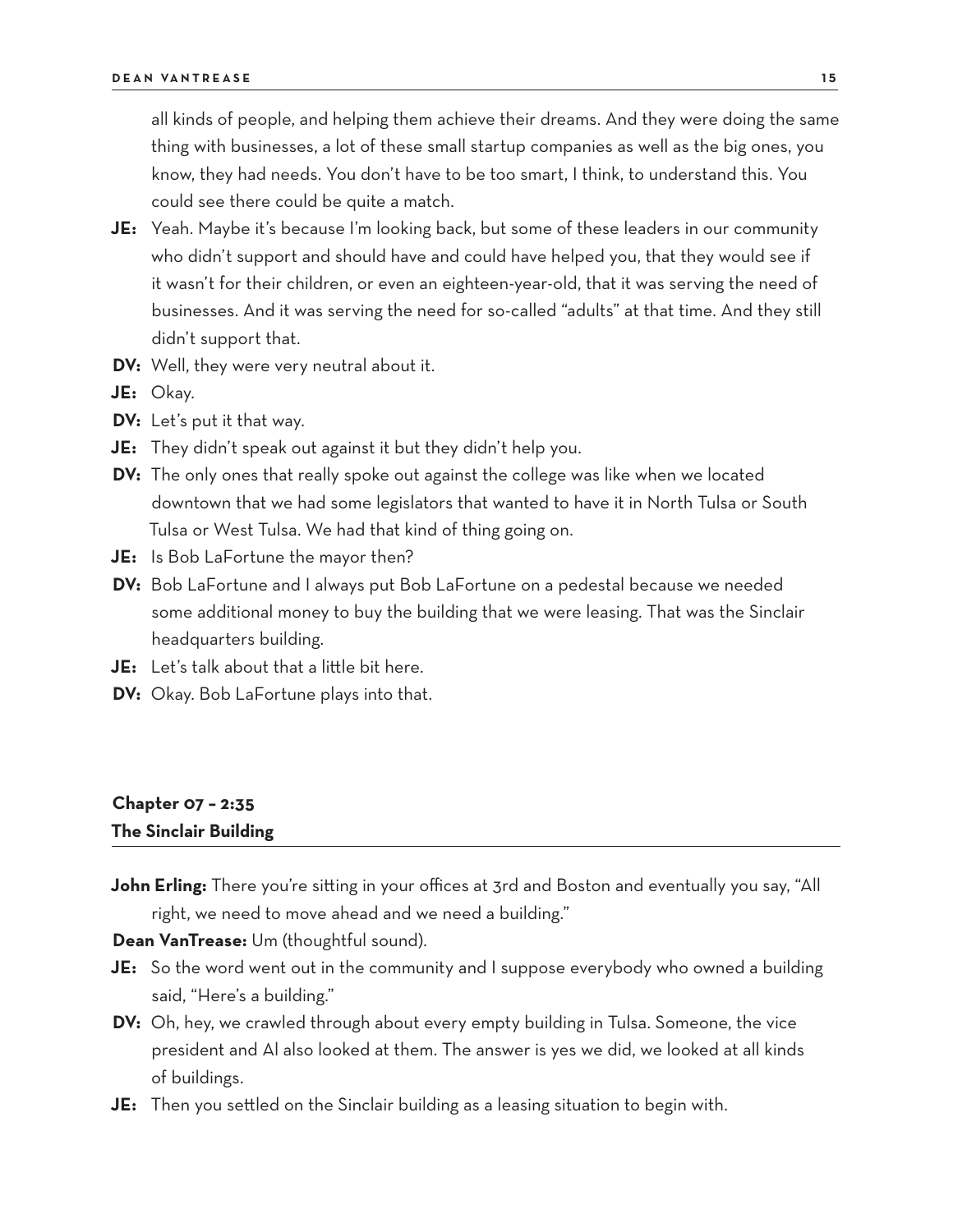all kinds of people, and helping them achieve their dreams. And they were doing the same thing with businesses, a lot of these small startup companies as well as the big ones, you know, they had needs. You don't have to be too smart, I think, to understand this. You could see there could be quite a match.

- **JE:** Yeah. Maybe it's because I'm looking back, but some of these leaders in our community who didn't support and should have and could have helped you, that they would see if it wasn't for their children, or even an eighteen-year-old, that it was serving the need of businesses. And it was serving the need for so-called "adults" at that time. And they still didn't support that.
- **DV:** Well, they were very neutral about it.
- **JE:** Okay.
- **DV:** Let's put it that way.
- **JE:** They didn't speak out against it but they didn't help you.
- **DV:** The only ones that really spoke out against the college was like when we located downtown that we had some legislators that wanted to have it in North Tulsa or South Tulsa or West Tulsa. We had that kind of thing going on.
- **JE:** Is Bob LaFortune the mayor then?
- **DV:** Bob LaFortune and I always put Bob LaFortune on a pedestal because we needed some additional money to buy the building that we were leasing. That was the Sinclair headquarters building.
- **JE:** Let's talk about that a little bit here.
- **DV:** Okay. Bob LaFortune plays into that.

# **Chapter 07 – 2:35 The Sinclair Building**

**John Erling:** There you're sitting in your offices at 3rd and Boston and eventually you say, "All right, we need to move ahead and we need a building."

**Dean VanTrease:** Um (thoughtful sound).

- **JE:** So the word went out in the community and I suppose everybody who owned a building said, "Here's a building."
- **DV:** Oh, hey, we crawled through about every empty building in Tulsa. Someone, the vice president and Al also looked at them. The answer is yes we did, we looked at all kinds of buildings.
- **JE:** Then you settled on the Sinclair building as a leasing situation to begin with.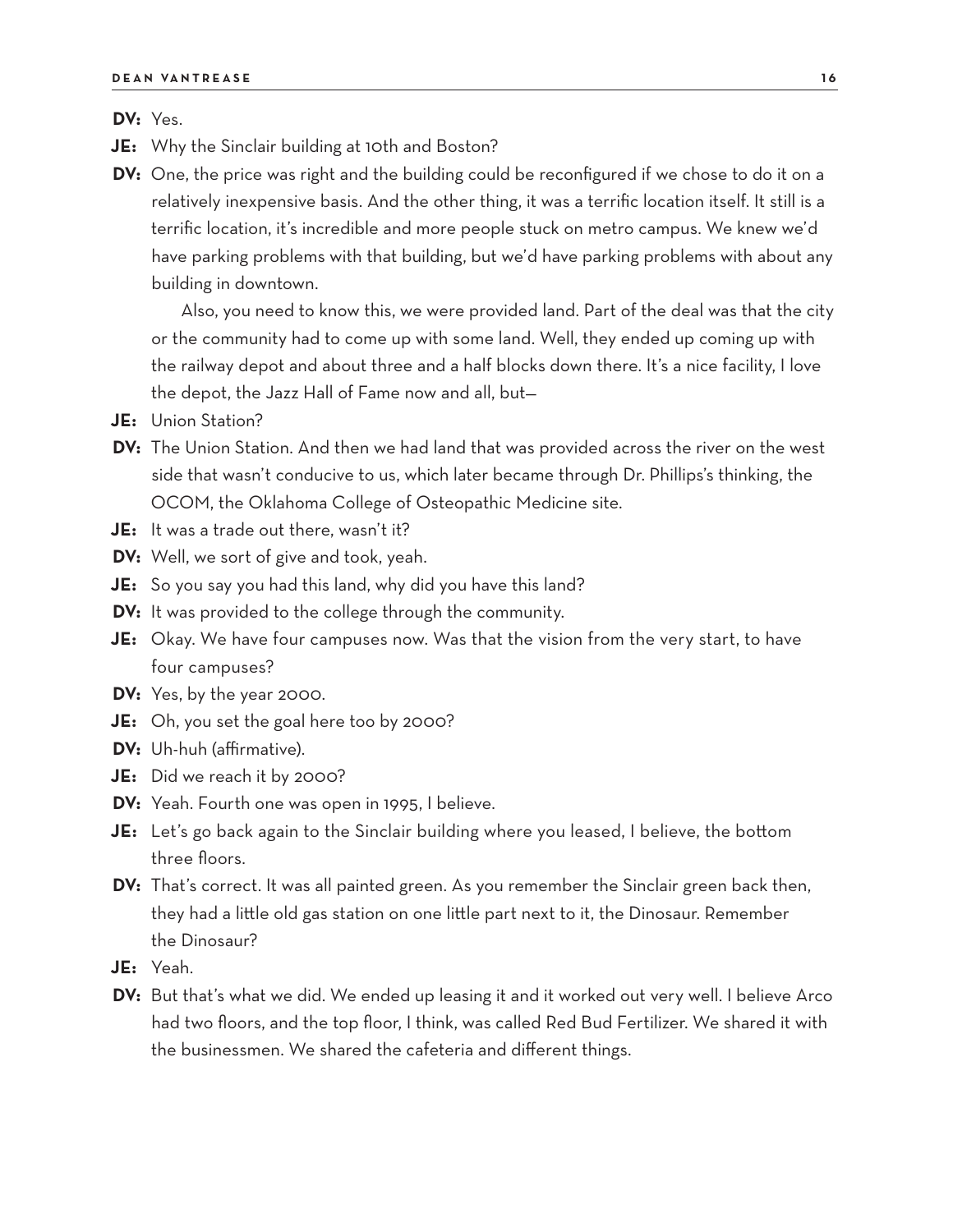**DV:** Yes.

- **JE:** Why the Sinclair building at 10th and Boston?
- **DV:** One, the price was right and the building could be reconfigured if we chose to do it on a relatively inexpensive basis. And the other thing, it was a terrific location itself. It still is a terrific location, it's incredible and more people stuck on metro campus. We knew we'd have parking problems with that building, but we'd have parking problems with about any building in downtown.

Also, you need to know this, we were provided land. Part of the deal was that the city or the community had to come up with some land. Well, they ended up coming up with the railway depot and about three and a half blocks down there. It's a nice facility, I love the depot, the Jazz Hall of Fame now and all, but—

- **JE:** Union Station?
- **DV:** The Union Station. And then we had land that was provided across the river on the west side that wasn't conducive to us, which later became through Dr. Phillips's thinking, the OCOM, the Oklahoma College of Osteopathic Medicine site.
- **JE:** It was a trade out there, wasn't it?
- **DV:** Well, we sort of give and took, yeah.
- **JE:** So you say you had this land, why did you have this land?
- **DV:** It was provided to the college through the community.
- **JE:** Okay. We have four campuses now. Was that the vision from the very start, to have four campuses?
- **DV:** Yes, by the year 2000.
- **JE:** Oh, you set the goal here too by 2000?
- **DV:** Uh-huh (affirmative).
- **JE:** Did we reach it by 2000?
- **DV:** Yeah. Fourth one was open in 1995, I believe.
- **JE:** Let's go back again to the Sinclair building where you leased, I believe, the bottom three floors.
- **DV:** That's correct. It was all painted green. As you remember the Sinclair green back then, they had a little old gas station on one little part next to it, the Dinosaur. Remember the Dinosaur?
- **JE:** Yeah.
- **DV:** But that's what we did. We ended up leasing it and it worked out very well. I believe Arco had two floors, and the top floor, I think, was called Red Bud Fertilizer. We shared it with the businessmen. We shared the cafeteria and different things.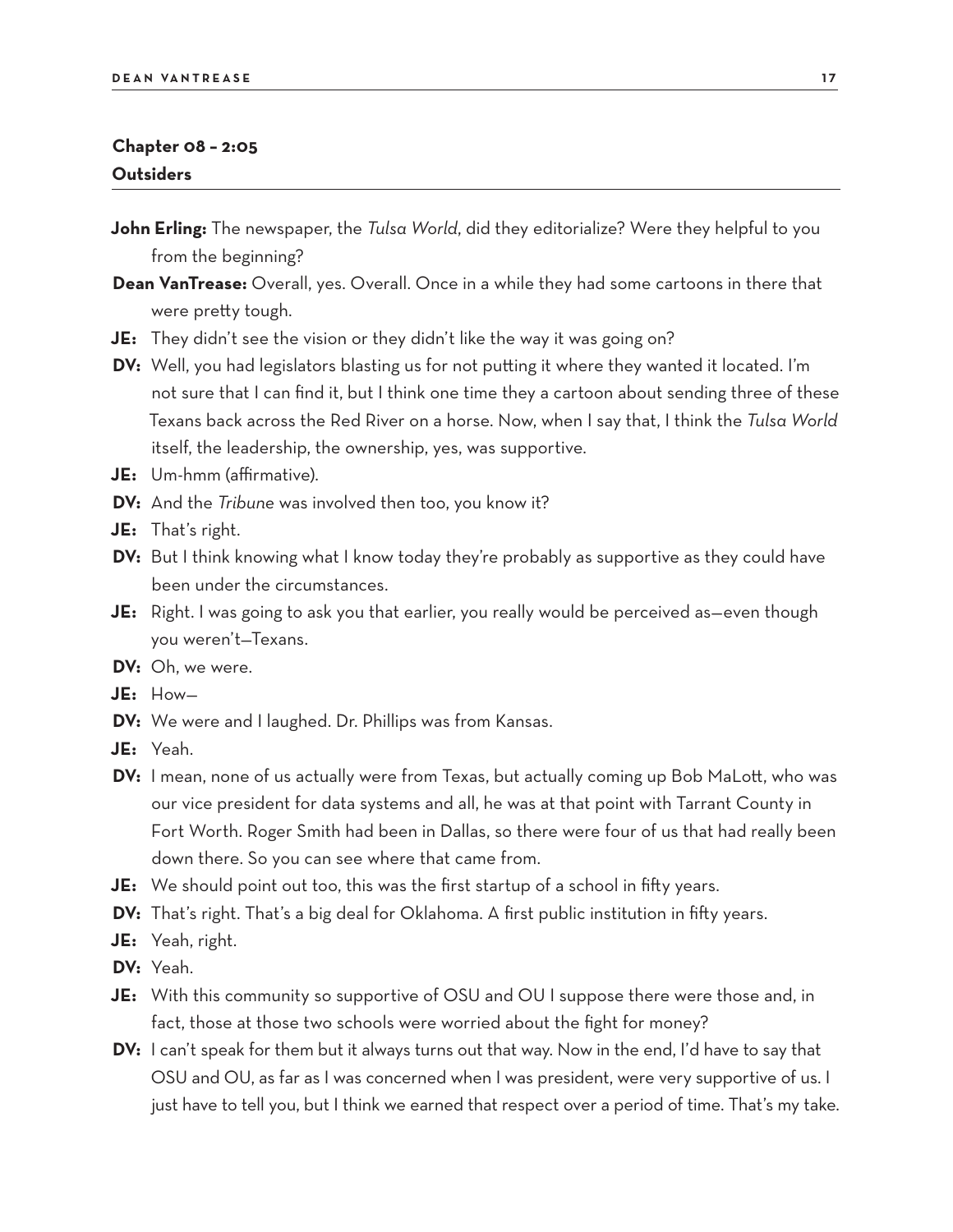### **Chapter 08 – 2:05 Outsiders**

- **John Erling:** The newspaper, the *Tulsa World*, did they editorialize? Were they helpful to you from the beginning?
- **Dean VanTrease:** Overall, yes. Overall. Once in a while they had some cartoons in there that were pretty tough.
- **JE:** They didn't see the vision or they didn't like the way it was going on?
- **DV:** Well, you had legislators blasting us for not putting it where they wanted it located. I'm not sure that I can find it, but I think one time they a cartoon about sending three of these Texans back across the Red River on a horse. Now, when I say that, I think the *Tulsa World* itself, the leadership, the ownership, yes, was supportive.
- **JE:** Um-hmm (affirmative).
- **DV:** And the *Tribune* was involved then too, you know it?
- **JE:** That's right.
- **DV:** But I think knowing what I know today they're probably as supportive as they could have been under the circumstances.
- **JE:** Right. I was going to ask you that earlier, you really would be perceived as—even though you weren't—Texans.
- **DV:** Oh, we were.
- **JE:** How—
- **DV:** We were and I laughed. Dr. Phillips was from Kansas.
- **JE:** Yeah.
- **DV:** I mean, none of us actually were from Texas, but actually coming up Bob MaLott, who was our vice president for data systems and all, he was at that point with Tarrant County in Fort Worth. Roger Smith had been in Dallas, so there were four of us that had really been down there. So you can see where that came from.
- **JE:** We should point out too, this was the first startup of a school in fifty years.
- **DV:** That's right. That's a big deal for Oklahoma. A first public institution in fifty years.
- **JE:** Yeah, right.
- **DV:** Yeah.
- **JE:** With this community so supportive of OSU and OU I suppose there were those and, in fact, those at those two schools were worried about the fight for money?
- **DV:** I can't speak for them but it always turns out that way. Now in the end, I'd have to say that OSU and OU, as far as I was concerned when I was president, were very supportive of us. I just have to tell you, but I think we earned that respect over a period of time. That's my take.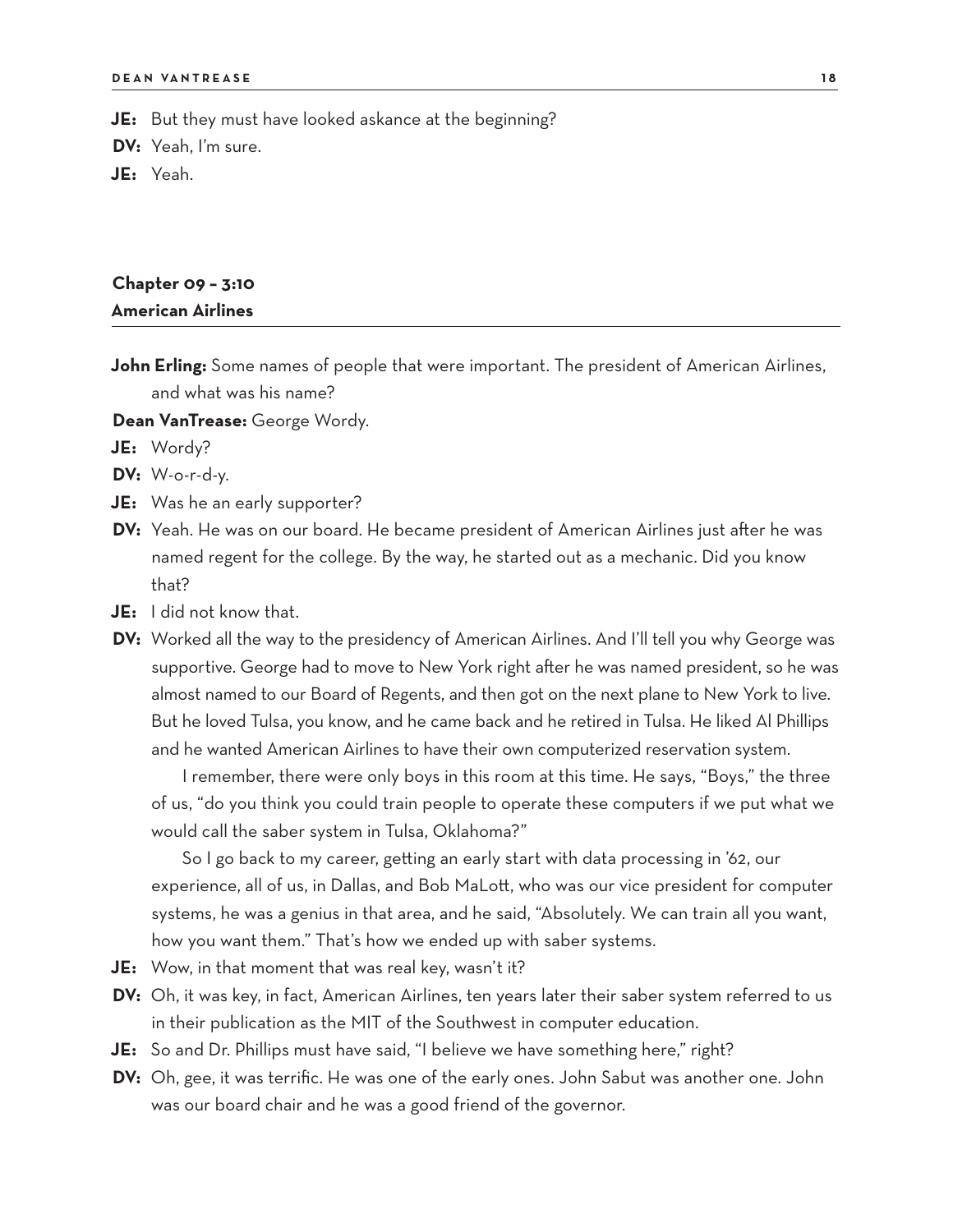**JE:** But they must have looked askance at the beginning?

**DV:** Yeah, I'm sure.

**JE:** Yeah.

# **Chapter 09 – 3:10 American Airlines**

**John Erling:** Some names of people that were important. The president of American Airlines, and what was his name?

**Dean VanTrease:** George Wordy.

**JE:** Wordy?

**DV:** W-o-r-d-y.

- **JE:** Was he an early supporter?
- **DV:** Yeah. He was on our board. He became president of American Airlines just after he was named regent for the college. By the way, he started out as a mechanic. Did you know that?
- **JE:** I did not know that.
- **DV:** Worked all the way to the presidency of American Airlines. And I'll tell you why George was supportive. George had to move to New York right after he was named president, so he was almost named to our Board of Regents, and then got on the next plane to New York to live. But he loved Tulsa, you know, and he came back and he retired in Tulsa. He liked Al Phillips and he wanted American Airlines to have their own computerized reservation system.

I remember, there were only boys in this room at this time. He says, "Boys," the three of us, "do you think you could train people to operate these computers if we put what we would call the saber system in Tulsa, Oklahoma?"

So I go back to my career, getting an early start with data processing in '62, our experience, all of us, in Dallas, and Bob MaLott, who was our vice president for computer systems, he was a genius in that area, and he said, "Absolutely. We can train all you want, how you want them." That's how we ended up with saber systems.

- **JE:** Wow, in that moment that was real key, wasn't it?
- **DV:** Oh, it was key, in fact, American Airlines, ten years later their saber system referred to us in their publication as the MIT of the Southwest in computer education.
- **JE:** So and Dr. Phillips must have said, "I believe we have something here," right?
- **DV:** Oh, gee, it was terrific. He was one of the early ones. John Sabut was another one. John was our board chair and he was a good friend of the governor.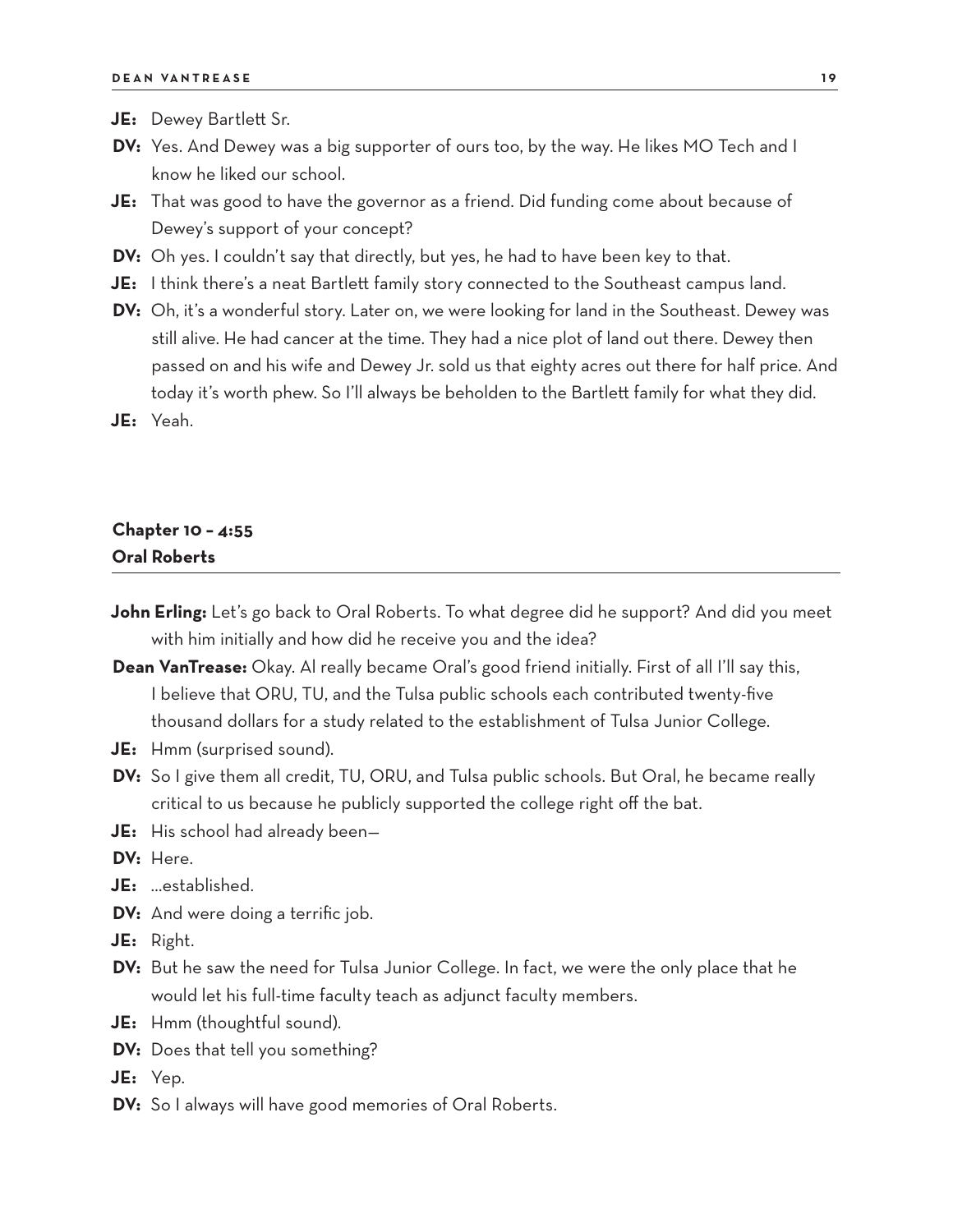- **JE:** Dewey Bartlett Sr.
- **DV:** Yes. And Dewey was a big supporter of ours too, by the way. He likes MO Tech and I know he liked our school.
- **JE:** That was good to have the governor as a friend. Did funding come about because of Dewey's support of your concept?
- **DV:** Oh yes. I couldn't say that directly, but yes, he had to have been key to that.
- **JE:** I think there's a neat Bartlett family story connected to the Southeast campus land.
- **DV:** Oh, it's a wonderful story. Later on, we were looking for land in the Southeast. Dewey was still alive. He had cancer at the time. They had a nice plot of land out there. Dewey then passed on and his wife and Dewey Jr. sold us that eighty acres out there for half price. And today it's worth phew. So I'll always be beholden to the Bartlett family for what they did.
- **JE:** Yeah.

# **Chapter 10 – 4:55 Oral Roberts**

- **John Erling:** Let's go back to Oral Roberts. To what degree did he support? And did you meet with him initially and how did he receive you and the idea?
- **Dean VanTrease:** Okay. Al really became Oral's good friend initially. First of all I'll say this, I believe that ORU, TU, and the Tulsa public schools each contributed twenty-five thousand dollars for a study related to the establishment of Tulsa Junior College.
- **JE:** Hmm (surprised sound).
- **DV:** So I give them all credit, TU, ORU, and Tulsa public schools. But Oral, he became really critical to us because he publicly supported the college right off the bat.
- **JE:** His school had already been—
- **DV:** Here.
- **JE:** …established.
- **DV:** And were doing a terrific job.
- **JE:** Right.
- **DV:** But he saw the need for Tulsa Junior College. In fact, we were the only place that he would let his full-time faculty teach as adjunct faculty members.
- **JE:** Hmm (thoughtful sound).
- **DV:** Does that tell you something?
- **JE:** Yep.
- **DV:** So I always will have good memories of Oral Roberts.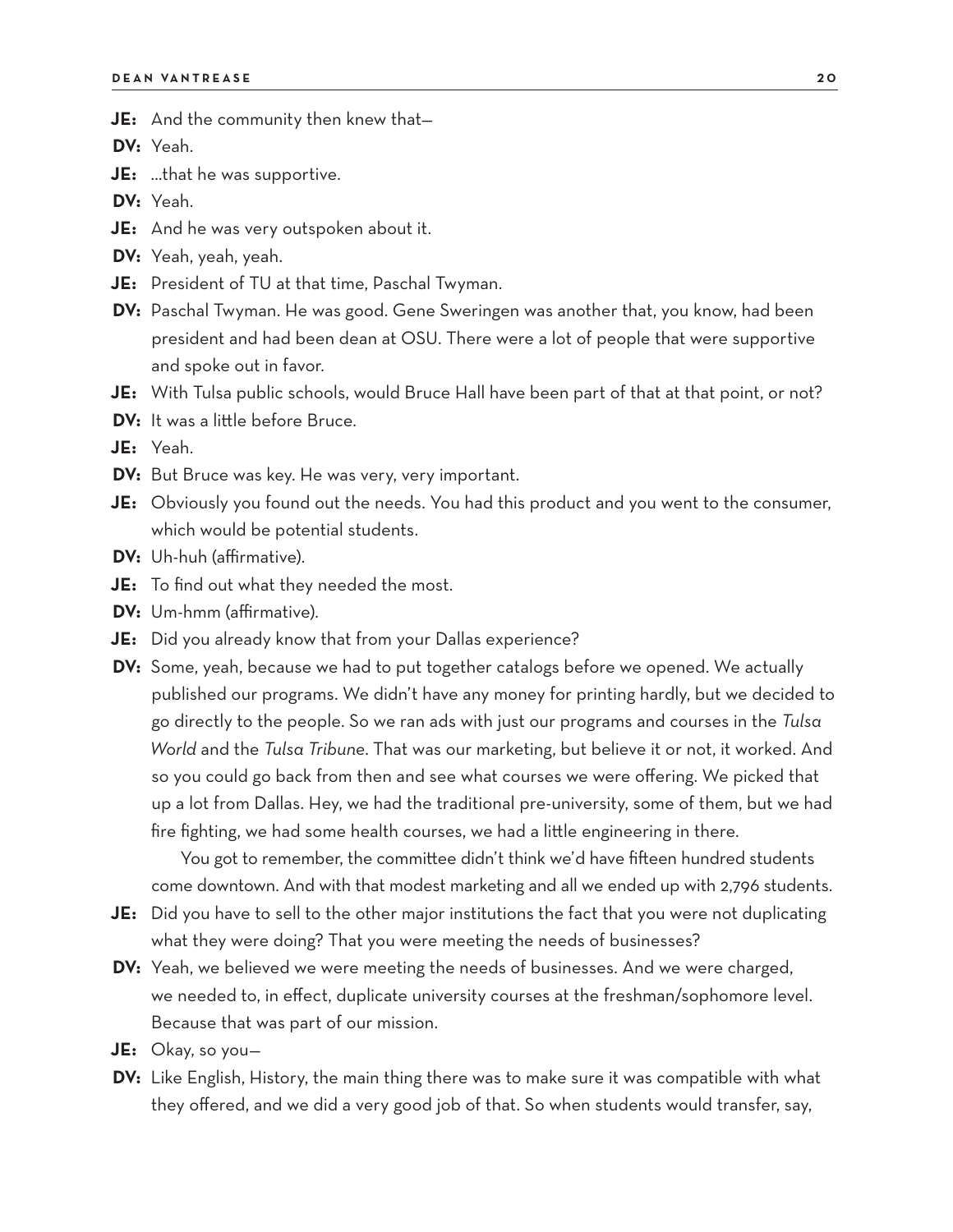**JE:** And the community then knew that—

**DV:** Yeah.

**JE:** …that he was supportive.

**DV:** Yeah.

- **JE:** And he was very outspoken about it.
- **DV:** Yeah, yeah, yeah.
- **JE:** President of TU at that time, Paschal Twyman.
- **DV:** Paschal Twyman. He was good. Gene Sweringen was another that, you know, had been president and had been dean at OSU. There were a lot of people that were supportive and spoke out in favor.
- **JE:** With Tulsa public schools, would Bruce Hall have been part of that at that point, or not?
- **DV:** It was a little before Bruce.

**JE:** Yeah.

- **DV:** But Bruce was key. He was very, very important.
- **JE:** Obviously you found out the needs. You had this product and you went to the consumer, which would be potential students.
- **DV:** Uh-huh (affirmative).
- **JE:** To find out what they needed the most.
- **DV:** Um-hmm (affirmative).
- **JE:** Did you already know that from your Dallas experience?
- **DV:** Some, yeah, because we had to put together catalogs before we opened. We actually published our programs. We didn't have any money for printing hardly, but we decided to go directly to the people. So we ran ads with just our programs and courses in the *Tulsa World* and the *Tulsa Tribune*. That was our marketing, but believe it or not, it worked. And so you could go back from then and see what courses we were offering. We picked that up a lot from Dallas. Hey, we had the traditional pre-university, some of them, but we had fire fighting, we had some health courses, we had a little engineering in there.

You got to remember, the committee didn't think we'd have fifteen hundred students come downtown. And with that modest marketing and all we ended up with 2,796 students.

- **JE:** Did you have to sell to the other major institutions the fact that you were not duplicating what they were doing? That you were meeting the needs of businesses?
- **DV:** Yeah, we believed we were meeting the needs of businesses. And we were charged, we needed to, in effect, duplicate university courses at the freshman/sophomore level. Because that was part of our mission.
- **JE:** Okay, so you—
- **DV:** Like English, History, the main thing there was to make sure it was compatible with what they offered, and we did a very good job of that. So when students would transfer, say,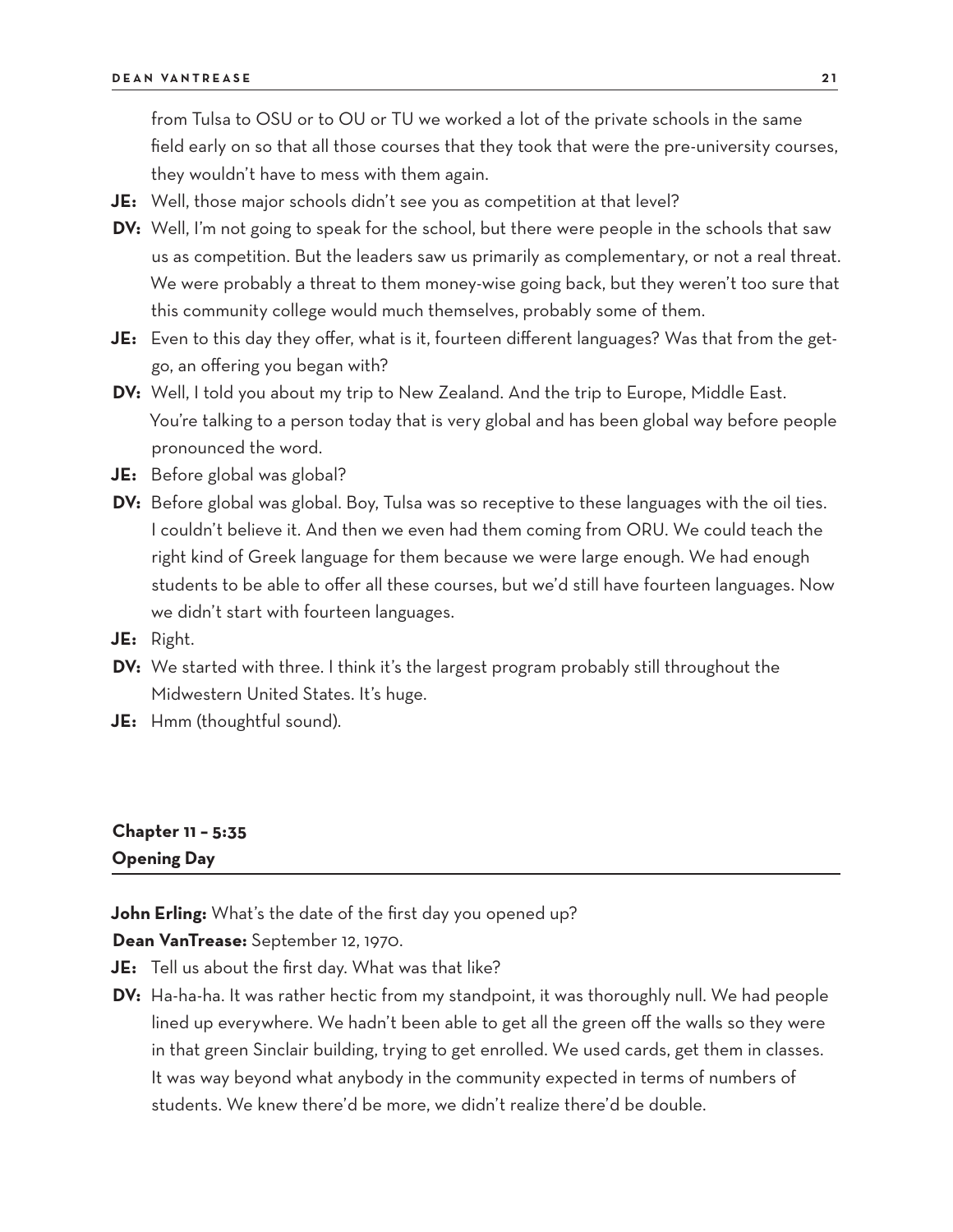from Tulsa to OSU or to OU or TU we worked a lot of the private schools in the same field early on so that all those courses that they took that were the pre-university courses, they wouldn't have to mess with them again.

- **JE:** Well, those major schools didn't see you as competition at that level?
- **DV:** Well, I'm not going to speak for the school, but there were people in the schools that saw us as competition. But the leaders saw us primarily as complementary, or not a real threat. We were probably a threat to them money-wise going back, but they weren't too sure that this community college would much themselves, probably some of them.
- **JE:** Even to this day they offer, what is it, fourteen different languages? Was that from the getgo, an offering you began with?
- **DV:** Well, I told you about my trip to New Zealand. And the trip to Europe, Middle East. You're talking to a person today that is very global and has been global way before people pronounced the word.
- **JE:** Before global was global?
- **DV:** Before global was global. Boy, Tulsa was so receptive to these languages with the oil ties. I couldn't believe it. And then we even had them coming from ORU. We could teach the right kind of Greek language for them because we were large enough. We had enough students to be able to offer all these courses, but we'd still have fourteen languages. Now we didn't start with fourteen languages.
- **JE:** Right.
- **DV:** We started with three. I think it's the largest program probably still throughout the Midwestern United States. It's huge.
- **JE:** Hmm (thoughtful sound).

# **Chapter 11 – 5:35 Opening Day**

**John Erling:** What's the date of the first day you opened up?

**Dean VanTrease:** September 12, 1970.

- **JE:** Tell us about the first day. What was that like?
- **DV:** Ha-ha-ha. It was rather hectic from my standpoint, it was thoroughly null. We had people lined up everywhere. We hadn't been able to get all the green off the walls so they were in that green Sinclair building, trying to get enrolled. We used cards, get them in classes. It was way beyond what anybody in the community expected in terms of numbers of students. We knew there'd be more, we didn't realize there'd be double.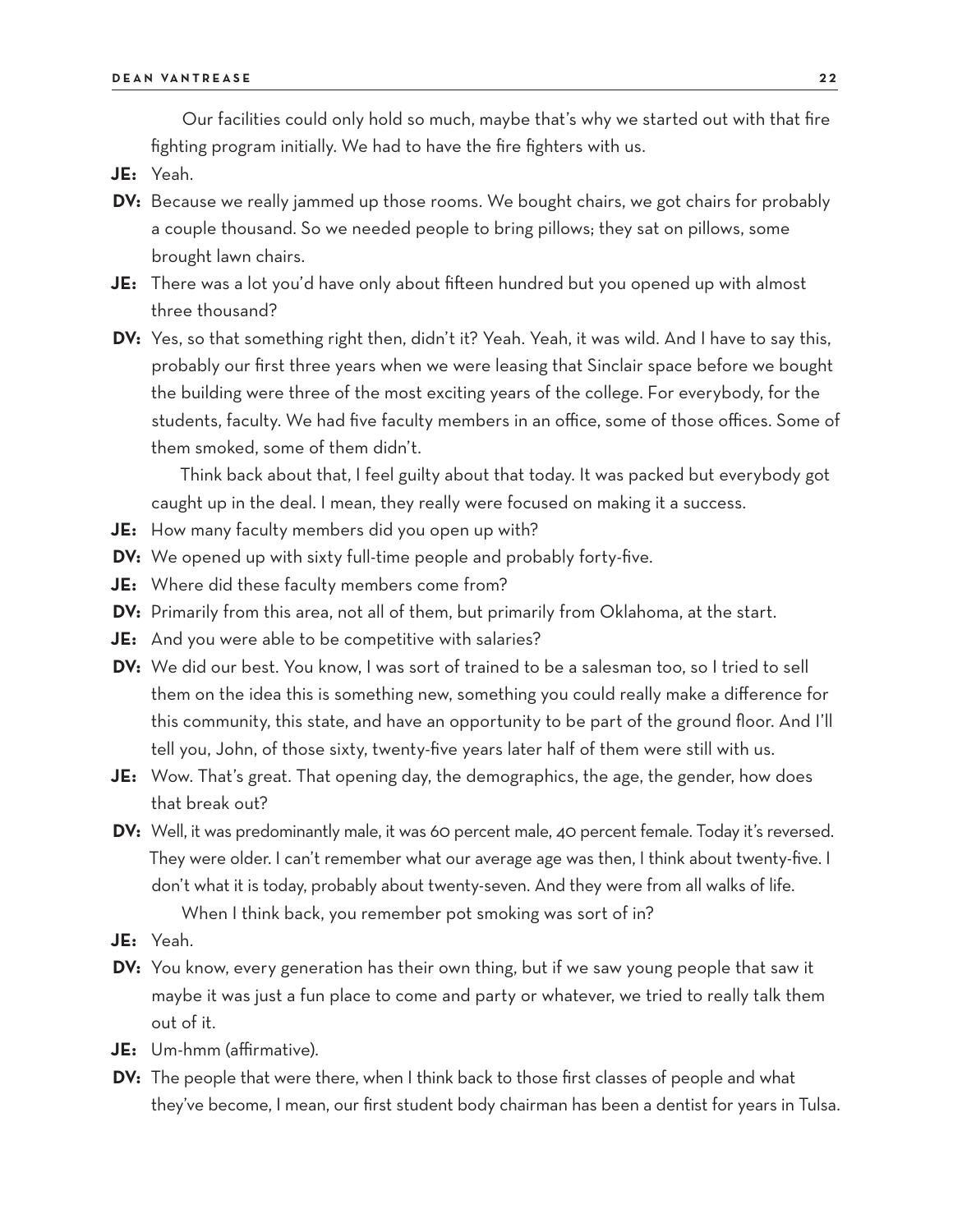Our facilities could only hold so much, maybe that's why we started out with that fire fighting program initially. We had to have the fire fighters with us.

- **JE:** Yeah.
- **DV:** Because we really jammed up those rooms. We bought chairs, we got chairs for probably a couple thousand. So we needed people to bring pillows; they sat on pillows, some brought lawn chairs.
- **JE:** There was a lot you'd have only about fifteen hundred but you opened up with almost three thousand?
- **DV:** Yes, so that something right then, didn't it? Yeah. Yeah, it was wild. And I have to say this, probably our first three years when we were leasing that Sinclair space before we bought the building were three of the most exciting years of the college. For everybody, for the students, faculty. We had five faculty members in an office, some of those offices. Some of them smoked, some of them didn't.

Think back about that, I feel guilty about that today. It was packed but everybody got caught up in the deal. I mean, they really were focused on making it a success.

- **JE:** How many faculty members did you open up with?
- **DV:** We opened up with sixty full-time people and probably forty-five.
- **JE:** Where did these faculty members come from?
- **DV:** Primarily from this area, not all of them, but primarily from Oklahoma, at the start.
- **JE:** And you were able to be competitive with salaries?
- **DV:** We did our best. You know, I was sort of trained to be a salesman too, so I tried to sell them on the idea this is something new, something you could really make a difference for this community, this state, and have an opportunity to be part of the ground floor. And I'll tell you, John, of those sixty, twenty-five years later half of them were still with us.
- **JE:** Wow. That's great. That opening day, the demographics, the age, the gender, how does that break out?
- **DV:** Well, it was predominantly male, it was 60 percent male, 40 percent female. Today it's reversed. They were older. I can't remember what our average age was then, I think about twenty-five. I don't what it is today, probably about twenty-seven. And they were from all walks of life.

When I think back, you remember pot smoking was sort of in?

- **JE:** Yeah.
- **DV:** You know, every generation has their own thing, but if we saw young people that saw it maybe it was just a fun place to come and party or whatever, we tried to really talk them out of it.
- **JE:** Um-hmm (affirmative).
- **DV:** The people that were there, when I think back to those first classes of people and what they've become, I mean, our first student body chairman has been a dentist for years in Tulsa.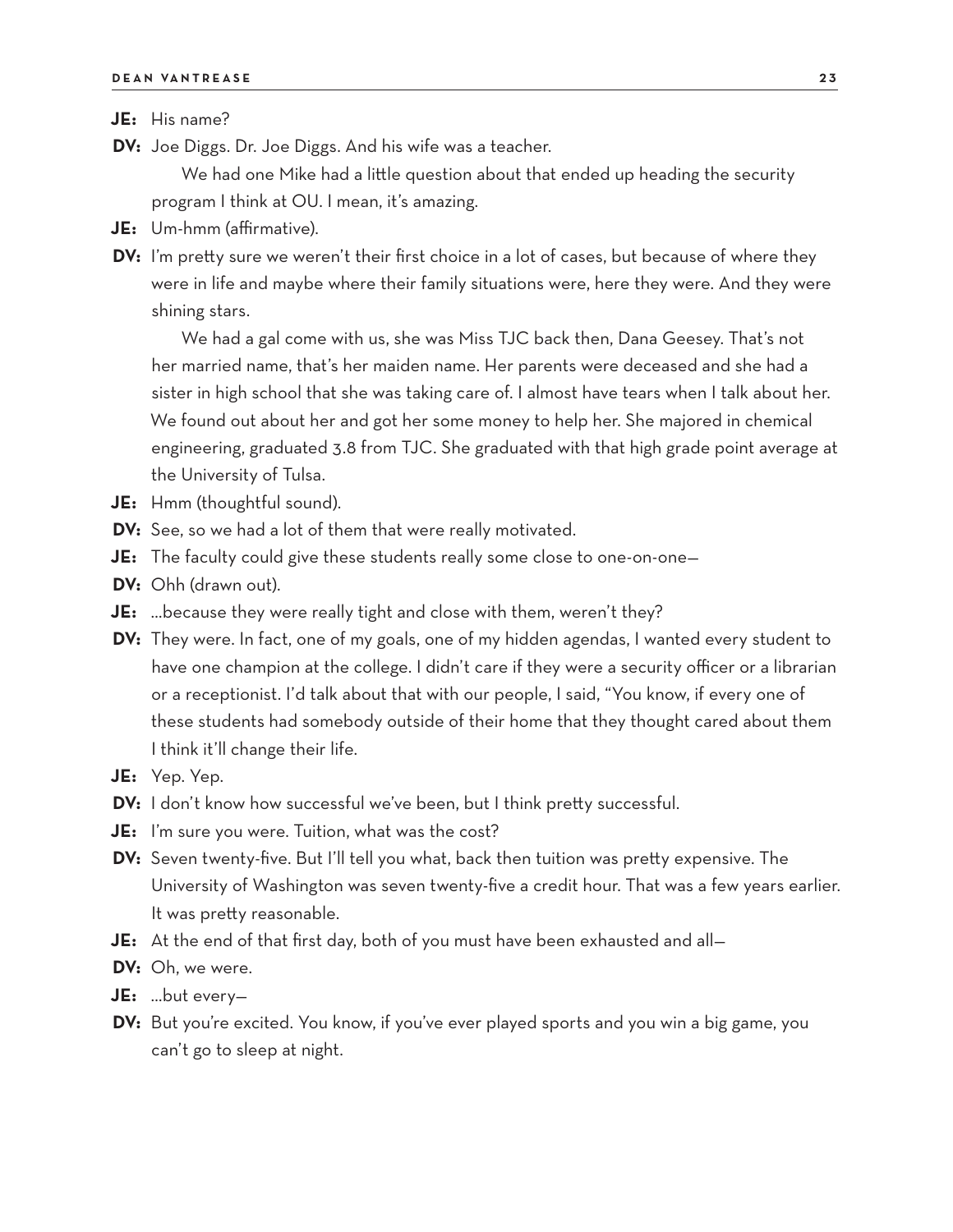**JE:** His name?

- **DV:** Joe Diggs. Dr. Joe Diggs. And his wife was a teacher. We had one Mike had a little question about that ended up heading the security program I think at OU. I mean, it's amazing.
- **JE:** Um-hmm (affirmative).
- **DV:** I'm pretty sure we weren't their first choice in a lot of cases, but because of where they were in life and maybe where their family situations were, here they were. And they were shining stars.

We had a gal come with us, she was Miss TJC back then, Dana Geesey. That's not her married name, that's her maiden name. Her parents were deceased and she had a sister in high school that she was taking care of. I almost have tears when I talk about her. We found out about her and got her some money to help her. She majored in chemical engineering, graduated 3.8 from TJC. She graduated with that high grade point average at the University of Tulsa.

- **JE:** Hmm (thoughtful sound).
- **DV:** See, so we had a lot of them that were really motivated.
- **JE:** The faculty could give these students really some close to one-on-one—
- **DV:** Ohh (drawn out).
- **JE:** …because they were really tight and close with them, weren't they?
- **DV:** They were. In fact, one of my goals, one of my hidden agendas, I wanted every student to have one champion at the college. I didn't care if they were a security officer or a librarian or a receptionist. I'd talk about that with our people, I said, "You know, if every one of these students had somebody outside of their home that they thought cared about them I think it'll change their life.
- **JE:** Yep. Yep.
- **DV:** I don't know how successful we've been, but I think pretty successful.
- **JE:** I'm sure you were. Tuition, what was the cost?
- **DV:** Seven twenty-five. But I'll tell you what, back then tuition was pretty expensive. The University of Washington was seven twenty-five a credit hour. That was a few years earlier. It was pretty reasonable.
- **JE:** At the end of that first day, both of you must have been exhausted and all—
- **DV:** Oh, we were.
- **JE:** …but every—
- **DV:** But you're excited. You know, if you've ever played sports and you win a big game, you can't go to sleep at night.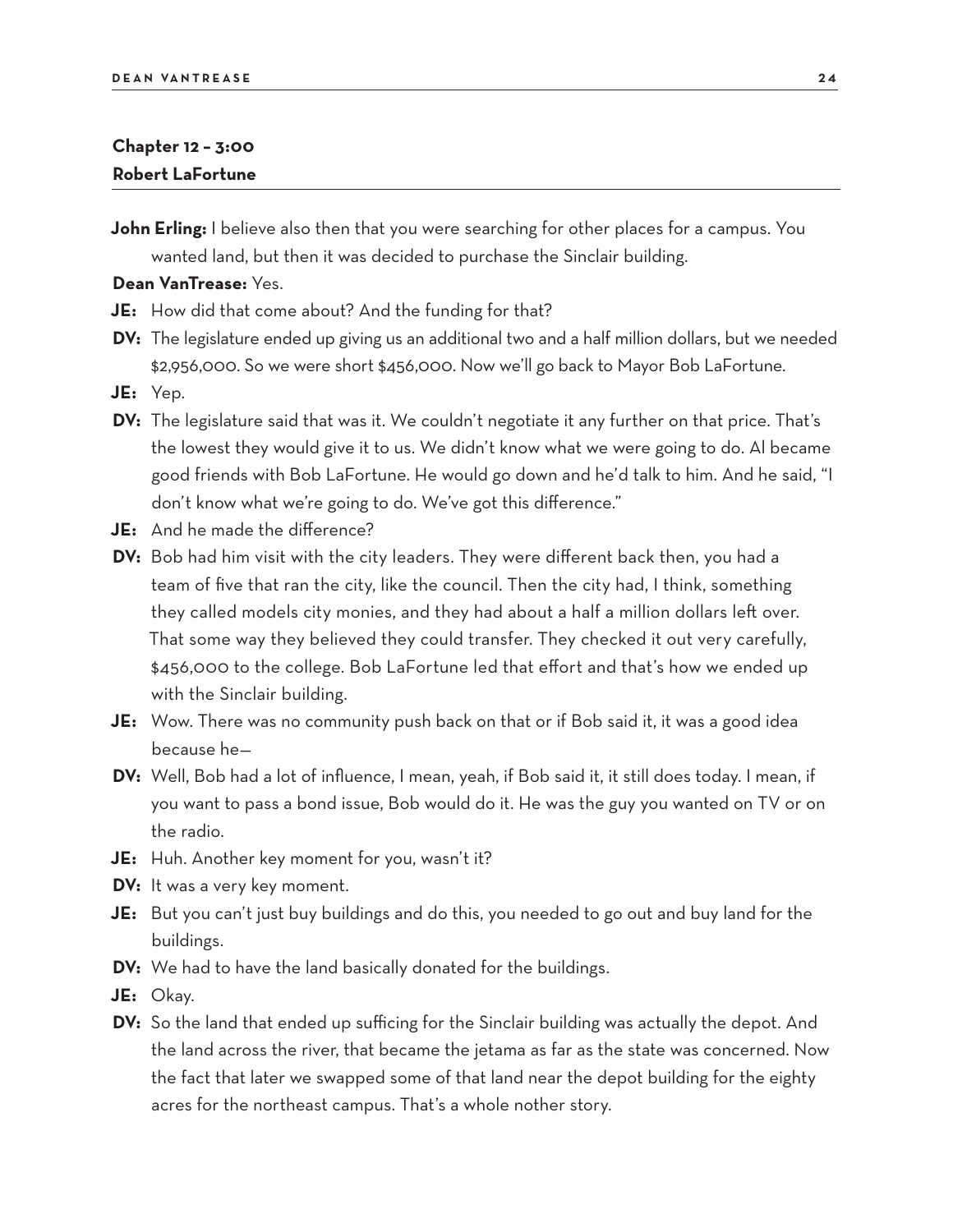# **Chapter 12 – 3:00 Robert LaFortune**

**John Erling:** I believe also then that you were searching for other places for a campus. You wanted land, but then it was decided to purchase the Sinclair building.

#### **Dean VanTrease:** Yes.

**JE:** How did that come about? And the funding for that?

- **DV:** The legislature ended up giving us an additional two and a half million dollars, but we needed \$2,956,000. So we were short \$456,000. Now we'll go back to Mayor Bob LaFortune.
- **JE:** Yep.
- **DV:** The legislature said that was it. We couldn't negotiate it any further on that price. That's the lowest they would give it to us. We didn't know what we were going to do. Al became good friends with Bob LaFortune. He would go down and he'd talk to him. And he said, "I don't know what we're going to do. We've got this difference."
- **JE:** And he made the difference?
- **DV:** Bob had him visit with the city leaders. They were different back then, you had a team of five that ran the city, like the council. Then the city had, I think, something they called models city monies, and they had about a half a million dollars left over. That some way they believed they could transfer. They checked it out very carefully, \$456,000 to the college. Bob LaFortune led that effort and that's how we ended up with the Sinclair building.
- **JE:** Wow. There was no community push back on that or if Bob said it, it was a good idea because he—
- **DV:** Well, Bob had a lot of influence, I mean, yeah, if Bob said it, it still does today. I mean, if you want to pass a bond issue, Bob would do it. He was the guy you wanted on TV or on the radio.
- **JE:** Huh. Another key moment for you, wasn't it?
- **DV:** It was a very key moment.
- **JE:** But you can't just buy buildings and do this, you needed to go out and buy land for the buildings.
- **DV:** We had to have the land basically donated for the buildings.
- **JE:** Okay.
- **DV:** So the land that ended up sufficing for the Sinclair building was actually the depot. And the land across the river, that became the jetama as far as the state was concerned. Now the fact that later we swapped some of that land near the depot building for the eighty acres for the northeast campus. That's a whole nother story.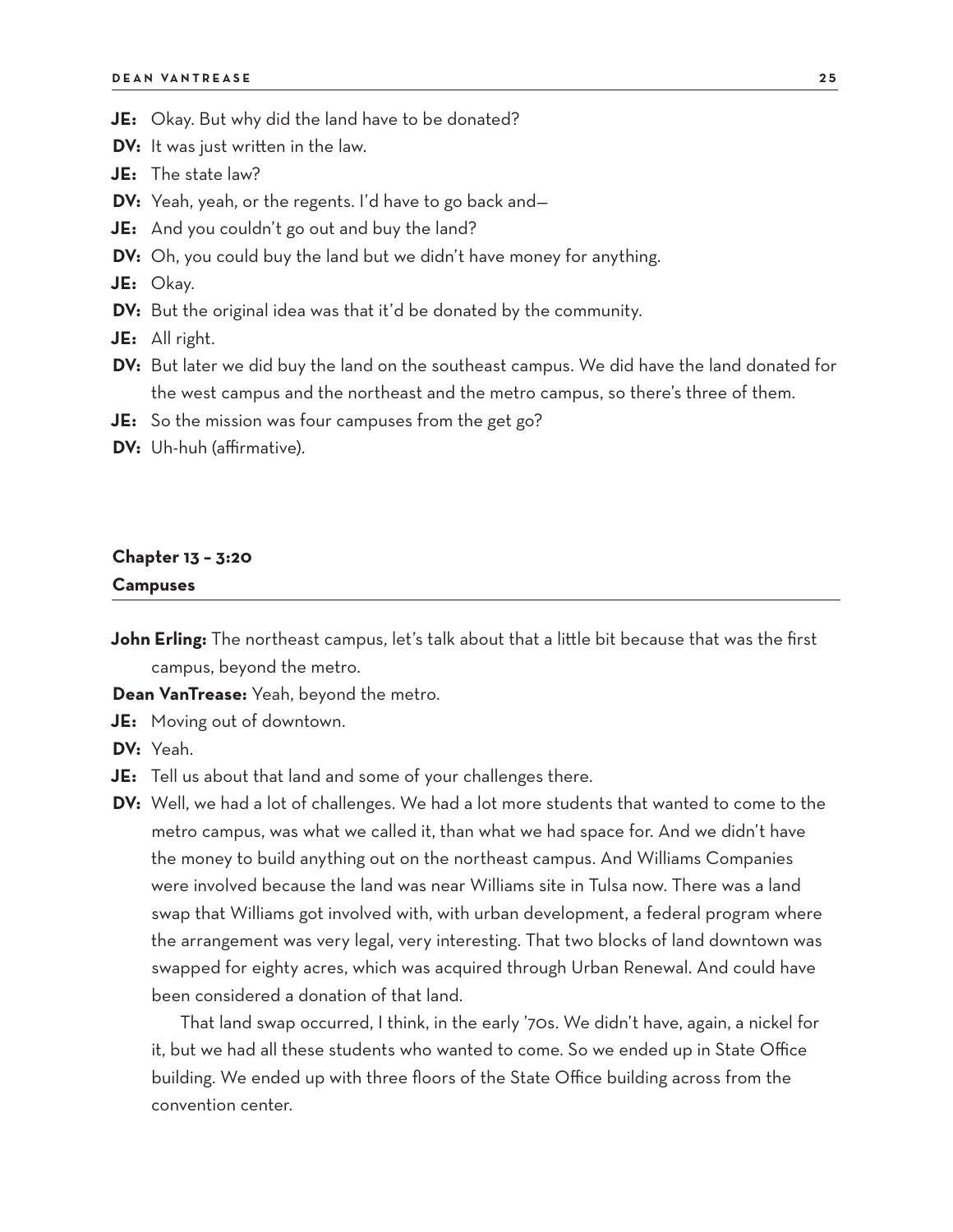- **JE:** Okay. But why did the land have to be donated?
- **DV:** It was just written in the law.
- **JE:** The state law?
- **DV:** Yeah, yeah, or the regents. I'd have to go back and—
- **JE:** And you couldn't go out and buy the land?
- **DV:** Oh, you could buy the land but we didn't have money for anything.

**JE:** Okay.

**DV:** But the original idea was that it'd be donated by the community.

**JE:** All right.

- **DV:** But later we did buy the land on the southeast campus. We did have the land donated for the west campus and the northeast and the metro campus, so there's three of them.
- **JE:** So the mission was four campuses from the get go?
- **DV:** Uh-huh (affirmative).

### **Chapter 13 – 3:20 Campuses**

**John Erling:** The northeast campus, let's talk about that a little bit because that was the first campus, beyond the metro.

**Dean VanTrease:** Yeah, beyond the metro.

**JE:** Moving out of downtown.

**DV:** Yeah.

- **JE:** Tell us about that land and some of your challenges there.
- **DV:** Well, we had a lot of challenges. We had a lot more students that wanted to come to the metro campus, was what we called it, than what we had space for. And we didn't have the money to build anything out on the northeast campus. And Williams Companies were involved because the land was near Williams site in Tulsa now. There was a land swap that Williams got involved with, with urban development, a federal program where the arrangement was very legal, very interesting. That two blocks of land downtown was swapped for eighty acres, which was acquired through Urban Renewal. And could have been considered a donation of that land.

That land swap occurred, I think, in the early '70s. We didn't have, again, a nickel for it, but we had all these students who wanted to come. So we ended up in State Office building. We ended up with three floors of the State Office building across from the convention center.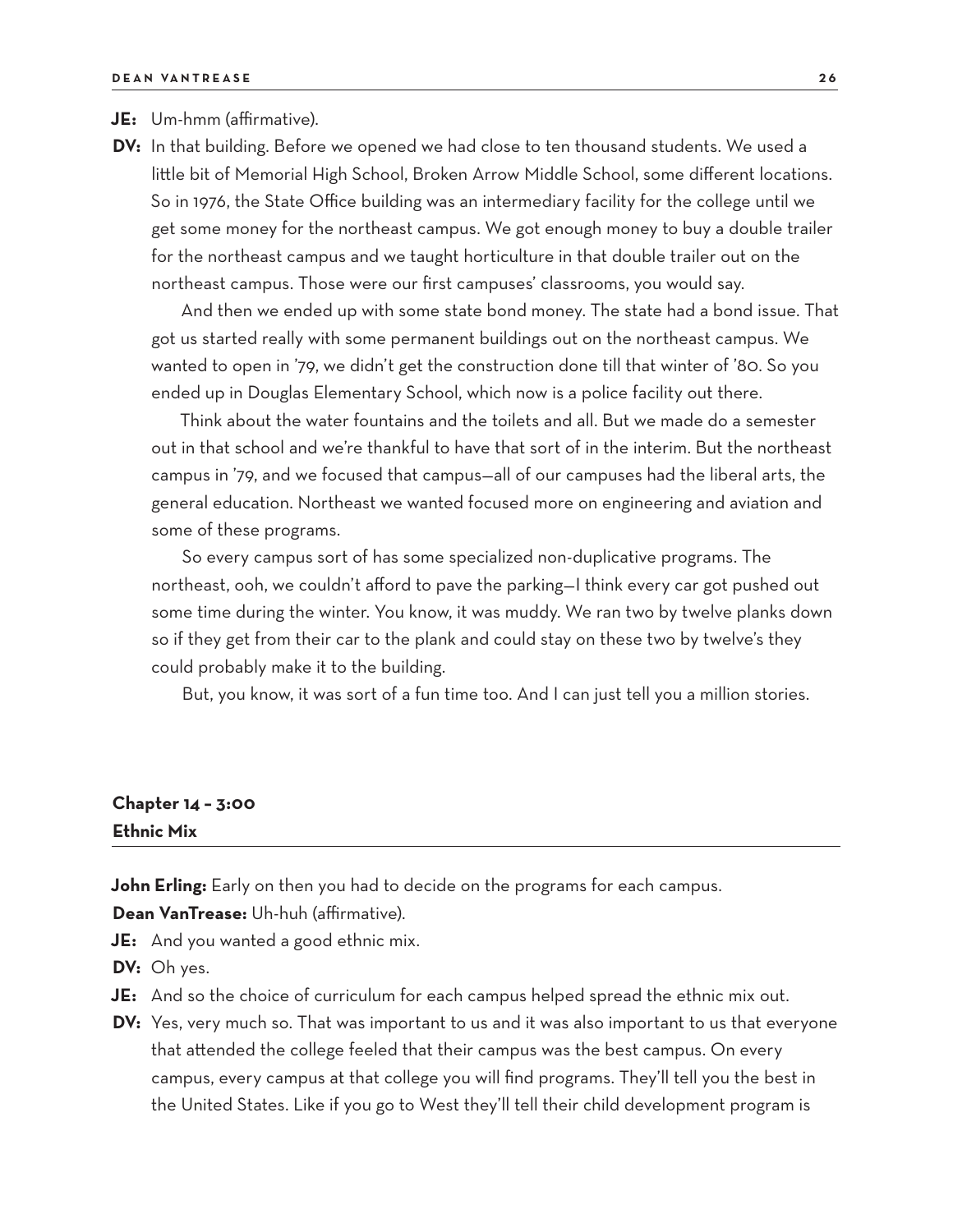#### **JE:** Um-hmm (affirmative).

**DV:** In that building. Before we opened we had close to ten thousand students. We used a little bit of Memorial High School, Broken Arrow Middle School, some different locations. So in 1976, the State Office building was an intermediary facility for the college until we get some money for the northeast campus. We got enough money to buy a double trailer for the northeast campus and we taught horticulture in that double trailer out on the northeast campus. Those were our first campuses' classrooms, you would say.

And then we ended up with some state bond money. The state had a bond issue. That got us started really with some permanent buildings out on the northeast campus. We wanted to open in '79, we didn't get the construction done till that winter of '80. So you ended up in Douglas Elementary School, which now is a police facility out there.

Think about the water fountains and the toilets and all. But we made do a semester out in that school and we're thankful to have that sort of in the interim. But the northeast campus in '79, and we focused that campus—all of our campuses had the liberal arts, the general education. Northeast we wanted focused more on engineering and aviation and some of these programs.

So every campus sort of has some specialized non-duplicative programs. The northeast, ooh, we couldn't afford to pave the parking—I think every car got pushed out some time during the winter. You know, it was muddy. We ran two by twelve planks down so if they get from their car to the plank and could stay on these two by twelve's they could probably make it to the building.

But, you know, it was sort of a fun time too. And I can just tell you a million stories.

# **Chapter 14 – 3:00 Ethnic Mix**

**John Erling:** Early on then you had to decide on the programs for each campus.

**Dean VanTrease:** Uh-huh (affirmative).

**JE:** And you wanted a good ethnic mix.

**DV:** Oh yes.

- **JE:** And so the choice of curriculum for each campus helped spread the ethnic mix out.
- **DV:** Yes, very much so. That was important to us and it was also important to us that everyone that attended the college feeled that their campus was the best campus. On every campus, every campus at that college you will find programs. They'll tell you the best in the United States. Like if you go to West they'll tell their child development program is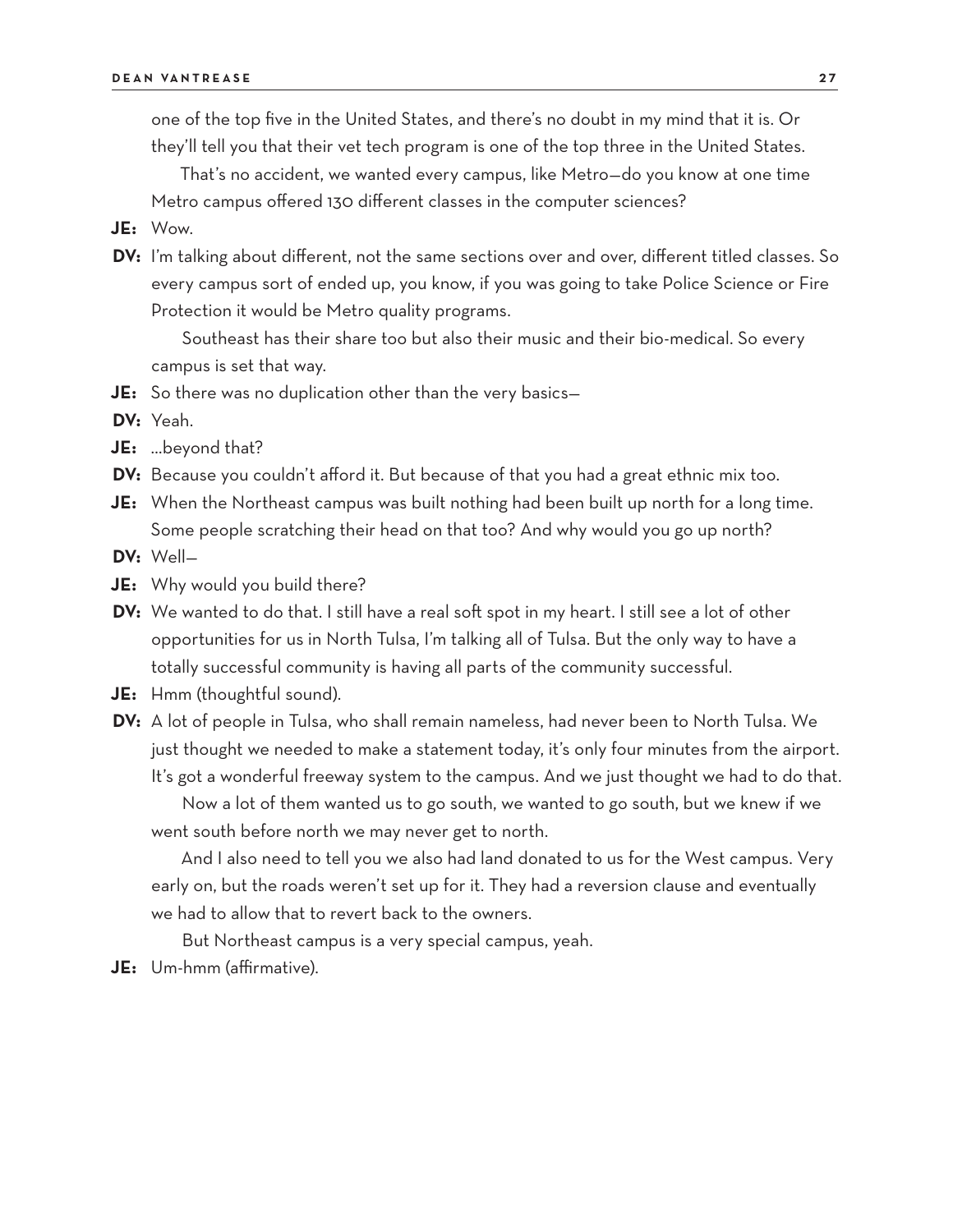one of the top five in the United States, and there's no doubt in my mind that it is. Or they'll tell you that their vet tech program is one of the top three in the United States.

That's no accident, we wanted every campus, like Metro—do you know at one time Metro campus offered 130 different classes in the computer sciences?

- **JE:** Wow.
- **DV:** I'm talking about different, not the same sections over and over, different titled classes. So every campus sort of ended up, you know, if you was going to take Police Science or Fire Protection it would be Metro quality programs.

Southeast has their share too but also their music and their bio-medical. So every campus is set that way.

**JE:** So there was no duplication other than the very basics—

**DV:** Yeah.

- **JE:** …beyond that?
- **DV:** Because you couldn't afford it. But because of that you had a great ethnic mix too.
- **JE:** When the Northeast campus was built nothing had been built up north for a long time. Some people scratching their head on that too? And why would you go up north?

**DV:** Well—

- **JE:** Why would you build there?
- **DV:** We wanted to do that. I still have a real soft spot in my heart. I still see a lot of other opportunities for us in North Tulsa, I'm talking all of Tulsa. But the only way to have a totally successful community is having all parts of the community successful.
- **JE:** Hmm (thoughtful sound).
- **DV:** A lot of people in Tulsa, who shall remain nameless, had never been to North Tulsa. We just thought we needed to make a statement today, it's only four minutes from the airport. It's got a wonderful freeway system to the campus. And we just thought we had to do that. Now a lot of them wanted us to go south, we wanted to go south, but we knew if we went south before north we may never get to north.

And I also need to tell you we also had land donated to us for the West campus. Very early on, but the roads weren't set up for it. They had a reversion clause and eventually we had to allow that to revert back to the owners.

But Northeast campus is a very special campus, yeah.

**JE:** Um-hmm (affirmative).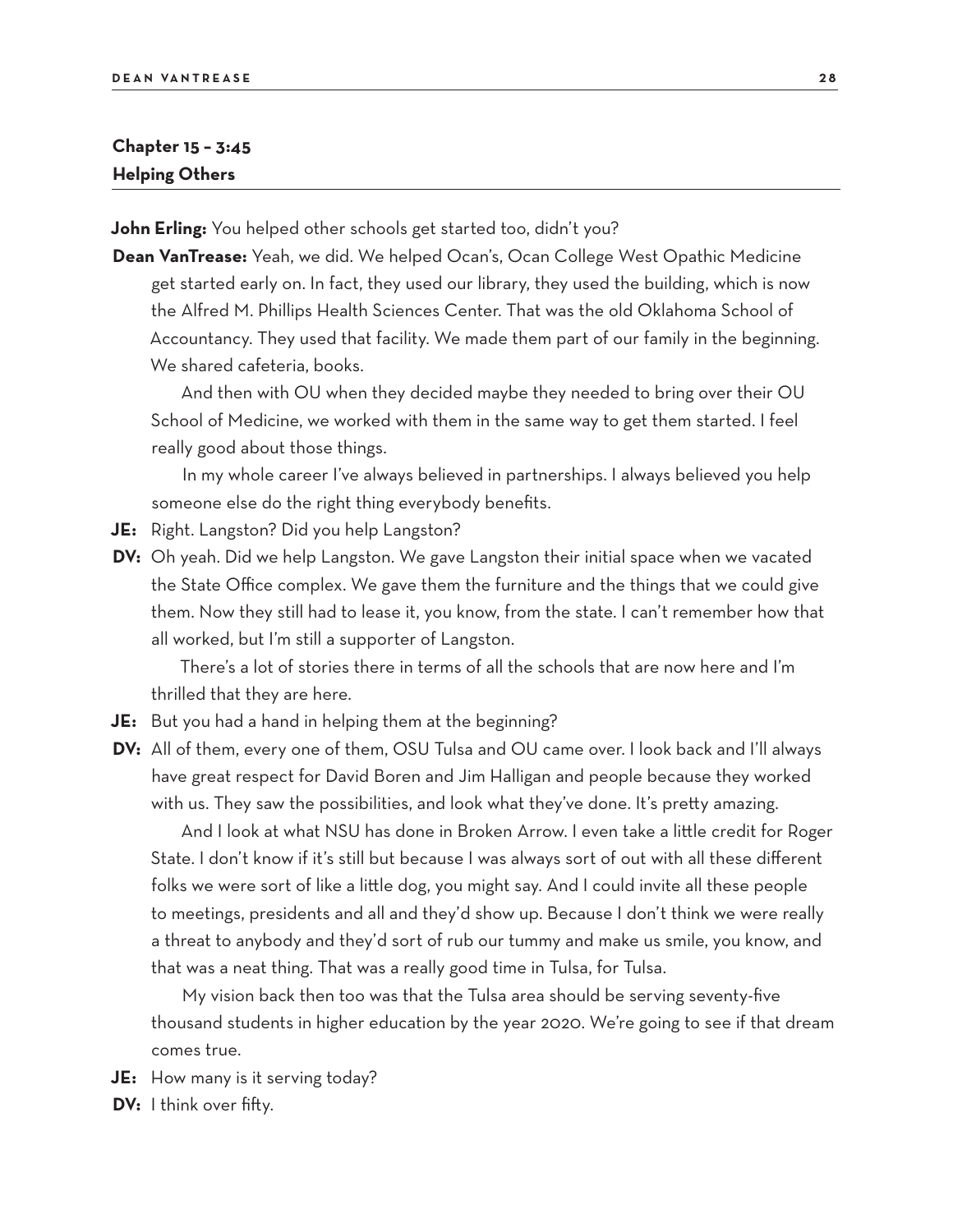# **Chapter 15 – 3:45 Helping Others**

**John Erling:** You helped other schools get started too, didn't you?

**Dean VanTrease:** Yeah, we did. We helped Ocan's, Ocan College West Opathic Medicine get started early on. In fact, they used our library, they used the building, which is now the Alfred M. Phillips Health Sciences Center. That was the old Oklahoma School of Accountancy. They used that facility. We made them part of our family in the beginning. We shared cafeteria, books.

And then with OU when they decided maybe they needed to bring over their OU School of Medicine, we worked with them in the same way to get them started. I feel really good about those things.

In my whole career I've always believed in partnerships. I always believed you help someone else do the right thing everybody benefits.

- **JE:** Right. Langston? Did you help Langston?
- **DV:** Oh yeah. Did we help Langston. We gave Langston their initial space when we vacated the State Office complex. We gave them the furniture and the things that we could give them. Now they still had to lease it, you know, from the state. I can't remember how that all worked, but I'm still a supporter of Langston.

There's a lot of stories there in terms of all the schools that are now here and I'm thrilled that they are here.

- **JE:** But you had a hand in helping them at the beginning?
- **DV:** All of them, every one of them, OSU Tulsa and OU came over. I look back and I'll always have great respect for David Boren and Jim Halligan and people because they worked with us. They saw the possibilities, and look what they've done. It's pretty amazing.

And I look at what NSU has done in Broken Arrow. I even take a little credit for Roger State. I don't know if it's still but because I was always sort of out with all these different folks we were sort of like a little dog, you might say. And I could invite all these people to meetings, presidents and all and they'd show up. Because I don't think we were really a threat to anybody and they'd sort of rub our tummy and make us smile, you know, and that was a neat thing. That was a really good time in Tulsa, for Tulsa.

My vision back then too was that the Tulsa area should be serving seventy-five thousand students in higher education by the year 2020. We're going to see if that dream comes true.

- **JE:** How many is it serving today?
- **DV:** I think over fifty.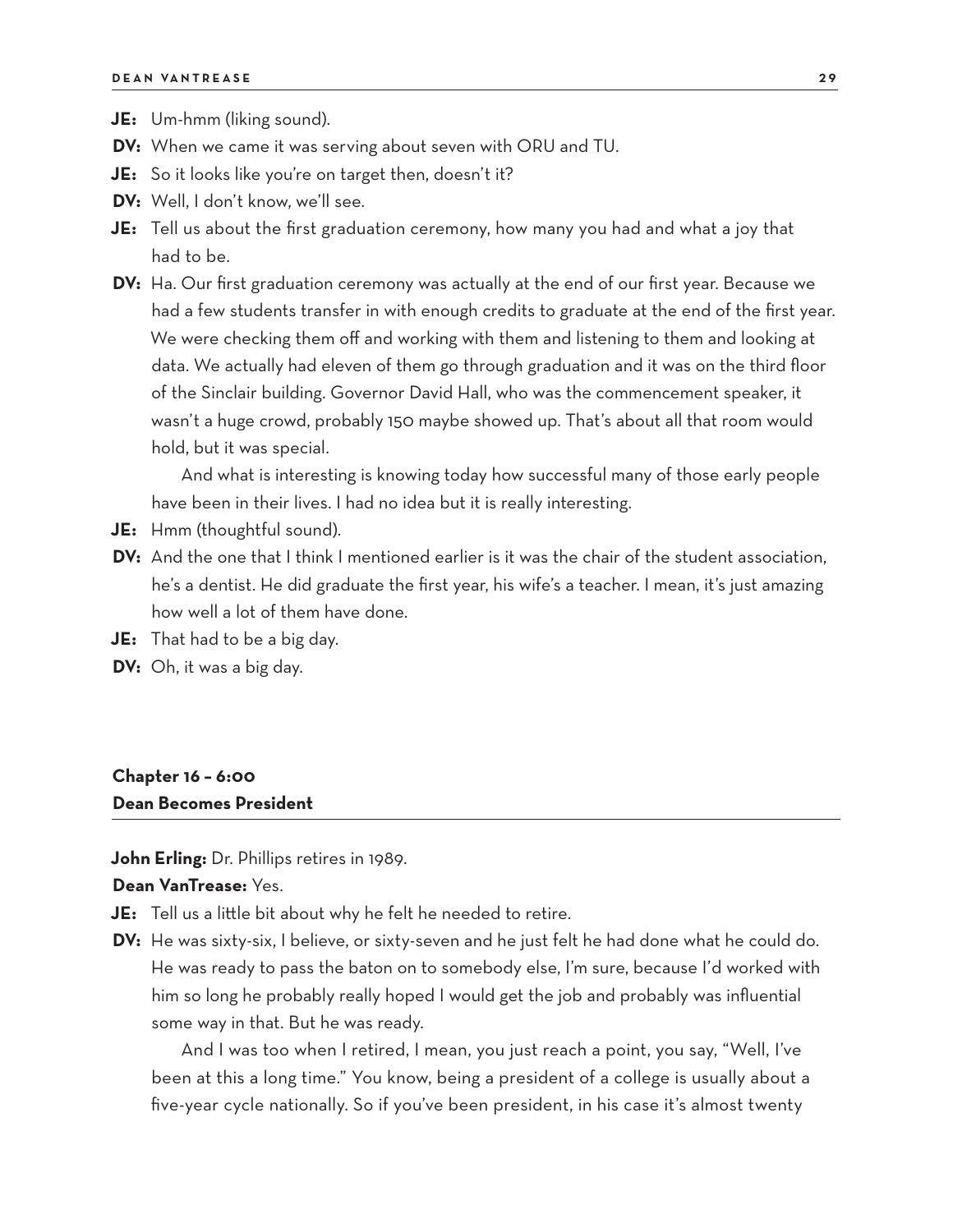- **JE:** Um-hmm (liking sound).
- **DV:** When we came it was serving about seven with ORU and TU.
- **JE:** So it looks like you're on target then, doesn't it?
- **DV:** Well, I don't know, we'll see.
- **JE:** Tell us about the first graduation ceremony, how many you had and what a joy that had to be.
- **DV:** Ha. Our first graduation ceremony was actually at the end of our first year. Because we had a few students transfer in with enough credits to graduate at the end of the first year. We were checking them off and working with them and listening to them and looking at data. We actually had eleven of them go through graduation and it was on the third floor of the Sinclair building. Governor David Hall, who was the commencement speaker, it wasn't a huge crowd, probably 150 maybe showed up. That's about all that room would hold, but it was special.

And what is interesting is knowing today how successful many of those early people have been in their lives. I had no idea but it is really interesting.

- **JE:** Hmm (thoughtful sound).
- **DV:** And the one that I think I mentioned earlier is it was the chair of the student association, he's a dentist. He did graduate the first year, his wife's a teacher. I mean, it's just amazing how well a lot of them have done.
- **JE:** That had to be a big day.
- **DV:** Oh, it was a big day.

# **Chapter 16 – 6:00**

#### **Dean Becomes President**

**John Erling:** Dr. Phillips retires in 1989.

#### **Dean VanTrease:** Yes.

**JE:** Tell us a little bit about why he felt he needed to retire.

**DV:** He was sixty-six, I believe, or sixty-seven and he just felt he had done what he could do. He was ready to pass the baton on to somebody else, I'm sure, because I'd worked with him so long he probably really hoped I would get the job and probably was influential some way in that. But he was ready.

And I was too when I retired, I mean, you just reach a point, you say, "Well, I've been at this a long time." You know, being a president of a college is usually about a five-year cycle nationally. So if you've been president, in his case it's almost twenty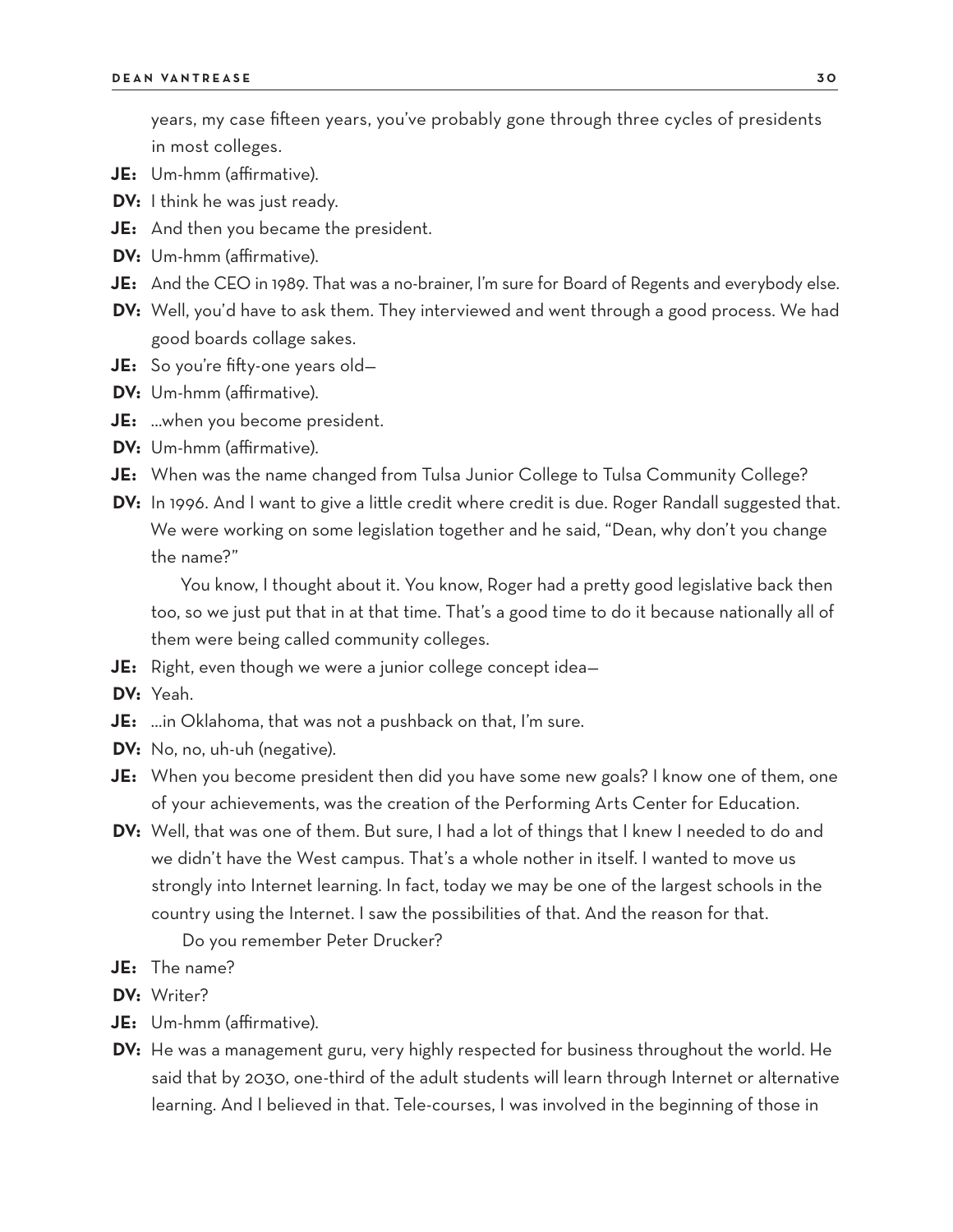years, my case fifteen years, you've probably gone through three cycles of presidents in most colleges.

- **JE:** Um-hmm (affirmative).
- **DV:** I think he was just ready.
- **JE:** And then you became the president.
- **DV:** Um-hmm (affirmative).
- **JE:** And the CEO in 1989. That was a no-brainer, I'm sure for Board of Regents and everybody else.
- **DV:** Well, you'd have to ask them. They interviewed and went through a good process. We had good boards collage sakes.
- **JE:** So you're fifty-one years old—
- **DV:** Um-hmm (affirmative).
- **JE:** …when you become president.
- **DV:** Um-hmm (affirmative).
- **JE:** When was the name changed from Tulsa Junior College to Tulsa Community College?
- **DV:** In 1996. And I want to give a little credit where credit is due. Roger Randall suggested that. We were working on some legislation together and he said, "Dean, why don't you change the name?"

You know, I thought about it. You know, Roger had a pretty good legislative back then too, so we just put that in at that time. That's a good time to do it because nationally all of them were being called community colleges.

- **JE:** Right, even though we were a junior college concept idea—
- **DV:** Yeah.
- **JE:** …in Oklahoma, that was not a pushback on that, I'm sure.
- **DV:** No, no, uh-uh (negative).
- **JE:** When you become president then did you have some new goals? I know one of them, one of your achievements, was the creation of the Performing Arts Center for Education.
- **DV:** Well, that was one of them. But sure, I had a lot of things that I knew I needed to do and we didn't have the West campus. That's a whole nother in itself. I wanted to move us strongly into Internet learning. In fact, today we may be one of the largest schools in the country using the Internet. I saw the possibilities of that. And the reason for that. Do you remember Peter Drucker?
- **JE:** The name?
- **DV:** Writer?
- **JE:** Um-hmm (affirmative).
- **DV:** He was a management guru, very highly respected for business throughout the world. He said that by 2030, one-third of the adult students will learn through Internet or alternative learning. And I believed in that. Tele-courses, I was involved in the beginning of those in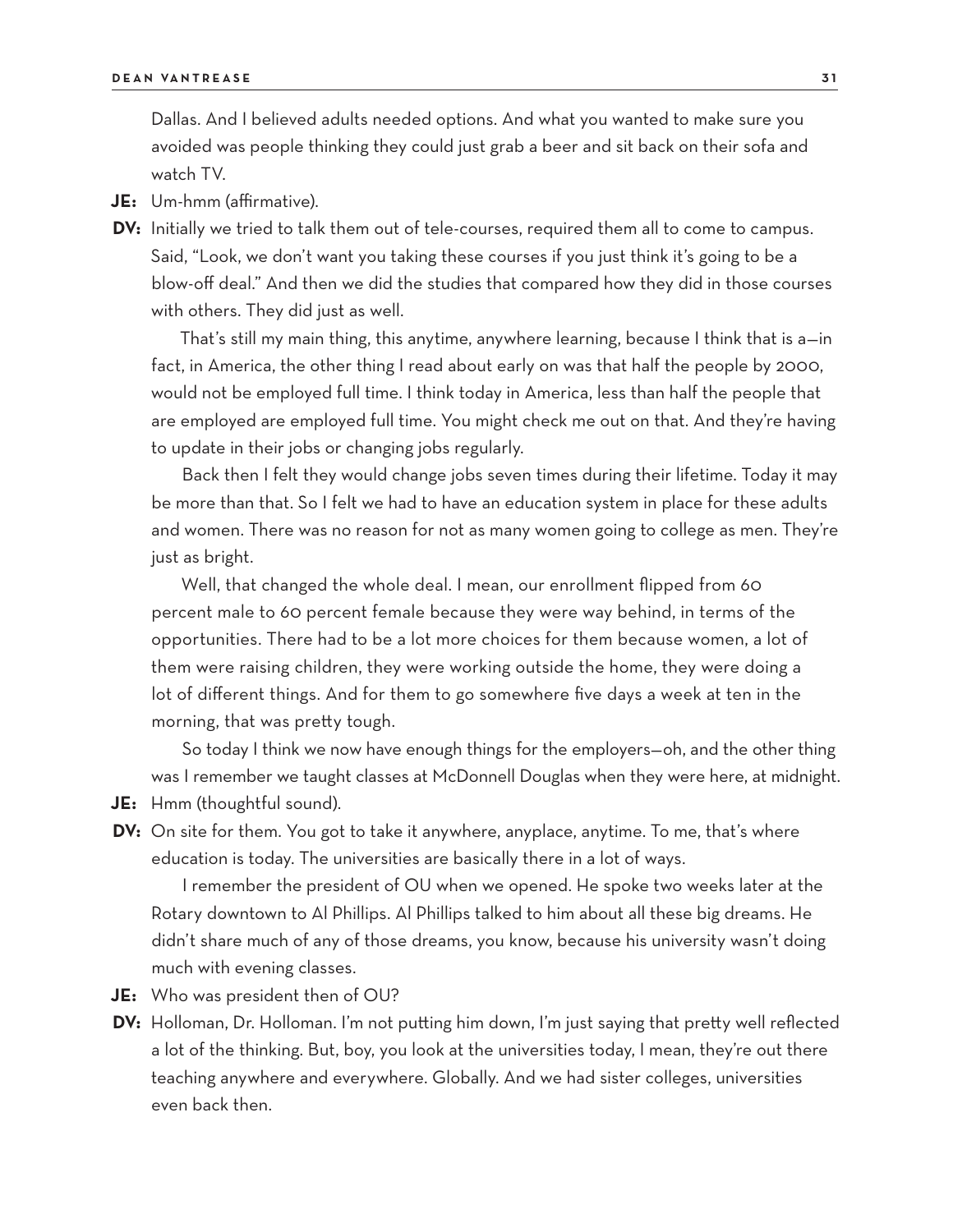Dallas. And I believed adults needed options. And what you wanted to make sure you avoided was people thinking they could just grab a beer and sit back on their sofa and watch TV.

- **JE:** Um-hmm (affirmative).
- **DV:** Initially we tried to talk them out of tele-courses, required them all to come to campus. Said, "Look, we don't want you taking these courses if you just think it's going to be a blow-off deal." And then we did the studies that compared how they did in those courses with others. They did just as well.

That's still my main thing, this anytime, anywhere learning, because I think that is a—in fact, in America, the other thing I read about early on was that half the people by 2000, would not be employed full time. I think today in America, less than half the people that are employed are employed full time. You might check me out on that. And they're having to update in their jobs or changing jobs regularly.

Back then I felt they would change jobs seven times during their lifetime. Today it may be more than that. So I felt we had to have an education system in place for these adults and women. There was no reason for not as many women going to college as men. They're just as bright.

Well, that changed the whole deal. I mean, our enrollment flipped from 60 percent male to 60 percent female because they were way behind, in terms of the opportunities. There had to be a lot more choices for them because women, a lot of them were raising children, they were working outside the home, they were doing a lot of different things. And for them to go somewhere five days a week at ten in the morning, that was pretty tough.

So today I think we now have enough things for the employers—oh, and the other thing was I remember we taught classes at McDonnell Douglas when they were here, at midnight.

- **JE:** Hmm (thoughtful sound).
- **DV:** On site for them. You got to take it anywhere, anyplace, anytime. To me, that's where education is today. The universities are basically there in a lot of ways.

I remember the president of OU when we opened. He spoke two weeks later at the Rotary downtown to Al Phillips. Al Phillips talked to him about all these big dreams. He didn't share much of any of those dreams, you know, because his university wasn't doing much with evening classes.

- **JE:** Who was president then of OU?
- **DV:** Holloman, Dr. Holloman. I'm not putting him down, I'm just saying that pretty well reflected a lot of the thinking. But, boy, you look at the universities today, I mean, they're out there teaching anywhere and everywhere. Globally. And we had sister colleges, universities even back then.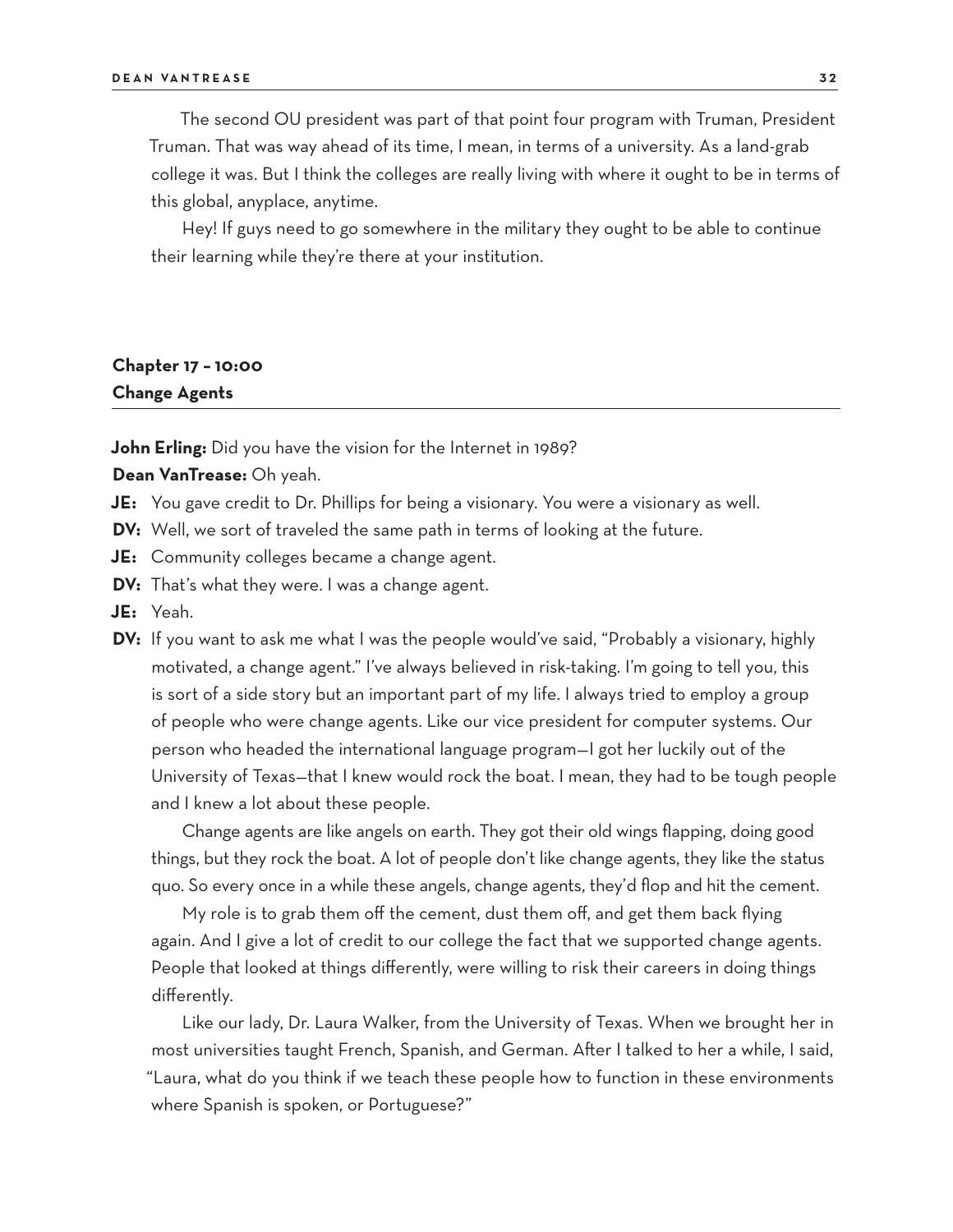The second OU president was part of that point four program with Truman, President Truman. That was way ahead of its time, I mean, in terms of a university. As a land-grab college it was. But I think the colleges are really living with where it ought to be in terms of this global, anyplace, anytime.

Hey! If guys need to go somewhere in the military they ought to be able to continue their learning while they're there at your institution.

# **Chapter 17 – 10:00 Change Agents**

**John Erling:** Did you have the vision for the Internet in 1989?

**Dean VanTrease:** Oh yeah.

- **JE:** You gave credit to Dr. Phillips for being a visionary. You were a visionary as well.
- **DV:** Well, we sort of traveled the same path in terms of looking at the future.
- **JE:** Community colleges became a change agent.
- **DV:** That's what they were. I was a change agent.
- **JE:** Yeah.
- **DV:** If you want to ask me what I was the people would've said, "Probably a visionary, highly motivated, a change agent." I've always believed in risk-taking. I'm going to tell you, this is sort of a side story but an important part of my life. I always tried to employ a group of people who were change agents. Like our vice president for computer systems. Our person who headed the international language program—I got her luckily out of the University of Texas—that I knew would rock the boat. I mean, they had to be tough people and I knew a lot about these people.

Change agents are like angels on earth. They got their old wings flapping, doing good things, but they rock the boat. A lot of people don't like change agents, they like the status quo. So every once in a while these angels, change agents, they'd flop and hit the cement.

My role is to grab them off the cement, dust them off, and get them back flying again. And I give a lot of credit to our college the fact that we supported change agents. People that looked at things differently, were willing to risk their careers in doing things differently.

Like our lady, Dr. Laura Walker, from the University of Texas. When we brought her in most universities taught French, Spanish, and German. After I talked to her a while, I said, "Laura, what do you think if we teach these people how to function in these environments where Spanish is spoken, or Portuguese?"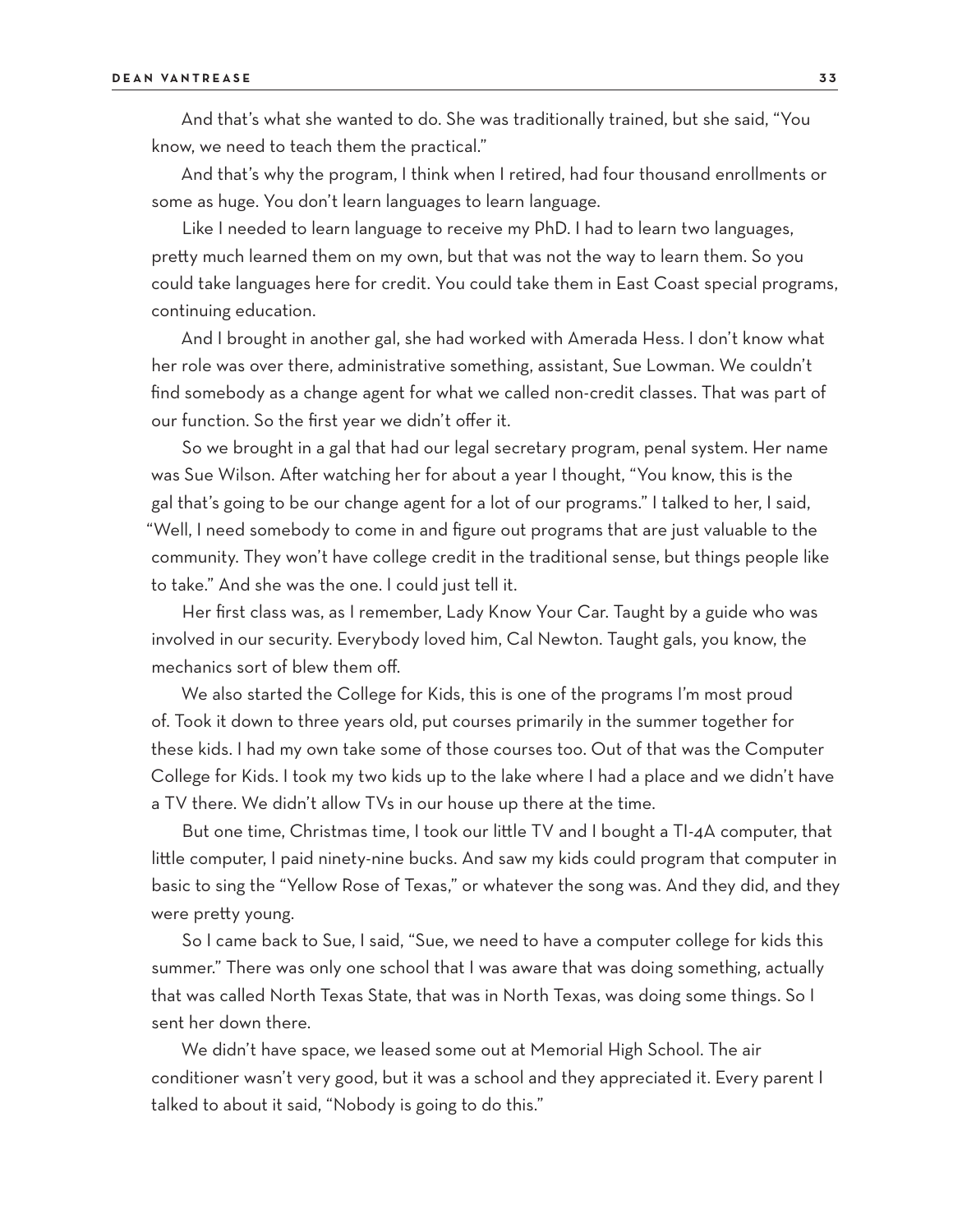And that's what she wanted to do. She was traditionally trained, but she said, "You know, we need to teach them the practical."

And that's why the program, I think when I retired, had four thousand enrollments or some as huge. You don't learn languages to learn language.

Like I needed to learn language to receive my PhD. I had to learn two languages, pretty much learned them on my own, but that was not the way to learn them. So you could take languages here for credit. You could take them in East Coast special programs, continuing education.

And I brought in another gal, she had worked with Amerada Hess. I don't know what her role was over there, administrative something, assistant, Sue Lowman. We couldn't find somebody as a change agent for what we called non-credit classes. That was part of our function. So the first year we didn't offer it.

So we brought in a gal that had our legal secretary program, penal system. Her name was Sue Wilson. After watching her for about a year I thought, "You know, this is the gal that's going to be our change agent for a lot of our programs." I talked to her, I said, "Well, I need somebody to come in and figure out programs that are just valuable to the community. They won't have college credit in the traditional sense, but things people like to take." And she was the one. I could just tell it.

Her first class was, as I remember, Lady Know Your Car. Taught by a guide who was involved in our security. Everybody loved him, Cal Newton. Taught gals, you know, the mechanics sort of blew them off.

We also started the College for Kids, this is one of the programs I'm most proud of. Took it down to three years old, put courses primarily in the summer together for these kids. I had my own take some of those courses too. Out of that was the Computer College for Kids. I took my two kids up to the lake where I had a place and we didn't have a TV there. We didn't allow TVs in our house up there at the time.

But one time, Christmas time, I took our little TV and I bought a TI-4A computer, that little computer, I paid ninety-nine bucks. And saw my kids could program that computer in basic to sing the "Yellow Rose of Texas," or whatever the song was. And they did, and they were pretty young.

So I came back to Sue, I said, "Sue, we need to have a computer college for kids this summer." There was only one school that I was aware that was doing something, actually that was called North Texas State, that was in North Texas, was doing some things. So I sent her down there.

We didn't have space, we leased some out at Memorial High School. The air conditioner wasn't very good, but it was a school and they appreciated it. Every parent I talked to about it said, "Nobody is going to do this."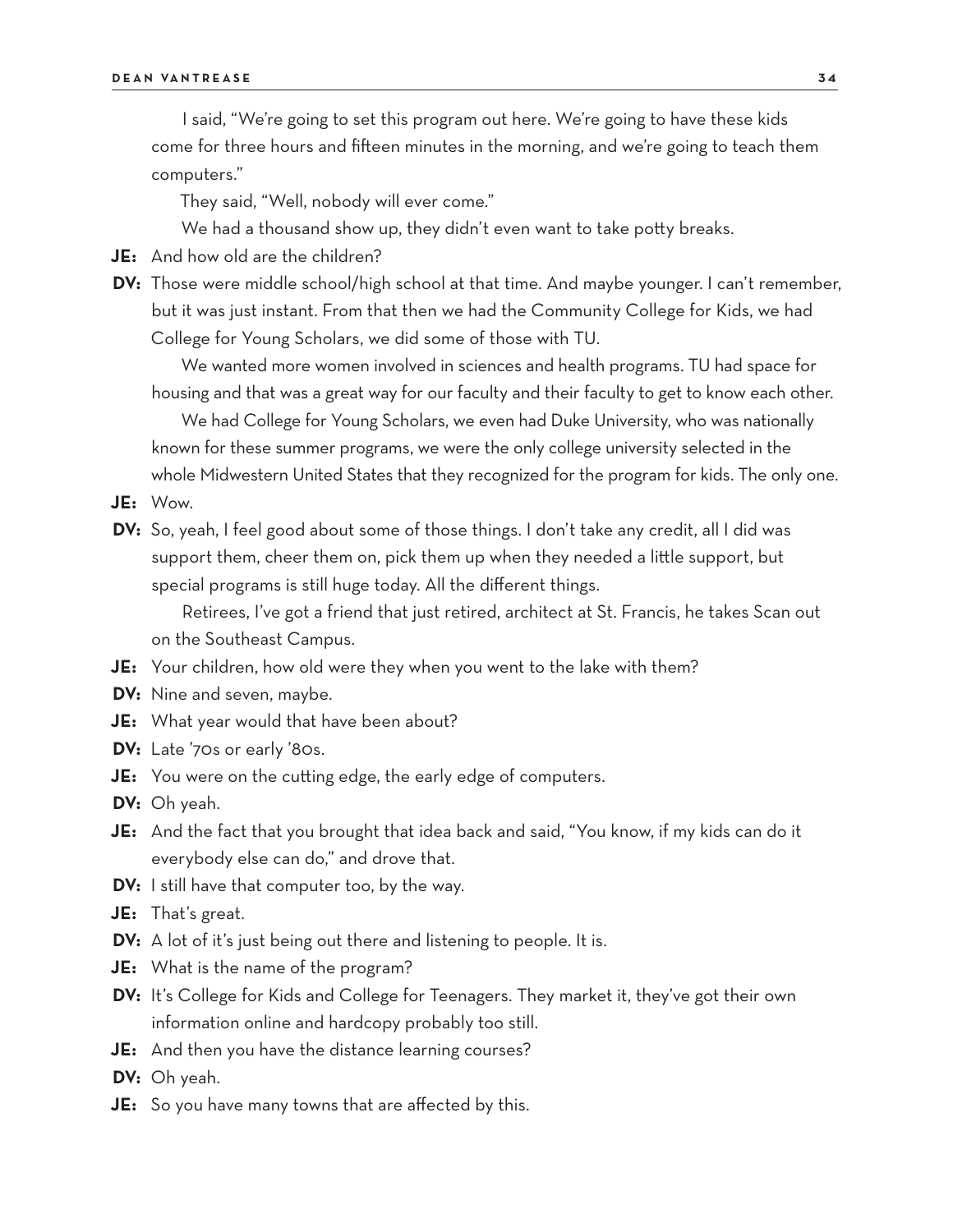I said, "We're going to set this program out here. We're going to have these kids come for three hours and fifteen minutes in the morning, and we're going to teach them computers."

They said, "Well, nobody will ever come."

We had a thousand show up, they didn't even want to take potty breaks.

- **JE:** And how old are the children?
- **DV:** Those were middle school/high school at that time. And maybe younger. I can't remember, but it was just instant. From that then we had the Community College for Kids, we had College for Young Scholars, we did some of those with TU.

We wanted more women involved in sciences and health programs. TU had space for housing and that was a great way for our faculty and their faculty to get to know each other.

We had College for Young Scholars, we even had Duke University, who was nationally known for these summer programs, we were the only college university selected in the whole Midwestern United States that they recognized for the program for kids. The only one.

- **JE:** Wow.
- **DV:** So, yeah, I feel good about some of those things. I don't take any credit, all I did was support them, cheer them on, pick them up when they needed a little support, but special programs is still huge today. All the different things.

Retirees, I've got a friend that just retired, architect at St. Francis, he takes Scan out on the Southeast Campus.

- **JE:** Your children, how old were they when you went to the lake with them?
- **DV:** Nine and seven, maybe.
- **JE:** What year would that have been about?
- **DV:** Late '70s or early '80s.
- **JE:** You were on the cutting edge, the early edge of computers.
- **DV:** Oh yeah.
- **JE:** And the fact that you brought that idea back and said, "You know, if my kids can do it everybody else can do," and drove that.
- **DV:** I still have that computer too, by the way.
- **JE:** That's great.
- **DV:** A lot of it's just being out there and listening to people. It is.
- **JE:** What is the name of the program?
- **DV:** It's College for Kids and College for Teenagers. They market it, they've got their own information online and hardcopy probably too still.
- **JE:** And then you have the distance learning courses?
- **DV:** Oh yeah.
- **JE:** So you have many towns that are affected by this.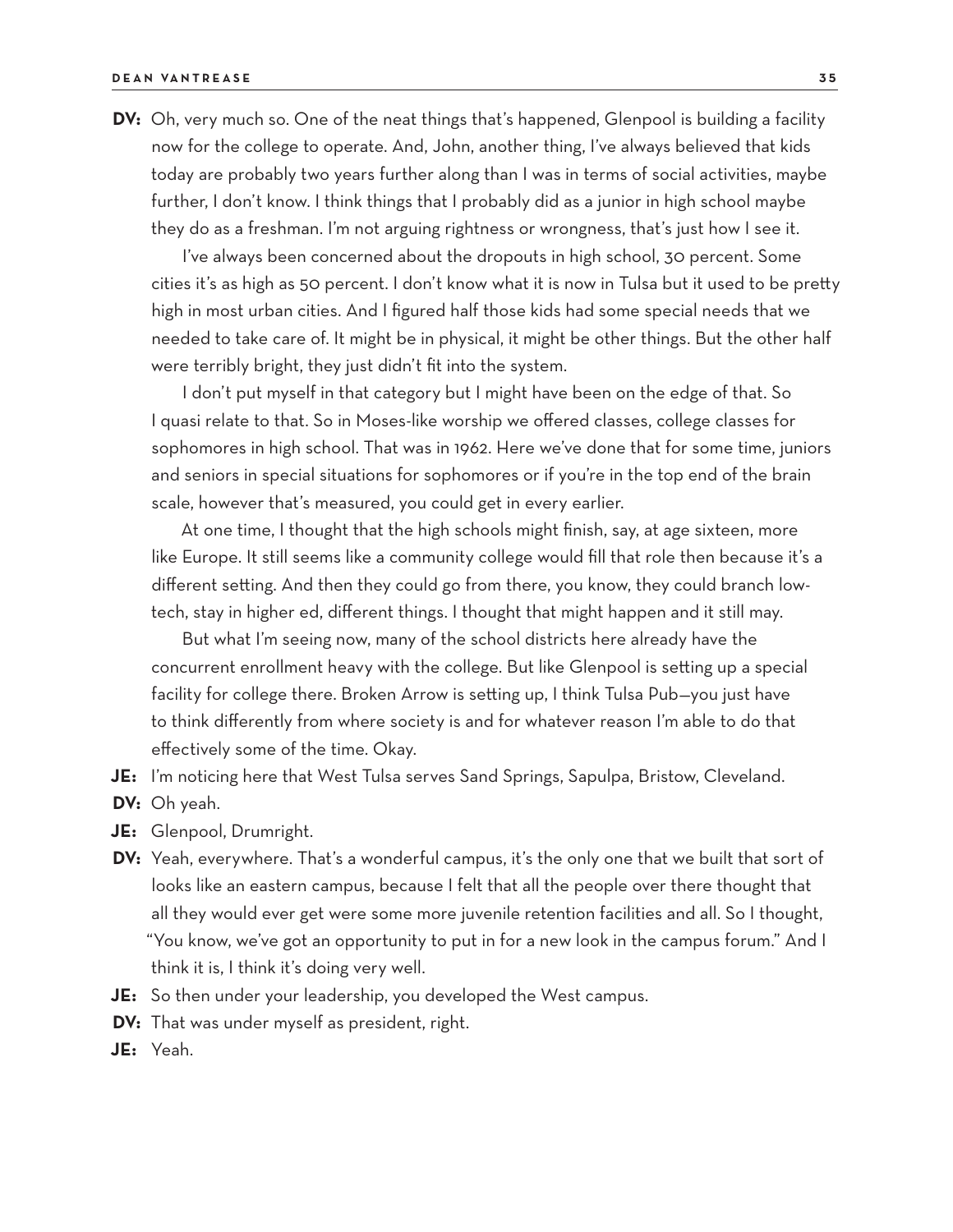**DV:** Oh, very much so. One of the neat things that's happened, Glenpool is building a facility now for the college to operate. And, John, another thing, I've always believed that kids today are probably two years further along than I was in terms of social activities, maybe further, I don't know. I think things that I probably did as a junior in high school maybe they do as a freshman. I'm not arguing rightness or wrongness, that's just how I see it.

I've always been concerned about the dropouts in high school, 30 percent. Some cities it's as high as 50 percent. I don't know what it is now in Tulsa but it used to be pretty high in most urban cities. And I figured half those kids had some special needs that we needed to take care of. It might be in physical, it might be other things. But the other half were terribly bright, they just didn't fit into the system.

I don't put myself in that category but I might have been on the edge of that. So I quasi relate to that. So in Moses-like worship we offered classes, college classes for sophomores in high school. That was in 1962. Here we've done that for some time, juniors and seniors in special situations for sophomores or if you're in the top end of the brain scale, however that's measured, you could get in every earlier.

At one time, I thought that the high schools might finish, say, at age sixteen, more like Europe. It still seems like a community college would fill that role then because it's a different setting. And then they could go from there, you know, they could branch lowtech, stay in higher ed, different things. I thought that might happen and it still may.

But what I'm seeing now, many of the school districts here already have the concurrent enrollment heavy with the college. But like Glenpool is setting up a special facility for college there. Broken Arrow is setting up, I think Tulsa Pub—you just have to think differently from where society is and for whatever reason I'm able to do that effectively some of the time. Okay.

**JE:** I'm noticing here that West Tulsa serves Sand Springs, Sapulpa, Bristow, Cleveland.

- **DV:** Oh yeah.
- **JE:** Glenpool, Drumright.
- **DV:** Yeah, everywhere. That's a wonderful campus, it's the only one that we built that sort of looks like an eastern campus, because I felt that all the people over there thought that all they would ever get were some more juvenile retention facilities and all. So I thought, "You know, we've got an opportunity to put in for a new look in the campus forum." And I think it is, I think it's doing very well.
- **JE:** So then under your leadership, you developed the West campus.
- **DV:** That was under myself as president, right.
- **JE:** Yeah.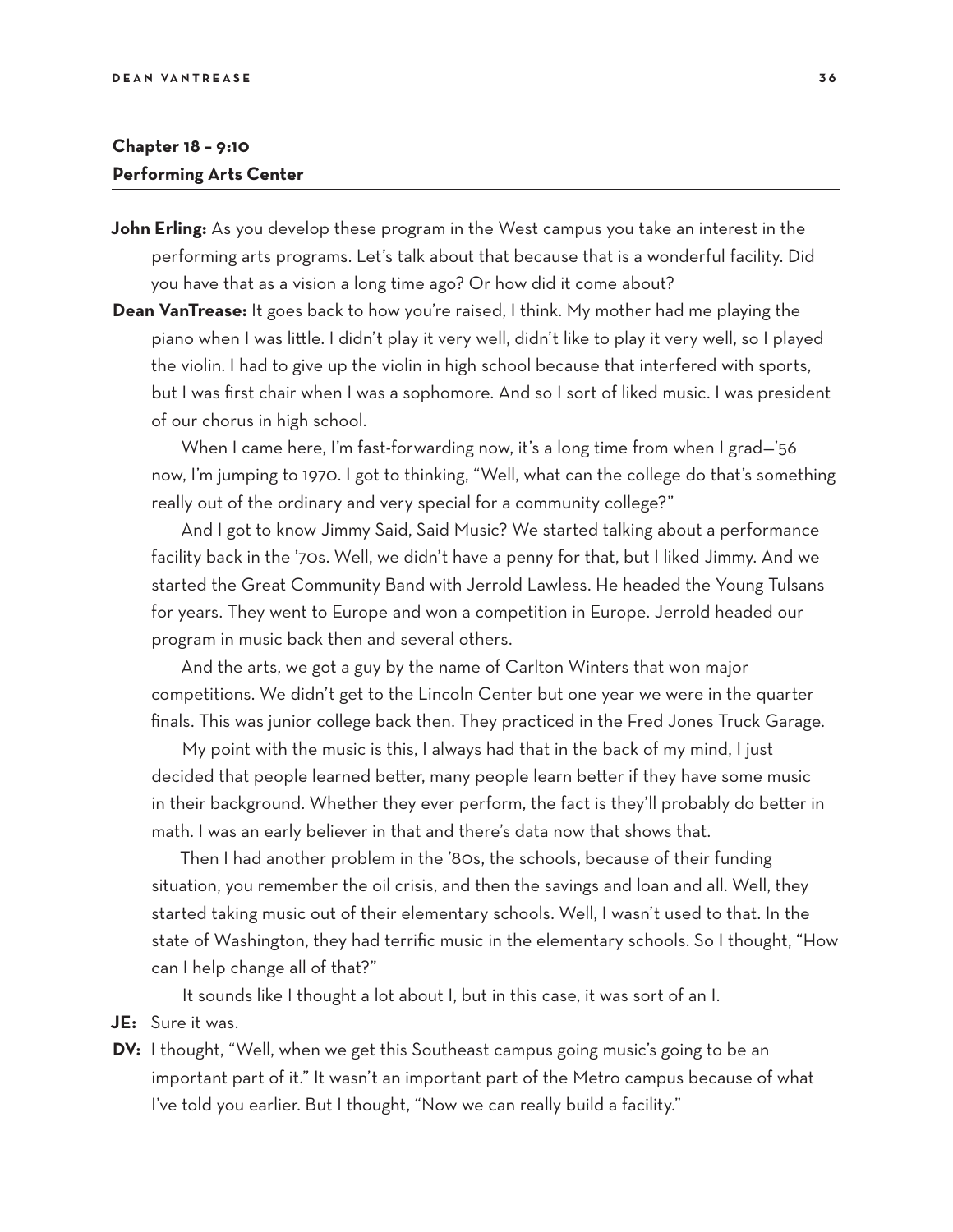# **Chapter 18 – 9:10 Performing Arts Center**

- **John Erling:** As you develop these program in the West campus you take an interest in the performing arts programs. Let's talk about that because that is a wonderful facility. Did you have that as a vision a long time ago? Or how did it come about?
- **Dean VanTrease:** It goes back to how you're raised, I think. My mother had me playing the piano when I was little. I didn't play it very well, didn't like to play it very well, so I played the violin. I had to give up the violin in high school because that interfered with sports, but I was first chair when I was a sophomore. And so I sort of liked music. I was president of our chorus in high school.

When I came here, I'm fast-forwarding now, it's a long time from when I grad—'56 now, I'm jumping to 1970. I got to thinking, "Well, what can the college do that's something really out of the ordinary and very special for a community college?"

And I got to know Jimmy Said, Said Music? We started talking about a performance facility back in the '70s. Well, we didn't have a penny for that, but I liked Jimmy. And we started the Great Community Band with Jerrold Lawless. He headed the Young Tulsans for years. They went to Europe and won a competition in Europe. Jerrold headed our program in music back then and several others.

And the arts, we got a guy by the name of Carlton Winters that won major competitions. We didn't get to the Lincoln Center but one year we were in the quarter finals. This was junior college back then. They practiced in the Fred Jones Truck Garage.

My point with the music is this, I always had that in the back of my mind, I just decided that people learned better, many people learn better if they have some music in their background. Whether they ever perform, the fact is they'll probably do better in math. I was an early believer in that and there's data now that shows that.

Then I had another problem in the '80s, the schools, because of their funding situation, you remember the oil crisis, and then the savings and loan and all. Well, they started taking music out of their elementary schools. Well, I wasn't used to that. In the state of Washington, they had terrific music in the elementary schools. So I thought, "How can I help change all of that?"

It sounds like I thought a lot about I, but in this case, it was sort of an I.

- **JE:** Sure it was.
- **DV:** I thought, "Well, when we get this Southeast campus going music's going to be an important part of it." It wasn't an important part of the Metro campus because of what I've told you earlier. But I thought, "Now we can really build a facility."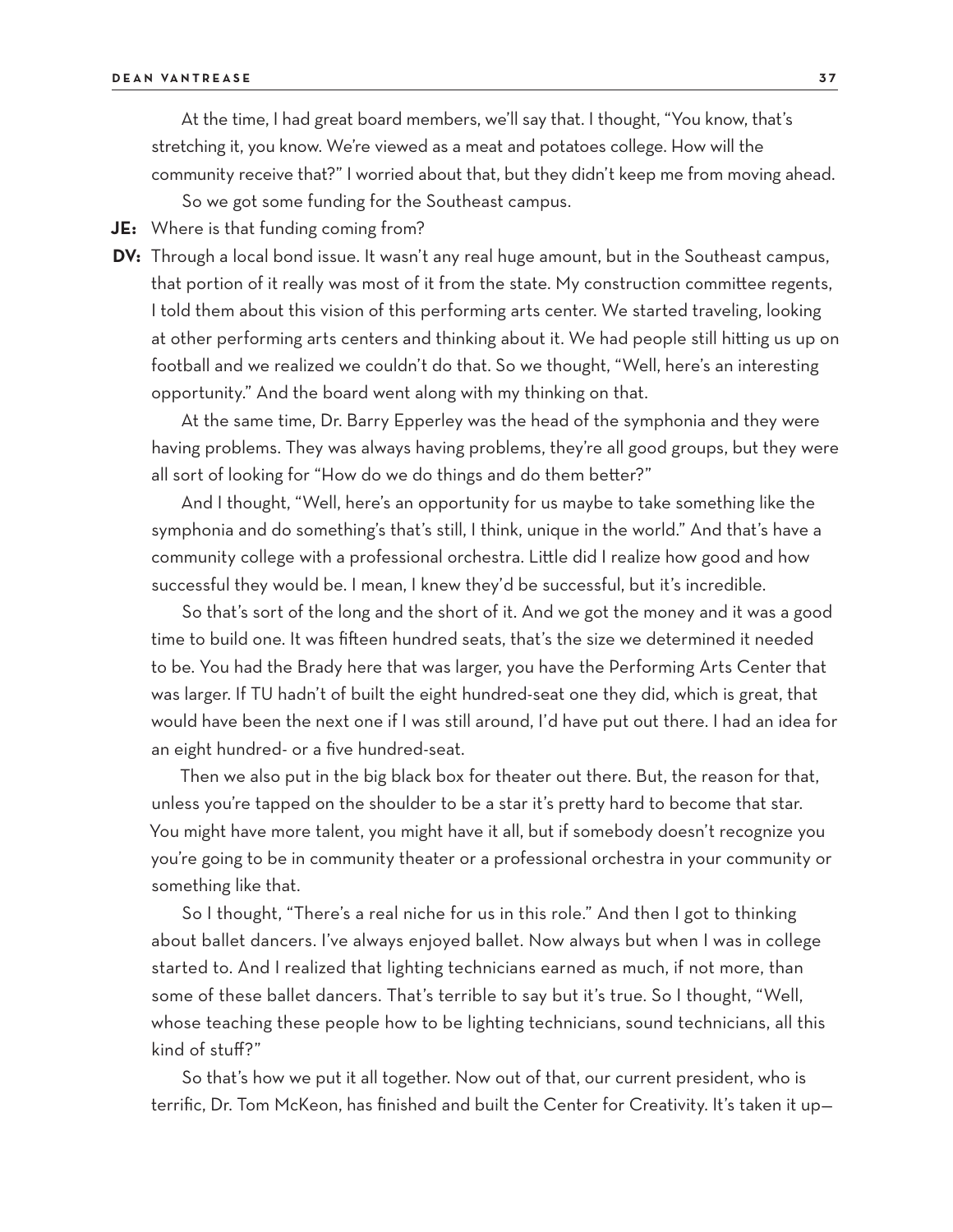At the time, I had great board members, we'll say that. I thought, "You know, that's stretching it, you know. We're viewed as a meat and potatoes college. How will the community receive that?" I worried about that, but they didn't keep me from moving ahead.

So we got some funding for the Southeast campus.

**JE:** Where is that funding coming from?

**DV:** Through a local bond issue. It wasn't any real huge amount, but in the Southeast campus, that portion of it really was most of it from the state. My construction committee regents, I told them about this vision of this performing arts center. We started traveling, looking at other performing arts centers and thinking about it. We had people still hitting us up on football and we realized we couldn't do that. So we thought, "Well, here's an interesting opportunity." And the board went along with my thinking on that.

At the same time, Dr. Barry Epperley was the head of the symphonia and they were having problems. They was always having problems, they're all good groups, but they were all sort of looking for "How do we do things and do them better?"

And I thought, "Well, here's an opportunity for us maybe to take something like the symphonia and do something's that's still, I think, unique in the world." And that's have a community college with a professional orchestra. Little did I realize how good and how successful they would be. I mean, I knew they'd be successful, but it's incredible.

So that's sort of the long and the short of it. And we got the money and it was a good time to build one. It was fifteen hundred seats, that's the size we determined it needed to be. You had the Brady here that was larger, you have the Performing Arts Center that was larger. If TU hadn't of built the eight hundred-seat one they did, which is great, that would have been the next one if I was still around, I'd have put out there. I had an idea for an eight hundred- or a five hundred-seat.

Then we also put in the big black box for theater out there. But, the reason for that, unless you're tapped on the shoulder to be a star it's pretty hard to become that star. You might have more talent, you might have it all, but if somebody doesn't recognize you you're going to be in community theater or a professional orchestra in your community or something like that.

So I thought, "There's a real niche for us in this role." And then I got to thinking about ballet dancers. I've always enjoyed ballet. Now always but when I was in college started to. And I realized that lighting technicians earned as much, if not more, than some of these ballet dancers. That's terrible to say but it's true. So I thought, "Well, whose teaching these people how to be lighting technicians, sound technicians, all this kind of stuff?"

So that's how we put it all together. Now out of that, our current president, who is terrific, Dr. Tom McKeon, has finished and built the Center for Creativity. It's taken it up—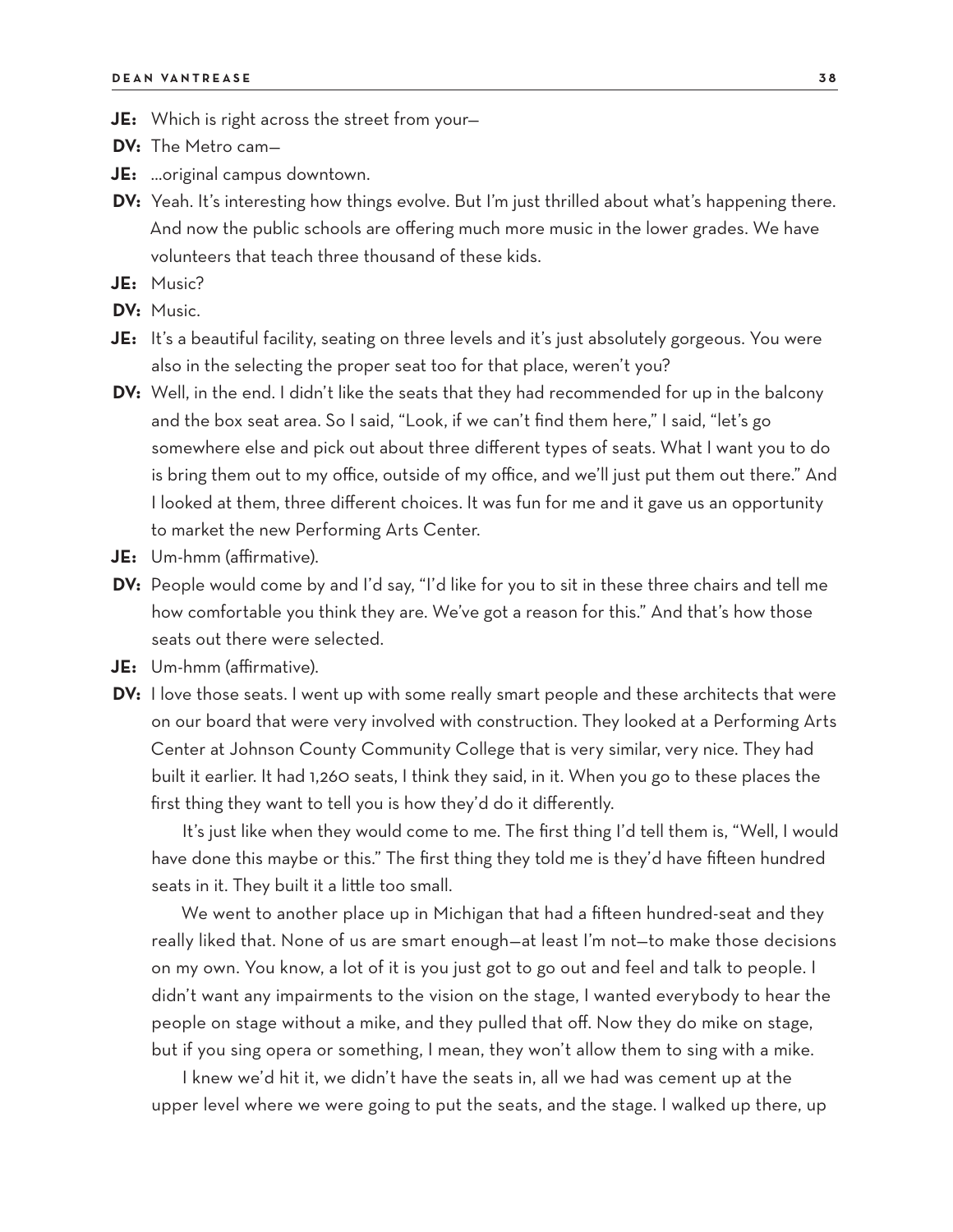- **JE:** Which is right across the street from your—
- **DV:** The Metro cam—
- **JE:** …original campus downtown.
- **DV:** Yeah. It's interesting how things evolve. But I'm just thrilled about what's happening there. And now the public schools are offering much more music in the lower grades. We have volunteers that teach three thousand of these kids.
- **JE:** Music?
- **DV:** Music.
- **JE:** It's a beautiful facility, seating on three levels and it's just absolutely gorgeous. You were also in the selecting the proper seat too for that place, weren't you?
- **DV:** Well, in the end. I didn't like the seats that they had recommended for up in the balcony and the box seat area. So I said, "Look, if we can't find them here," I said, "let's go somewhere else and pick out about three different types of seats. What I want you to do is bring them out to my office, outside of my office, and we'll just put them out there." And I looked at them, three different choices. It was fun for me and it gave us an opportunity to market the new Performing Arts Center.
- **JE:** Um-hmm (affirmative).
- **DV:** People would come by and I'd say, "I'd like for you to sit in these three chairs and tell me how comfortable you think they are. We've got a reason for this." And that's how those seats out there were selected.
- **JE:** Um-hmm (affirmative).
- **DV:** I love those seats. I went up with some really smart people and these architects that were on our board that were very involved with construction. They looked at a Performing Arts Center at Johnson County Community College that is very similar, very nice. They had built it earlier. It had 1,260 seats, I think they said, in it. When you go to these places the first thing they want to tell you is how they'd do it differently.

It's just like when they would come to me. The first thing I'd tell them is, "Well, I would have done this maybe or this." The first thing they told me is they'd have fifteen hundred seats in it. They built it a little too small.

We went to another place up in Michigan that had a fifteen hundred-seat and they really liked that. None of us are smart enough—at least I'm not—to make those decisions on my own. You know, a lot of it is you just got to go out and feel and talk to people. I didn't want any impairments to the vision on the stage, I wanted everybody to hear the people on stage without a mike, and they pulled that off. Now they do mike on stage, but if you sing opera or something, I mean, they won't allow them to sing with a mike.

I knew we'd hit it, we didn't have the seats in, all we had was cement up at the upper level where we were going to put the seats, and the stage. I walked up there, up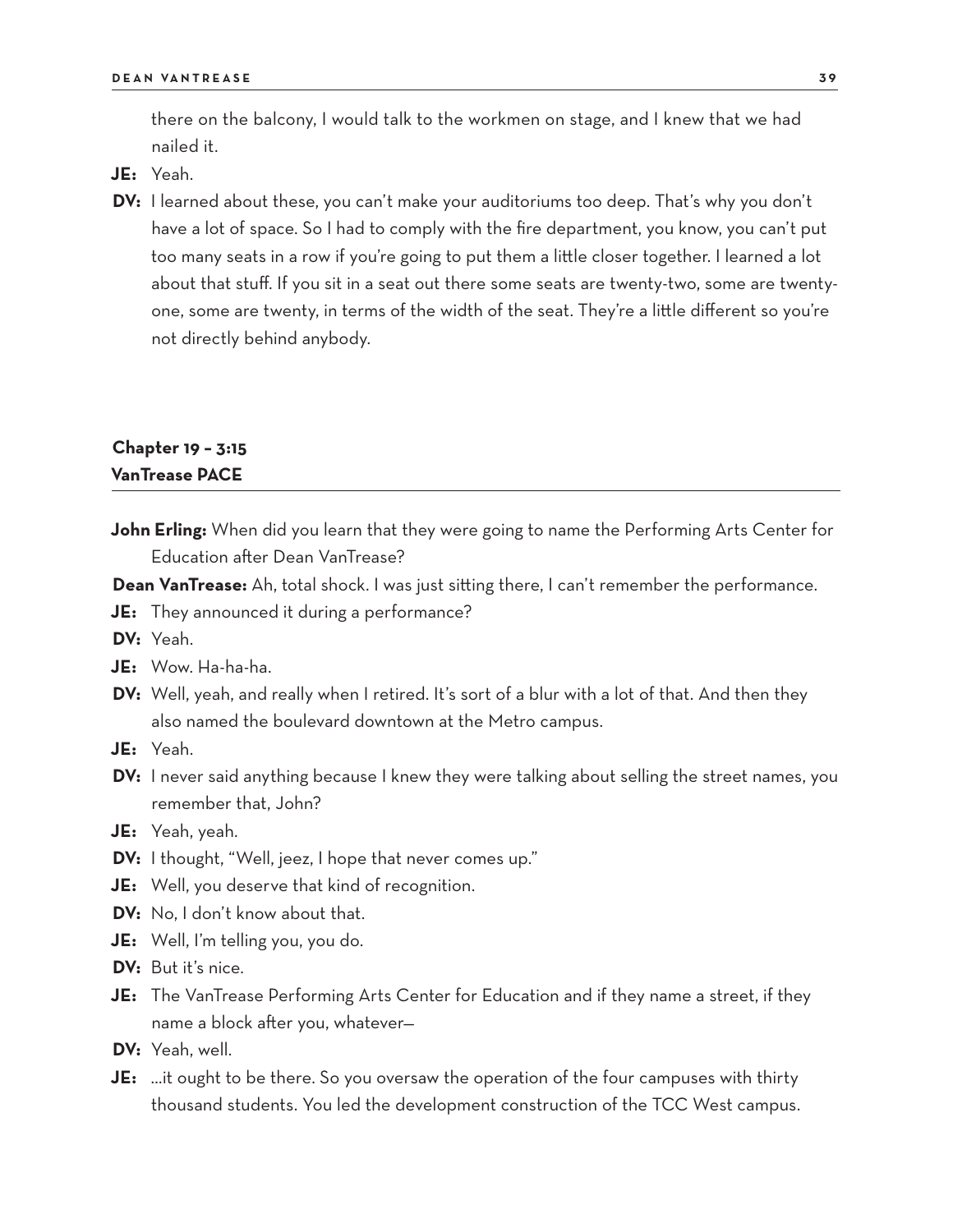there on the balcony, I would talk to the workmen on stage, and I knew that we had nailed it.

- **JE:** Yeah.
- **DV:** I learned about these, you can't make your auditoriums too deep. That's why you don't have a lot of space. So I had to comply with the fire department, you know, you can't put too many seats in a row if you're going to put them a little closer together. I learned a lot about that stuff. If you sit in a seat out there some seats are twenty-two, some are twentyone, some are twenty, in terms of the width of the seat. They're a little different so you're not directly behind anybody.

### **Chapter 19 – 3:15 VanTrease PACE**

**John Erling:** When did you learn that they were going to name the Performing Arts Center for Education after Dean VanTrease?

**Dean VanTrease:** Ah, total shock. I was just sitting there, I can't remember the performance.

- **JE:** They announced it during a performance?
- **DV:** Yeah.
- **JE:** Wow. Ha-ha-ha.
- **DV:** Well, yeah, and really when I retired. It's sort of a blur with a lot of that. And then they also named the boulevard downtown at the Metro campus.
- **JE:** Yeah.
- **DV:** I never said anything because I knew they were talking about selling the street names, you remember that, John?
- **JE:** Yeah, yeah.
- **DV:** I thought, "Well, jeez, I hope that never comes up."
- **JE:** Well, you deserve that kind of recognition.
- **DV:** No, I don't know about that.
- **JE:** Well, I'm telling you, you do.
- **DV:** But it's nice.
- **JE:** The VanTrease Performing Arts Center for Education and if they name a street, if they name a block after you, whatever—
- **DV:** Yeah, well.
- **JE:** …it ought to be there. So you oversaw the operation of the four campuses with thirty thousand students. You led the development construction of the TCC West campus.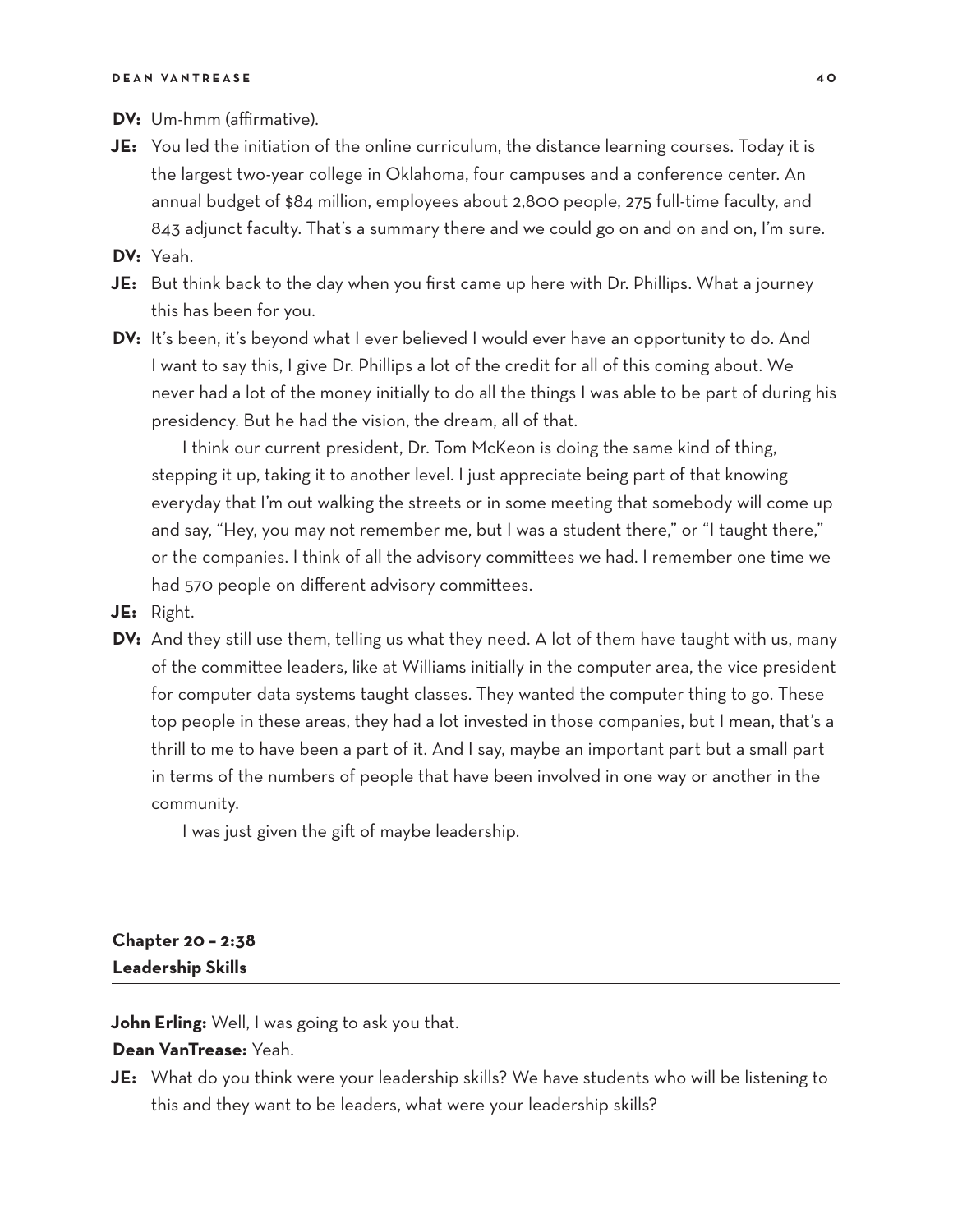**DV:** Um-hmm (affirmative).

**JE:** You led the initiation of the online curriculum, the distance learning courses. Today it is the largest two-year college in Oklahoma, four campuses and a conference center. An annual budget of \$84 million, employees about 2,800 people, 275 full-time faculty, and 843 adjunct faculty. That's a summary there and we could go on and on and on, I'm sure.

**DV:** Yeah.

- **JE:** But think back to the day when you first came up here with Dr. Phillips. What a journey this has been for you.
- DV: It's been, it's beyond what I ever believed I would ever have an opportunity to do. And I want to say this, I give Dr. Phillips a lot of the credit for all of this coming about. We never had a lot of the money initially to do all the things I was able to be part of during his presidency. But he had the vision, the dream, all of that.

I think our current president, Dr. Tom McKeon is doing the same kind of thing, stepping it up, taking it to another level. I just appreciate being part of that knowing everyday that I'm out walking the streets or in some meeting that somebody will come up and say, "Hey, you may not remember me, but I was a student there," or "I taught there," or the companies. I think of all the advisory committees we had. I remember one time we had 570 people on different advisory committees.

- **JE:** Right.
- **DV:** And they still use them, telling us what they need. A lot of them have taught with us, many of the committee leaders, like at Williams initially in the computer area, the vice president for computer data systems taught classes. They wanted the computer thing to go. These top people in these areas, they had a lot invested in those companies, but I mean, that's a thrill to me to have been a part of it. And I say, maybe an important part but a small part in terms of the numbers of people that have been involved in one way or another in the community.

I was just given the gift of maybe leadership.

# **Chapter 20 – 2:38 Leadership Skills**

**John Erling:** Well, I was going to ask you that.

#### **Dean VanTrease:** Yeah.

**JE:** What do you think were your leadership skills? We have students who will be listening to this and they want to be leaders, what were your leadership skills?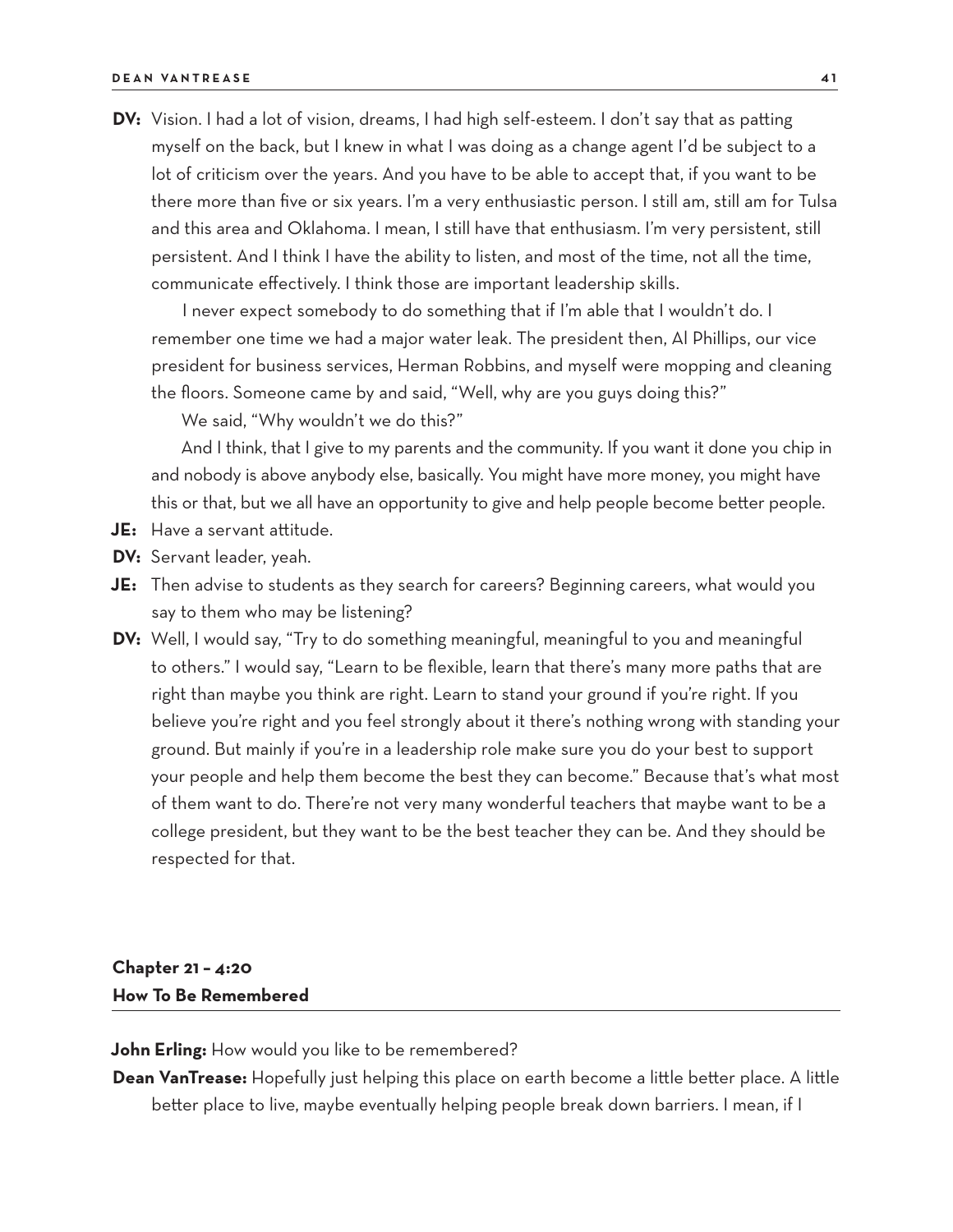**DV:** Vision. I had a lot of vision, dreams, I had high self-esteem. I don't say that as patting myself on the back, but I knew in what I was doing as a change agent I'd be subject to a lot of criticism over the years. And you have to be able to accept that, if you want to be there more than five or six years. I'm a very enthusiastic person. I still am, still am for Tulsa and this area and Oklahoma. I mean, I still have that enthusiasm. I'm very persistent, still persistent. And I think I have the ability to listen, and most of the time, not all the time, communicate effectively. I think those are important leadership skills.

I never expect somebody to do something that if I'm able that I wouldn't do. I remember one time we had a major water leak. The president then, Al Phillips, our vice president for business services, Herman Robbins, and myself were mopping and cleaning the floors. Someone came by and said, "Well, why are you guys doing this?"

We said, "Why wouldn't we do this?"

And I think, that I give to my parents and the community. If you want it done you chip in and nobody is above anybody else, basically. You might have more money, you might have this or that, but we all have an opportunity to give and help people become better people.

- **JE:** Have a servant attitude.
- **DV:** Servant leader, yeah.
- **JE:** Then advise to students as they search for careers? Beginning careers, what would you say to them who may be listening?
- **DV:** Well, I would say, "Try to do something meaningful, meaningful to you and meaningful to others." I would say, "Learn to be flexible, learn that there's many more paths that are right than maybe you think are right. Learn to stand your ground if you're right. If you believe you're right and you feel strongly about it there's nothing wrong with standing your ground. But mainly if you're in a leadership role make sure you do your best to support your people and help them become the best they can become." Because that's what most of them want to do. There're not very many wonderful teachers that maybe want to be a college president, but they want to be the best teacher they can be. And they should be respected for that.

# **Chapter 21 – 4:20 How To Be Remembered**

**John Erling:** How would you like to be remembered?

**Dean VanTrease:** Hopefully just helping this place on earth become a little better place. A little better place to live, maybe eventually helping people break down barriers. I mean, if I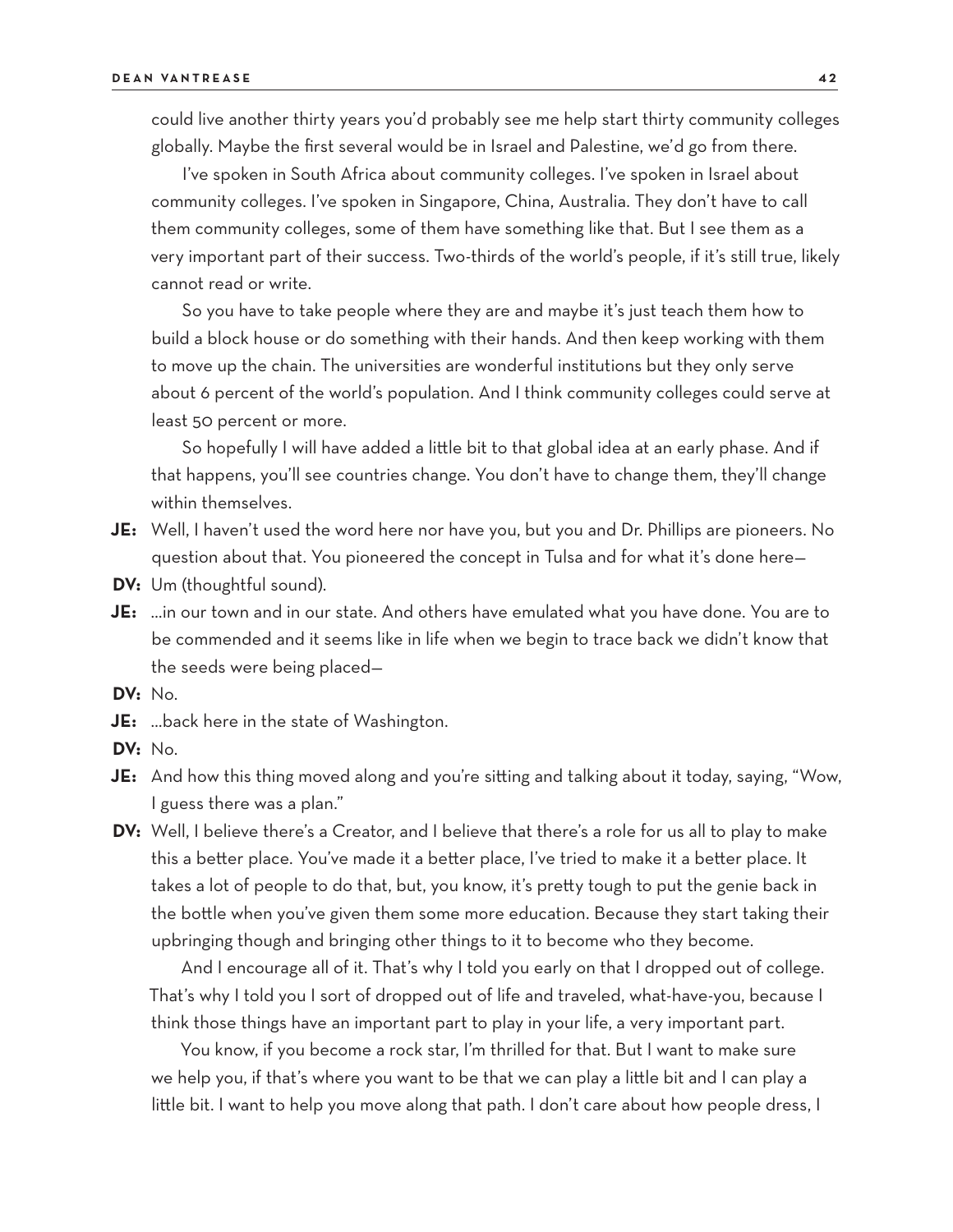could live another thirty years you'd probably see me help start thirty community colleges globally. Maybe the first several would be in Israel and Palestine, we'd go from there.

I've spoken in South Africa about community colleges. I've spoken in Israel about community colleges. I've spoken in Singapore, China, Australia. They don't have to call them community colleges, some of them have something like that. But I see them as a very important part of their success. Two-thirds of the world's people, if it's still true, likely cannot read or write.

So you have to take people where they are and maybe it's just teach them how to build a block house or do something with their hands. And then keep working with them to move up the chain. The universities are wonderful institutions but they only serve about 6 percent of the world's population. And I think community colleges could serve at least 50 percent or more.

So hopefully I will have added a little bit to that global idea at an early phase. And if that happens, you'll see countries change. You don't have to change them, they'll change within themselves.

- **JE:** Well, I haven't used the word here nor have you, but you and Dr. Phillips are pioneers. No question about that. You pioneered the concept in Tulsa and for what it's done here—
- **DV:** Um (thoughtful sound).
- **JE:** …in our town and in our state. And others have emulated what you have done. You are to be commended and it seems like in life when we begin to trace back we didn't know that the seeds were being placed—
- **DV:** No.
- **JE:** …back here in the state of Washington.
- **DV:** No.
- **JE:** And how this thing moved along and you're sitting and talking about it today, saying, "Wow, I guess there was a plan."
- **DV:** Well, I believe there's a Creator, and I believe that there's a role for us all to play to make this a better place. You've made it a better place, I've tried to make it a better place. It takes a lot of people to do that, but, you know, it's pretty tough to put the genie back in the bottle when you've given them some more education. Because they start taking their upbringing though and bringing other things to it to become who they become.

And I encourage all of it. That's why I told you early on that I dropped out of college. That's why I told you I sort of dropped out of life and traveled, what-have-you, because I think those things have an important part to play in your life, a very important part.

You know, if you become a rock star, I'm thrilled for that. But I want to make sure we help you, if that's where you want to be that we can play a little bit and I can play a little bit. I want to help you move along that path. I don't care about how people dress, I